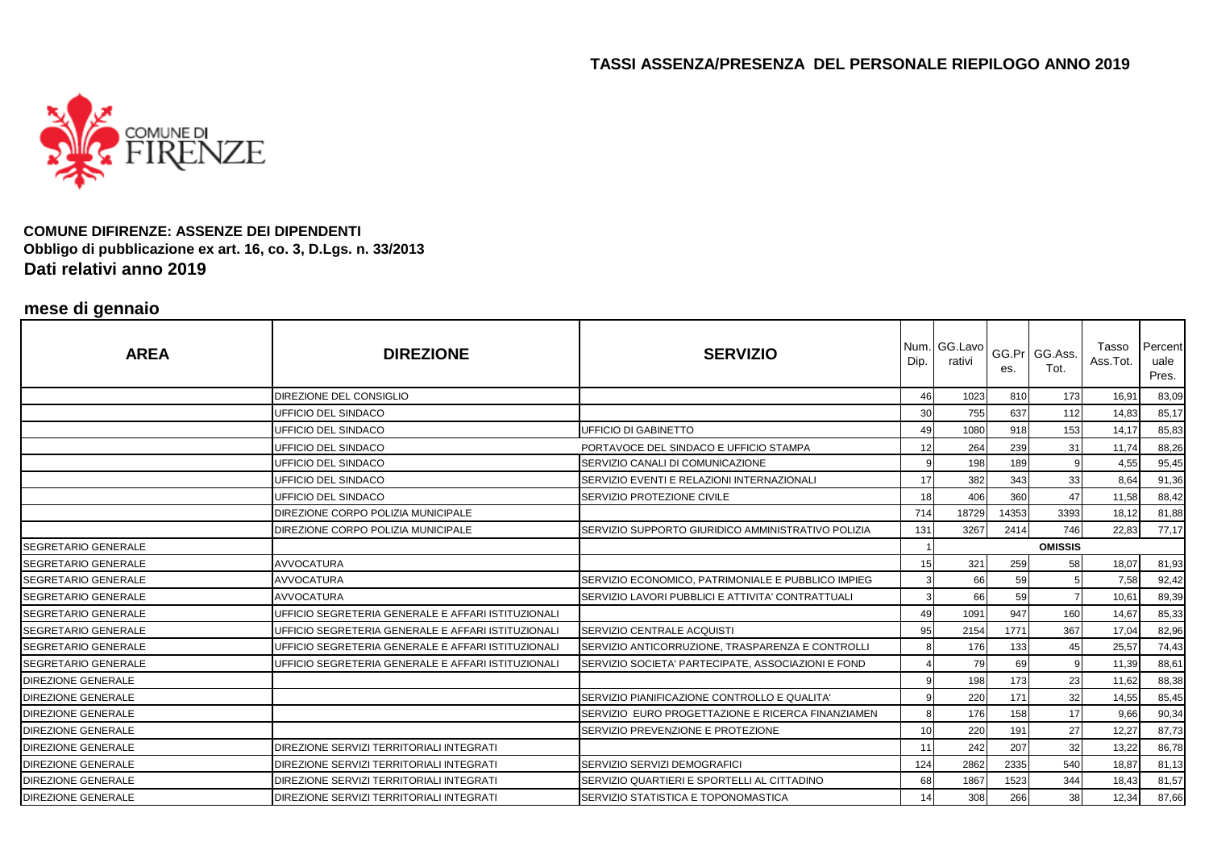

#### **COMUNE DIFIRENZE: ASSENZE DEI DIPENDENTI Obbligo di pubblicazione ex art. 16, co. 3, D.Lgs. n. 33/2013Dati relativi anno 2019**

# **mese di gennaio**

| <b>AREA</b>                | <b>DIREZIONE</b>                                   | <b>SERVIZIO</b>                                    | Dip. | Num. GG.Lavo<br>rativi | es.   | GG.Pr GG.Ass.<br>Tot. | Tasso<br>Ass.Tot. | Percent<br>uale<br>Pres. |
|----------------------------|----------------------------------------------------|----------------------------------------------------|------|------------------------|-------|-----------------------|-------------------|--------------------------|
|                            | DIREZIONE DEL CONSIGLIO                            |                                                    | 46   | 1023                   | 810   | 173                   | 16,91             | 83,09                    |
|                            | UFFICIO DEL SINDACO                                |                                                    | 30   | 755                    | 637   | 112                   | 14,83             | 85,17                    |
|                            | UFFICIO DEL SINDACO                                | UFFICIO DI GABINETTO                               | 49   | 1080                   | 918   | 153                   | 14,17             | 85,83                    |
|                            | UFFICIO DEL SINDACO                                | PORTAVOCE DEL SINDACO E UFFICIO STAMPA             | 12   | 264                    | 239   | 31                    | 11,74             | 88,26                    |
|                            | UFFICIO DEL SINDACO                                | SERVIZIO CANALI DI COMUNICAZIONE                   |      | 198                    | 189   |                       | 4,55              | 95,45                    |
|                            | UFFICIO DEL SINDACO                                | SERVIZIO EVENTI E RELAZIONI INTERNAZIONALI         | 17   | 382                    | 343   | 33                    | 8.64              | 91,36                    |
|                            | UFFICIO DEL SINDACO                                | <b>SERVIZIO PROTEZIONE CIVILE</b>                  | 18   | 406                    | 360   | 47                    | 11,58             | 88,42                    |
|                            | DIREZIONE CORPO POLIZIA MUNICIPALE                 |                                                    | 714  | 18729                  | 14353 | 3393                  | 18,12             | 81,88                    |
|                            | DIREZIONE CORPO POLIZIA MUNICIPALE                 | SERVIZIO SUPPORTO GIURIDICO AMMINISTRATIVO POLIZIA | 131  | 3267                   | 2414  | 746                   | 22,83             | 77,17                    |
| <b>SEGRETARIO GENERALE</b> |                                                    |                                                    |      |                        |       | <b>OMISSIS</b>        |                   |                          |
| <b>SEGRETARIO GENERALE</b> | <b>AVVOCATURA</b>                                  |                                                    | 15   | 321                    | 259   | 58                    | 18,07             | 81,93                    |
| <b>SEGRETARIO GENERALE</b> | <b>AVVOCATURA</b>                                  | SERVIZIO ECONOMICO, PATRIMONIALE E PUBBLICO IMPIEG |      | 66                     | 59    |                       | 7,58              | 92,42                    |
| <b>SEGRETARIO GENERALE</b> | <b>AVVOCATURA</b>                                  | SERVIZIO LAVORI PUBBLICI E ATTIVITA' CONTRATTUALI  |      | 66                     | 59    |                       | 10,61             | 89,39                    |
| <b>SEGRETARIO GENERALE</b> | UFFICIO SEGRETERIA GENERALE E AFFARI ISTITUZIONALI |                                                    | 49   | 1091                   | 947   | 160                   | 14,67             | 85,33                    |
| <b>SEGRETARIO GENERALE</b> | UFFICIO SEGRETERIA GENERALE E AFFARI ISTITUZIONALI | SERVIZIO CENTRALE ACQUISTI                         | 95   | 2154                   | 1771  | 367                   | 17,04             | 82,96                    |
| <b>SEGRETARIO GENERALE</b> | UFFICIO SEGRETERIA GENERALE E AFFARI ISTITUZIONALI | SERVIZIO ANTICORRUZIONE, TRASPARENZA E CONTROLLI   |      | 176                    | 133   | 45                    | 25,57             | 74,43                    |
| <b>SEGRETARIO GENERALE</b> | UFFICIO SEGRETERIA GENERALE E AFFARI ISTITUZIONALI | SERVIZIO SOCIETA' PARTECIPATE, ASSOCIAZIONI E FOND |      | 79                     | 69    |                       | 11,39             | 88,61                    |
| <b>DIREZIONE GENERALE</b>  |                                                    |                                                    |      | 198                    | 173   | 23                    | 11,62             | 88,38                    |
| <b>DIREZIONE GENERALE</b>  |                                                    | SERVIZIO PIANIFICAZIONE CONTROLLO E QUALITA'       |      | 220                    | 171   | 32                    | 14,55             | 85,45                    |
| <b>DIREZIONE GENERALE</b>  |                                                    | SERVIZIO EURO PROGETTAZIONE E RICERCA FINANZIAMEN  |      | 176                    | 158   | 17                    | 9,66              | 90,34                    |
| <b>DIREZIONE GENERALE</b>  |                                                    | SERVIZIO PREVENZIONE E PROTEZIONE                  | 10   | 220                    | 191   | 27                    | 12,27             | 87,73                    |
| <b>DIREZIONE GENERALE</b>  | DIREZIONE SERVIZI TERRITORIALI INTEGRATI           |                                                    | 11   | 242                    | 207   | 32                    | 13,22             | 86,78                    |
| <b>DIREZIONE GENERALE</b>  | DIREZIONE SERVIZI TERRITORIALI INTEGRATI           | SERVIZIO SERVIZI DEMOGRAFICI                       | 124  | 2862                   | 2335  | 540                   | 18,87             | 81,13                    |
| DIREZIONE GENERALE         | DIREZIONE SERVIZI TERRITORIALI INTEGRATI           | SERVIZIO QUARTIERI E SPORTELLI AL CITTADINO        | 68   | 1867                   | 1523  | 344                   | 18,43             | 81,57                    |
| <b>DIREZIONE GENERALE</b>  | <b>DIREZIONE SERVIZI TERRITORIALI INTEGRATI</b>    | SERVIZIO STATISTICA E TOPONOMASTICA                | 14   | 308                    | 266   | 38                    | 12,34             | 87,66                    |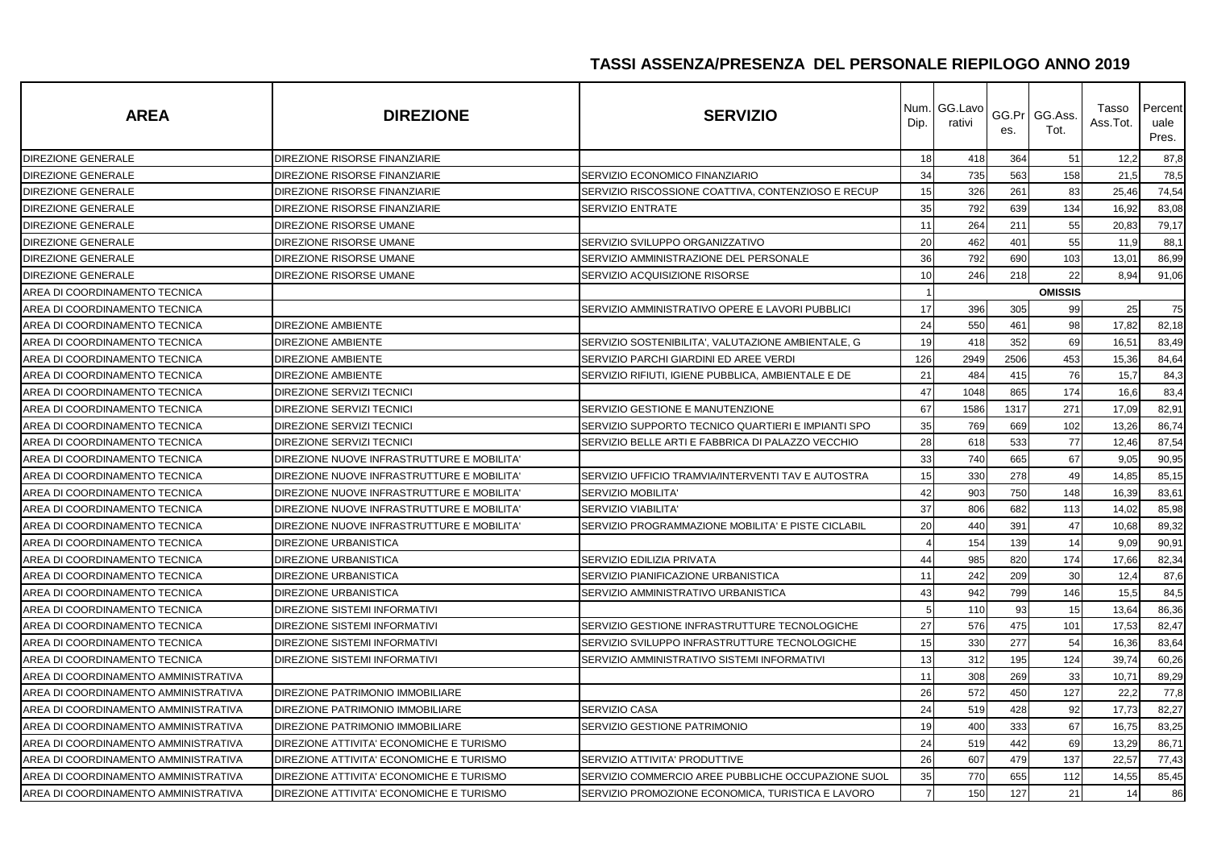| <b>AREA</b>                          | <b>DIREZIONE</b>                           | <b>SERVIZIO</b>                                    | Num.<br>Dip.   | GG.Lavo<br>rativi | es.  | GG.Pr GG.Ass.<br>Tot. | Tasso<br>Ass.Tot. | Percent<br>uale<br>Pres. |
|--------------------------------------|--------------------------------------------|----------------------------------------------------|----------------|-------------------|------|-----------------------|-------------------|--------------------------|
| <b>DIREZIONE GENERALE</b>            | DIREZIONE RISORSE FINANZIARIE              |                                                    | 18             | 418               | 364  | 51                    | 12,2              | 87,8                     |
| DIREZIONE GENERALE                   | DIREZIONE RISORSE FINANZIARIE              | SERVIZIO ECONOMICO FINANZIARIO                     | 34             | 735               | 563  | 158                   | 21,5              | 78,5                     |
| <b>DIREZIONE GENERALE</b>            | DIREZIONE RISORSE FINANZIARIE              | SERVIZIO RISCOSSIONE COATTIVA, CONTENZIOSO E RECUP | 15             | 326               | 261  | 83                    | 25,46             | 74,54                    |
| <b>DIREZIONE GENERALE</b>            | DIREZIONE RISORSE FINANZIARIE              | <b>SERVIZIO ENTRATE</b>                            | 35             | 792               | 639  | 134                   | 16,92             | 83,08                    |
| DIREZIONE GENERALE                   | DIREZIONE RISORSE UMANE                    |                                                    | 11             | 264               | 211  | 55                    | 20,83             | 79,17                    |
| DIREZIONE GENERALE                   | DIREZIONE RISORSE UMANE                    | SERVIZIO SVILUPPO ORGANIZZATIVO                    | 20             | 462               | 401  | 55                    | 11,9              | 88,1                     |
| DIREZIONE GENERALE                   | DIREZIONE RISORSE UMANE                    | SERVIZIO AMMINISTRAZIONE DEL PERSONALE             | 36             | 792               | 690  | 103                   | 13,01             | 86,99                    |
| <b>DIREZIONE GENERALE</b>            | DIREZIONE RISORSE UMANE                    | SERVIZIO ACQUISIZIONE RISORSE                      | 10             | 246               | 218  | 22                    | 8,94              | 91,06                    |
| AREA DI COORDINAMENTO TECNICA        |                                            |                                                    |                |                   |      | <b>OMISSIS</b>        |                   |                          |
| AREA DI COORDINAMENTO TECNICA        |                                            | SERVIZIO AMMINISTRATIVO OPERE E LAVORI PUBBLICI    | 17             | 396               | 305  | 99                    | 25                | 75                       |
| AREA DI COORDINAMENTO TECNICA        | <b>DIREZIONE AMBIENTE</b>                  |                                                    | 24             | 550               | 461  | 98                    | 17,82             | 82,18                    |
| AREA DI COORDINAMENTO TECNICA        | <b>DIREZIONE AMBIENTE</b>                  | SERVIZIO SOSTENIBILITA', VALUTAZIONE AMBIENTALE, G | 19             | 418               | 352  | 69                    | 16,51             | 83,49                    |
| AREA DI COORDINAMENTO TECNICA        | <b>DIREZIONE AMBIENTE</b>                  | SERVIZIO PARCHI GIARDINI ED AREE VERDI             | 126            | 2949              | 2506 | 453                   | 15,36             | 84,64                    |
| AREA DI COORDINAMENTO TECNICA        | <b>DIREZIONE AMBIENTE</b>                  | SERVIZIO RIFIUTI, IGIENE PUBBLICA, AMBIENTALE E DE | 21             | 484               | 415  | 76                    | 15,7              | 84,3                     |
| AREA DI COORDINAMENTO TECNICA        | DIREZIONE SERVIZI TECNICI                  |                                                    | 47             | 1048              | 865  | 174                   | 16,6              | 83,4                     |
| AREA DI COORDINAMENTO TECNICA        | DIREZIONE SERVIZI TECNICI                  | SERVIZIO GESTIONE E MANUTENZIONE                   | 67             | 1586              | 1317 | 271                   | 17,09             | 82,91                    |
| AREA DI COORDINAMENTO TECNICA        | <b>DIREZIONE SERVIZI TECNICI</b>           | SERVIZIO SUPPORTO TECNICO QUARTIERI E IMPIANTI SPO | 35             | 769               | 669  | 102                   | 13,26             | 86,74                    |
| AREA DI COORDINAMENTO TECNICA        | <b>DIREZIONE SERVIZI TECNICI</b>           | SERVIZIO BELLE ARTI E FABBRICA DI PALAZZO VECCHIO  | 28             | 618               | 533  | 77                    | 12,46             | 87,54                    |
| AREA DI COORDINAMENTO TECNICA        | DIREZIONE NUOVE INFRASTRUTTURE E MOBILITA' |                                                    | 33             | 740               | 665  | 67                    | 9,05              | 90,95                    |
| AREA DI COORDINAMENTO TECNICA        | DIREZIONE NUOVE INFRASTRUTTURE E MOBILITA' | SERVIZIO UFFICIO TRAMVIA/INTERVENTI TAV E AUTOSTRA | 15             | 330               | 278  | 49                    | 14,85             | 85,15                    |
| AREA DI COORDINAMENTO TECNICA        | DIREZIONE NUOVE INFRASTRUTTURE E MOBILITA  | <b>SERVIZIO MOBILITA</b>                           | 42             | 903               | 750  | 148                   | 16,39             | 83,61                    |
| AREA DI COORDINAMENTO TECNICA        | DIREZIONE NUOVE INFRASTRUTTURE E MOBILITA' | <b>SERVIZIO VIABILITA'</b>                         | 37             | 806               | 682  | 113                   | 14,02             | 85,98                    |
| AREA DI COORDINAMENTO TECNICA        | DIREZIONE NUOVE INFRASTRUTTURE E MOBILITA' | SERVIZIO PROGRAMMAZIONE MOBILITA' E PISTE CICLABIL | 20             | 440               | 391  | 47                    | 10,68             | 89,32                    |
| AREA DI COORDINAMENTO TECNICA        | <b>DIREZIONE URBANISTICA</b>               |                                                    |                | 154               | 139  | 14                    | 9,09              | 90,91                    |
| AREA DI COORDINAMENTO TECNICA        | <b>DIREZIONE URBANISTICA</b>               | SERVIZIO EDILIZIA PRIVATA                          | 44             | 985               | 820  | 174                   | 17,66             | 82,34                    |
| AREA DI COORDINAMENTO TECNICA        | <b>DIREZIONE URBANISTICA</b>               | SERVIZIO PIANIFICAZIONE URBANISTICA                | 11             | 242               | 209  | 30                    | 12,4              | 87,6                     |
| AREA DI COORDINAMENTO TECNICA        | <b>DIREZIONE URBANISTICA</b>               | SERVIZIO AMMINISTRATIVO URBANISTICA                | 43             | 942               | 799  | 146                   | 15,5              | 84,5                     |
| AREA DI COORDINAMENTO TECNICA        | <b>DIREZIONE SISTEMI INFORMATIVI</b>       |                                                    |                | 110               | 93   | 15                    | 13,64             | 86,36                    |
| AREA DI COORDINAMENTO TECNICA        | DIREZIONE SISTEMI INFORMATIVI              | SERVIZIO GESTIONE INFRASTRUTTURE TECNOLOGICHE      | 27             | 576               | 475  | 101                   | 17,53             | 82,47                    |
| AREA DI COORDINAMENTO TECNICA        | <b>DIREZIONE SISTEMI INFORMATIVI</b>       | SERVIZIO SVILUPPO INFRASTRUTTURE TECNOLOGICHE      | 15             | 330               | 277  | 54                    | 16,36             | 83,64                    |
| AREA DI COORDINAMENTO TECNICA        | DIREZIONE SISTEMI INFORMATIVI              | SERVIZIO AMMINISTRATIVO SISTEMI INFORMATIVI        | 13             | 312               | 195  | 124                   | 39,74             | 60,26                    |
| AREA DI COORDINAMENTO AMMINISTRATIVA |                                            |                                                    | 11             | 308               | 269  | 33                    | 10,71             | 89,29                    |
| AREA DI COORDINAMENTO AMMINISTRATIVA | DIREZIONE PATRIMONIO IMMOBILIARE           |                                                    | 26             | 572               | 450  | 127                   | 22,2              | 77,8                     |
| AREA DI COORDINAMENTO AMMINISTRATIVA | DIREZIONE PATRIMONIO IMMOBILIARE           | SERVIZIO CASA                                      | 24             | 519               | 428  | 92                    | 17,73             | 82,27                    |
| AREA DI COORDINAMENTO AMMINISTRATIVA | DIREZIONE PATRIMONIO IMMOBILIARE           | SERVIZIO GESTIONE PATRIMONIO                       | 19             | 400               | 333  | 67                    | 16,75             | 83,25                    |
| AREA DI COORDINAMENTO AMMINISTRATIVA | DIREZIONE ATTIVITA' ECONOMICHE E TURISMO   |                                                    | 24             | 519               | 442  | 69                    | 13,29             | 86,71                    |
| AREA DI COORDINAMENTO AMMINISTRATIVA | DIREZIONE ATTIVITA' ECONOMICHE E TURISMO   | SERVIZIO ATTIVITA' PRODUTTIVE                      | 26             | 607               | 479  | 137                   | 22,57             | 77,43                    |
| AREA DI COORDINAMENTO AMMINISTRATIVA | DIREZIONE ATTIVITA' ECONOMICHE E TURISMO   | SERVIZIO COMMERCIO AREE PUBBLICHE OCCUPAZIONE SUOL | 35             | 770               | 655  | 112                   | 14,55             | 85,45                    |
| AREA DI COORDINAMENTO AMMINISTRATIVA | DIREZIONE ATTIVITA' ECONOMICHE E TURISMO   | SERVIZIO PROMOZIONE ECONOMICA, TURISTICA E LAVORO  | $\overline{7}$ | 150               | 127  | 21                    | 14                | 86                       |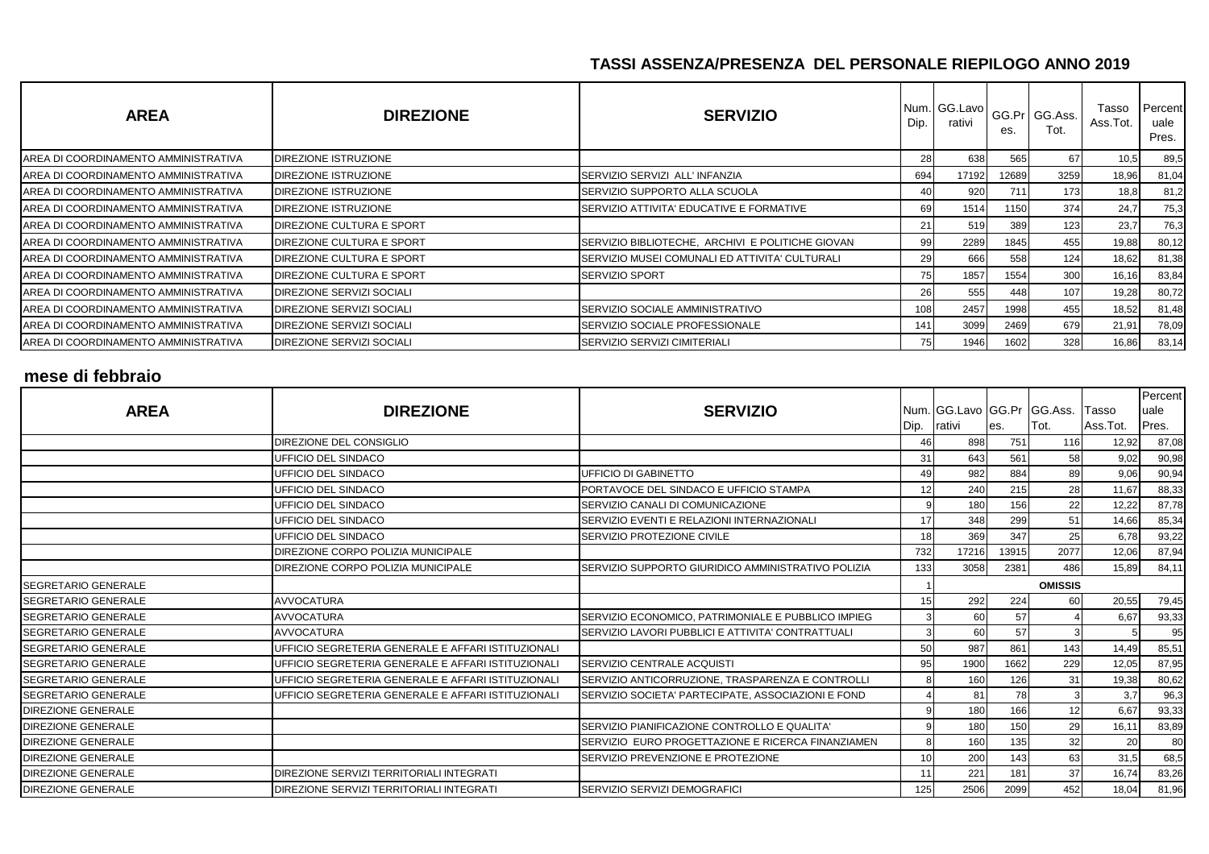| <b>AREA</b>                           | <b>DIREZIONE</b>            | <b>SERVIZIO</b>                                  | Dip. | Num. GG.Lavo<br>rativi | es.        | GG.Pr GG.Ass.<br>Tot. | Tasso<br>Ass.Tot. | Percent<br>uale<br>Pres. |
|---------------------------------------|-----------------------------|--------------------------------------------------|------|------------------------|------------|-----------------------|-------------------|--------------------------|
| AREA DI COORDINAMENTO AMMINISTRATIVA  | DIREZIONE ISTRUZIONE        |                                                  | 28   | 638                    | 565        | 67                    | 10,5              | 89,5                     |
| IAREA DI COORDINAMENTO AMMINISTRATIVA | DIREZIONE ISTRUZIONE        | SERVIZIO SERVIZI ALL' INFANZIA                   | 694  | 17192                  | 12689      | 3259                  | 18,96             | 81,04                    |
| AREA DI COORDINAMENTO AMMINISTRATIVA  | DIREZIONE ISTRUZIONE        | SERVIZIO SUPPORTO ALLA SCUOLA                    | 40   | 920                    | <b>711</b> | 173                   | 18,8              | 81,2                     |
| AREA DI COORDINAMENTO AMMINISTRATIVA  | <b>DIREZIONE ISTRUZIONE</b> | SERVIZIO ATTIVITA' EDUCATIVE E FORMATIVE         | 69   | 1514                   | 1150       | 374                   | 24,7              | 75,3                     |
| AREA DI COORDINAMENTO AMMINISTRATIVA  | DIREZIONE CULTURA E SPORT   |                                                  | 21   | 519                    | 389        | 123                   | 23,7              | 76,3                     |
| AREA DI COORDINAMENTO AMMINISTRATIVA  | DIREZIONE CULTURA E SPORT   | SERVIZIO BIBLIOTECHE, ARCHIVI E POLITICHE GIOVAN | 99   | 2289                   | 1845       | 455                   | 19,88             | 80,12                    |
| IAREA DI COORDINAMENTO AMMINISTRATIVA | DIREZIONE CULTURA E SPORT   | SERVIZIO MUSEI COMUNALI ED ATTIVITA' CULTURALI   | 29   | 666                    | 558        | 124                   | 18,62             | 81,38                    |
| IAREA DI COORDINAMENTO AMMINISTRATIVA | DIREZIONE CULTURA E SPORT   | <b>SERVIZIO SPORT</b>                            | 75   | 1857                   | 1554       | 300                   | 16,16             | 83,84                    |
| AREA DI COORDINAMENTO AMMINISTRATIVA  | DIREZIONE SERVIZI SOCIALI   |                                                  | 261  | 555                    | 448        | 107                   | 19,28             | 80,72                    |
| AREA DI COORDINAMENTO AMMINISTRATIVA  | DIREZIONE SERVIZI SOCIALI   | SERVIZIO SOCIALE AMMINISTRATIVO                  | 108  | 2457                   | 1998       | 455                   | 18,52             | 81,48                    |
| AREA DI COORDINAMENTO AMMINISTRATIVA  | DIREZIONE SERVIZI SOCIALI   | SERVIZIO SOCIALE PROFESSIONALE                   | 141  | 3099                   | 2469       | 679                   | 21,91             | 78,09                    |
| IAREA DI COORDINAMENTO AMMINISTRATIVA | DIREZIONE SERVIZI SOCIALI   | <b>SERVIZIO SERVIZI CIMITERIALI</b>              | 751  | 1946                   | 1602       | 328                   | 16,86             | 83,14                    |

## **mese di febbraio**

| <b>AREA</b>                 | <b>DIREZIONE</b>                                   | <b>SERVIZIO</b>                                    | Dip. | Num. GG. Lavo GG. Pr GG. Ass.<br>rativi | es.   | ITot.          | Tasso<br>Ass.Tot. | Percent<br>uale<br>Pres. |
|-----------------------------|----------------------------------------------------|----------------------------------------------------|------|-----------------------------------------|-------|----------------|-------------------|--------------------------|
|                             | DIREZIONE DEL CONSIGLIO                            |                                                    |      | 898                                     | 751   | 116            | 12,92             | 87,08                    |
|                             | <b>JFFICIO DEL SINDACO</b>                         |                                                    | 31   | 643                                     | 561   | 58             | 9,02              | 90,98                    |
|                             | UFFICIO DEL SINDACO                                | <b>UFFICIO DI GABINETTO</b>                        | 49   | 982                                     | 884   | 89             | 9,06              | 90,94                    |
|                             | UFFICIO DEL SINDACO                                | PORTAVOCE DEL SINDACO E UFFICIO STAMPA             | 12   | 240                                     | 215   | 28             | 11,67             | 88,33                    |
|                             | UFFICIO DEL SINDACO                                | SERVIZIO CANALI DI COMUNICAZIONE                   |      | 180                                     | 156   | 22             | 12,22             | 87,78                    |
|                             | UFFICIO DEL SINDACO                                | SERVIZIO EVENTI E RELAZIONI INTERNAZIONALI         | 17   | 348                                     | 299   | 51             | 14,66             | 85,34                    |
|                             | UFFICIO DEL SINDACO                                | SERVIZIO PROTEZIONE CIVILE                         | 18   | 369                                     | 347   | 25             | 6.78              | 93,22                    |
|                             | DIREZIONE CORPO POLIZIA MUNICIPALE                 |                                                    | 732  | 17216                                   | 13915 | 2077           | 12,06             | 87,94                    |
|                             | DIREZIONE CORPO POLIZIA MUNICIPALE                 | SERVIZIO SUPPORTO GIURIDICO AMMINISTRATIVO POLIZIA | 133  | 3058                                    | 2381  | 486            | 15,89             | 84,11                    |
| <b>SEGRETARIO GENERALE</b>  |                                                    |                                                    |      |                                         |       | <b>OMISSIS</b> |                   |                          |
| <b>SEGRETARIO GENERALE</b>  | <b>AVVOCATURA</b>                                  |                                                    | 15   | 292                                     | 224   | 60             | 20,55             | 79,45                    |
| <b>SEGRETARIO GENERALE</b>  | <b>AVVOCATURA</b>                                  | SERVIZIO ECONOMICO, PATRIMONIALE E PUBBLICO IMPIEG |      | 60                                      | 57    |                | 6,67              | 93,33                    |
| <b>ISEGRETARIO GENERALE</b> | <b>AVVOCATURA</b>                                  | SERVIZIO LAVORI PUBBLICI E ATTIVITA' CONTRATTUALI  | 3    | 60                                      | 57    |                |                   | 95                       |
| <b>SEGRETARIO GENERALE</b>  | UFFICIO SEGRETERIA GENERALE E AFFARI ISTITUZIONALI |                                                    | 50   | 987                                     | 861   | 143            | 14,49             | 85,51                    |
| <b>SEGRETARIO GENERALE</b>  | UFFICIO SEGRETERIA GENERALE E AFFARI ISTITUZIONALI | <b>SERVIZIO CENTRALE ACQUISTI</b>                  | 95   | 1900                                    | 1662  | 229            | 12,05             | 87,95                    |
| <b>ISEGRETARIO GENERALE</b> | UFFICIO SEGRETERIA GENERALE E AFFARI ISTITUZIONALI | SERVIZIO ANTICORRUZIONE, TRASPARENZA E CONTROLLI   | 8    | 160                                     | 126   | 31             | 19,38             | 80,62                    |
| <b>ISEGRETARIO GENERALE</b> | UFFICIO SEGRETERIA GENERALE E AFFARI ISTITUZIONALI | SERVIZIO SOCIETA' PARTECIPATE, ASSOCIAZIONI E FOND |      | 81                                      | 78    |                | 3,7               | 96,3                     |
| <b>DIREZIONE GENERALE</b>   |                                                    |                                                    |      | 180                                     | 166   | 12             | 6,67              | 93,33                    |
| <b>DIREZIONE GENERALE</b>   |                                                    | SERVIZIO PIANIFICAZIONE CONTROLLO E QUALITA'       | q    | 180                                     | 150   | 29             | 16.11             | 83,89                    |
| <b>DIREZIONE GENERALE</b>   |                                                    | SERVIZIO EURO PROGETTAZIONE E RICERCA FINANZIAMEN  | 8    | 160                                     | 135   | 32             | 20                | 80                       |
| <b>DIREZIONE GENERALE</b>   |                                                    | SERVIZIO PREVENZIONE E PROTEZIONE                  | 10   | 200                                     | 143   | 63             | 31,5              | 68,5                     |
| <b>DIREZIONE GENERALE</b>   | DIREZIONE SERVIZI TERRITORIALI INTEGRATI           |                                                    | 11   | 221                                     | 181   | 37             | 16,74             | 83,26                    |
| <b>DIREZIONE GENERALE</b>   | DIREZIONE SERVIZI TERRITORIALI INTEGRATI           | SERVIZIO SERVIZI DEMOGRAFICI                       | 125  | 2506                                    | 2099  | 452            | 18,04             | 81,96                    |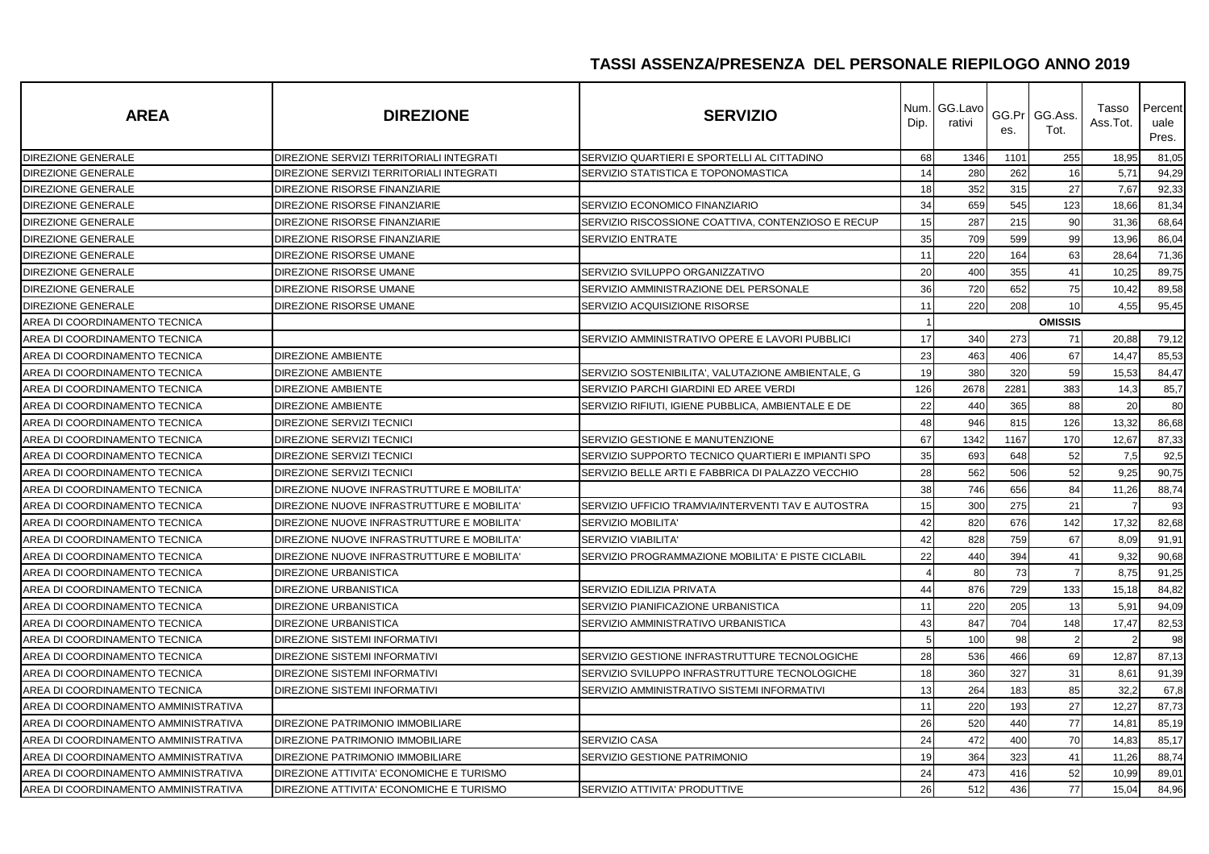| <b>AREA</b>                          | <b>DIREZIONE</b>                           | <b>SERVIZIO</b>                                    | Num.<br>Dip. | GG.Lavo<br>rativi | es.  | GG.Pr GG.Ass.<br>Tot. | Tasso<br>Ass.Tot. | Percent<br>uale<br>Pres. |
|--------------------------------------|--------------------------------------------|----------------------------------------------------|--------------|-------------------|------|-----------------------|-------------------|--------------------------|
| <b>DIREZIONE GENERALE</b>            | DIREZIONE SERVIZI TERRITORIALI INTEGRATI   | SERVIZIO QUARTIERI E SPORTELLI AL CITTADINO        | 68           | 1346              | 1101 | 255                   | 18,95             | 81,05                    |
| <b>DIREZIONE GENERALE</b>            | DIREZIONE SERVIZI TERRITORIALI INTEGRATI   | SERVIZIO STATISTICA E TOPONOMASTICA                | 14           | 280               | 262  | 16                    | 5,71              | 94,29                    |
| DIREZIONE GENERALE                   | DIREZIONE RISORSE FINANZIARIE              |                                                    | 18           | 352               | 315  | 27                    | 7,67              | 92,33                    |
| DIREZIONE GENERALE                   | DIREZIONE RISORSE FINANZIARIE              | SERVIZIO ECONOMICO FINANZIARIO                     | 34           | 659               | 545  | 123                   | 18,66             | 81,34                    |
| DIREZIONE GENERALE                   | DIREZIONE RISORSE FINANZIARIE              | SERVIZIO RISCOSSIONE COATTIVA, CONTENZIOSO E RECUP | 15           | 287               | 215  | 90                    | 31,36             | 68,64                    |
| <b>DIREZIONE GENERALE</b>            | DIREZIONE RISORSE FINANZIARIE              | <b>SERVIZIO ENTRATE</b>                            | 35           | 709               | 599  | 99                    | 13,96             | 86,04                    |
| DIREZIONE GENERALE                   | DIREZIONE RISORSE UMANE                    |                                                    | 11           | 220               | 164  | 63                    | 28,64             | 71,36                    |
| DIREZIONE GENERALE                   | DIREZIONE RISORSE UMANE                    | SERVIZIO SVILUPPO ORGANIZZATIVO                    | 20           | 400               | 355  | 41                    | 10,25             | 89,75                    |
| <b>DIREZIONE GENERALE</b>            | DIREZIONE RISORSE UMANE                    | SERVIZIO AMMINISTRAZIONE DEL PERSONALE             | 36           | 720               | 652  | 75                    | 10,42             | 89,58                    |
| DIREZIONE GENERALE                   | DIREZIONE RISORSE UMANE                    | SERVIZIO ACQUISIZIONE RISORSE                      | 11           | 220               | 208  | 10                    | 4,55              | 95,45                    |
| AREA DI COORDINAMENTO TECNICA        |                                            |                                                    |              |                   |      | <b>OMISSIS</b>        |                   |                          |
| AREA DI COORDINAMENTO TECNICA        |                                            | SERVIZIO AMMINISTRATIVO OPERE E LAVORI PUBBLICI    | 17           | 340               | 273  | 71                    | 20,88             | 79,12                    |
| AREA DI COORDINAMENTO TECNICA        | <b>DIREZIONE AMBIENTE</b>                  |                                                    | 23           | 463               | 406  | 67                    | 14,47             | 85,53                    |
| AREA DI COORDINAMENTO TECNICA        | <b>DIREZIONE AMBIENTE</b>                  | SERVIZIO SOSTENIBILITA', VALUTAZIONE AMBIENTALE, G | 19           | 380               | 320  | 59                    | 15,53             | 84,47                    |
| AREA DI COORDINAMENTO TECNICA        | <b>DIREZIONE AMBIENTE</b>                  | SERVIZIO PARCHI GIARDINI ED AREE VERDI             | 126          | 2678              | 2281 | 383                   | 14,3              | 85,7                     |
| AREA DI COORDINAMENTO TECNICA        | <b>DIREZIONE AMBIENTE</b>                  | SERVIZIO RIFIUTI, IGIENE PUBBLICA, AMBIENTALE E DE | 22           | 440               | 365  | 88                    | 20                | 80                       |
| AREA DI COORDINAMENTO TECNICA        | <b>DIREZIONE SERVIZI TECNICI</b>           |                                                    | 48           | 946               | 815  | 126                   | 13,32             | 86,68                    |
| AREA DI COORDINAMENTO TECNICA        | DIREZIONE SERVIZI TECNICI                  | SERVIZIO GESTIONE E MANUTENZIONE                   | 67           | 1342              | 1167 | 170                   | 12,67             | 87,33                    |
| AREA DI COORDINAMENTO TECNICA        | DIREZIONE SERVIZI TECNICI                  | SERVIZIO SUPPORTO TECNICO QUARTIERI E IMPIANTI SPO | 35           | 693               | 648  | 52                    | 7,5               | 92,5                     |
| AREA DI COORDINAMENTO TECNICA        | <b>DIREZIONE SERVIZI TECNICI</b>           | SERVIZIO BELLE ARTI E FABBRICA DI PALAZZO VECCHIO  | 28           | 562               | 506  | 52                    | 9,25              | 90,75                    |
| AREA DI COORDINAMENTO TECNICA        | DIREZIONE NUOVE INFRASTRUTTURE E MOBILITA' |                                                    | 38           | 746               | 656  | 84                    | 11,26             | 88,74                    |
| AREA DI COORDINAMENTO TECNICA        | DIREZIONE NUOVE INFRASTRUTTURE E MOBILITA' | SERVIZIO UFFICIO TRAMVIA/INTERVENTI TAV E AUTOSTRA | 15           | 300               | 275  | 21                    |                   | 93                       |
| AREA DI COORDINAMENTO TECNICA        | DIREZIONE NUOVE INFRASTRUTTURE E MOBILITA' | <b>SERVIZIO MOBILITA'</b>                          | 42           | 820               | 676  | 142                   | 17,32             | 82,68                    |
| AREA DI COORDINAMENTO TECNICA        | DIREZIONE NUOVE INFRASTRUTTURE E MOBILITA' | <b>SERVIZIO VIABILITA'</b>                         | 42           | 828               | 759  | 67                    | 8,09              | 91,91                    |
| AREA DI COORDINAMENTO TECNICA        | DIREZIONE NUOVE INFRASTRUTTURE E MOBILITA' | SERVIZIO PROGRAMMAZIONE MOBILITA' E PISTE CICLABIL | 22           | 440               | 394  | 41                    | 9,32              | 90,68                    |
| AREA DI COORDINAMENTO TECNICA        | <b>DIREZIONE URBANISTICA</b>               |                                                    |              | 80                | 73   | $\overline{7}$        | 8,75              | 91,25                    |
| AREA DI COORDINAMENTO TECNICA        | DIREZIONE URBANISTICA                      | SERVIZIO EDILIZIA PRIVATA                          | 44           | 876               | 729  | 133                   | 15,18             | 84,82                    |
| AREA DI COORDINAMENTO TECNICA        | <b>DIREZIONE URBANISTICA</b>               | SERVIZIO PIANIFICAZIONE URBANISTICA                | 11           | 220               | 205  | 13                    | 5,91              | 94,09                    |
| AREA DI COORDINAMENTO TECNICA        | <b>DIREZIONE URBANISTICA</b>               | SERVIZIO AMMINISTRATIVO URBANISTICA                | 43           | 847               | 704  | 148                   | 17,47             | 82,53                    |
| AREA DI COORDINAMENTO TECNICA        | DIREZIONE SISTEMI INFORMATIVI              |                                                    |              | 100               | 98   | $\overline{2}$        |                   | 98                       |
| AREA DI COORDINAMENTO TECNICA        | <b>DIREZIONE SISTEMI INFORMATIVI</b>       | SERVIZIO GESTIONE INFRASTRUTTURE TECNOLOGICHE      | 28           | 536               | 466  | 69                    | 12,87             | 87,13                    |
| AREA DI COORDINAMENTO TECNICA        | DIREZIONE SISTEMI INFORMATIVI              | SERVIZIO SVILUPPO INFRASTRUTTURE TECNOLOGICHE      | 18           | 360               | 327  | 31                    | 8,61              | 91,39                    |
| AREA DI COORDINAMENTO TECNICA        | <b>DIREZIONE SISTEMI INFORMATIVI</b>       | SERVIZIO AMMINISTRATIVO SISTEMI INFORMATIVI        | 13           | 264               | 183  | 85                    | 32,2              | 67,8                     |
| AREA DI COORDINAMENTO AMMINISTRATIVA |                                            |                                                    | 11           | 220               | 193  | 27                    | 12,27             | 87,73                    |
| AREA DI COORDINAMENTO AMMINISTRATIVA | DIREZIONE PATRIMONIO IMMOBILIARE           |                                                    | 26           | 520               | 440  | 77                    | 14,81             | 85,19                    |
| AREA DI COORDINAMENTO AMMINISTRATIVA | DIREZIONE PATRIMONIO IMMOBILIARE           | SERVIZIO CASA                                      | 24           | 472               | 400  | 70                    | 14,83             | 85,17                    |
| AREA DI COORDINAMENTO AMMINISTRATIVA | DIREZIONE PATRIMONIO IMMOBILIARE           | SERVIZIO GESTIONE PATRIMONIO                       | 19           | 364               | 323  | 41                    | 11,26             | 88,74                    |
| AREA DI COORDINAMENTO AMMINISTRATIVA | DIREZIONE ATTIVITA' ECONOMICHE E TURISMO   |                                                    | 24           | 473               | 416  | 52                    | 10,99             | 89,01                    |
| AREA DI COORDINAMENTO AMMINISTRATIVA | DIREZIONE ATTIVITA' ECONOMICHE E TURISMO   | SERVIZIO ATTIVITA' PRODUTTIVE                      | 26           | 512               | 436  | 77                    | 15,04             | 84,96                    |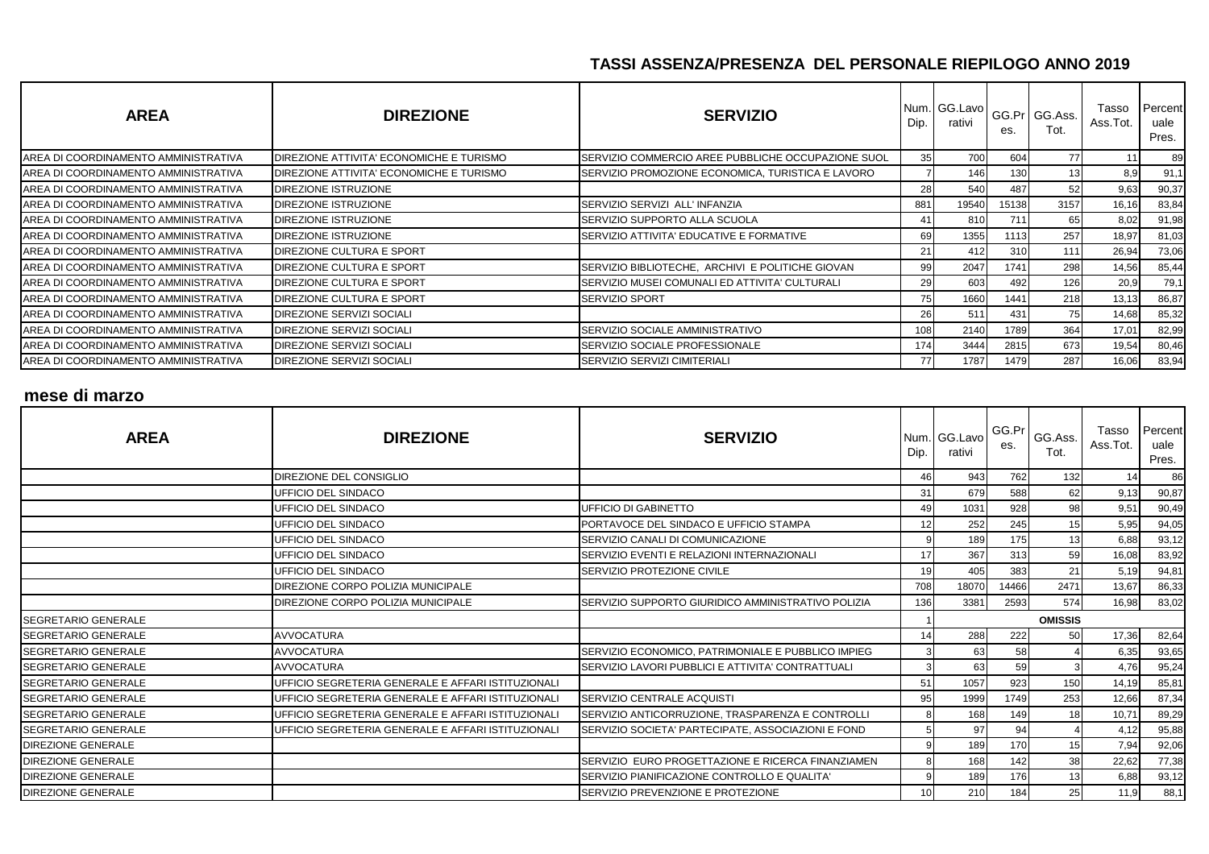| <b>AREA</b>                          | <b>DIREZIONE</b>                         | <b>SERVIZIO</b>                                    | Dip. | Num. GG.Lavo<br>rativi | es.   | GG.Pr GG.Ass.<br>Tot. | Tasso<br>Ass.Tot. | Percent<br>uale<br>Pres. |
|--------------------------------------|------------------------------------------|----------------------------------------------------|------|------------------------|-------|-----------------------|-------------------|--------------------------|
| AREA DI COORDINAMENTO AMMINISTRATIVA | DIREZIONE ATTIVITA' ECONOMICHE E TURISMO | SERVIZIO COMMERCIO AREE PUBBLICHE OCCUPAZIONE SUOL | 35   | 700                    | 604   | 77                    |                   | 89                       |
| AREA DI COORDINAMENTO AMMINISTRATIVA | DIREZIONE ATTIVITA' ECONOMICHE E TURISMO | SERVIZIO PROMOZIONE ECONOMICA, TURISTICA E LAVORO  |      | 146                    | 130   |                       | 8.9               | 91,1                     |
| AREA DI COORDINAMENTO AMMINISTRATIVA | DIREZIONE ISTRUZIONE                     |                                                    | 28   | 540                    | 487   | 52                    | 9,63              | 90,37                    |
| AREA DI COORDINAMENTO AMMINISTRATIVA | DIREZIONE ISTRUZIONE                     | SERVIZIO SERVIZI ALL'INFANZIA                      | 881  | 19540                  | 15138 | 3157                  | 16,16             | 83,84                    |
| AREA DI COORDINAMENTO AMMINISTRATIVA | DIREZIONE ISTRUZIONE                     | SERVIZIO SUPPORTO ALLA SCUOLA                      | 41   | 810                    | 711   | 65                    | 8.02              | 91,98                    |
| AREA DI COORDINAMENTO AMMINISTRATIVA | DIREZIONE ISTRUZIONE                     | SERVIZIO ATTIVITA' EDUCATIVE E FORMATIVE           | 69   | 1355                   | 1113  | 257                   | 18,97             | 81,03                    |
| AREA DI COORDINAMENTO AMMINISTRATIVA | DIREZIONE CULTURA E SPORT                |                                                    | 21   | 412                    | 310   | 111                   | 26,94             | 73,06                    |
| AREA DI COORDINAMENTO AMMINISTRATIVA | DIREZIONE CULTURA E SPORT                | SERVIZIO BIBLIOTECHE. ARCHIVI E POLITICHE GIOVAN   | 99   | 2047                   | 1741  | 298                   | 14,56             | 85,44                    |
| AREA DI COORDINAMENTO AMMINISTRATIVA | DIREZIONE CULTURA E SPORT                | SERVIZIO MUSEI COMUNALI ED ATTIVITA' CULTURALI     | 29   | 603                    | 492   | 126                   | 20,9              | 79,1                     |
| AREA DI COORDINAMENTO AMMINISTRATIVA | DIREZIONE CULTURA E SPORT                | <b>SERVIZIO SPORT</b>                              | 75   | 1660                   | 1441  | 218                   | 13,13             | 86,87                    |
| AREA DI COORDINAMENTO AMMINISTRATIVA | DIREZIONE SERVIZI SOCIALI                |                                                    | 26   | 511                    | 431   | 75                    | 14,68             | 85,32                    |
| AREA DI COORDINAMENTO AMMINISTRATIVA | DIREZIONE SERVIZI SOCIALI                | SERVIZIO SOCIALE AMMINISTRATIVO                    | 108  | 2140                   | 1789  | 364                   | 17,01             | 82,99                    |
| AREA DI COORDINAMENTO AMMINISTRATIVA | DIREZIONE SERVIZI SOCIALI                | SERVIZIO SOCIALE PROFESSIONALE                     | 174  | 3444                   | 2815  | 673                   | 19,54             | 80,46                    |
| AREA DI COORDINAMENTO AMMINISTRATIVA | DIREZIONE SERVIZI SOCIALI                | SERVIZIO SERVIZI CIMITERIALI                       | 77   | 1787                   | 1479  | 287                   | 16,06             | 83,94                    |

#### **mese di marzo**

| <b>AREA</b>                | <b>DIREZIONE</b>                                   | <b>SERVIZIO</b>                                    | Dip. | Num. GG. Lavo<br>rativi | GG.Pr<br>es. | GG.Ass.<br>Tot. | Tasso<br>Ass.Tot. | Percent<br>uale<br>Pres. |
|----------------------------|----------------------------------------------------|----------------------------------------------------|------|-------------------------|--------------|-----------------|-------------------|--------------------------|
|                            | DIREZIONE DEL CONSIGLIO                            |                                                    | 46   | 943                     | 762          | 132             | 14                | 86                       |
|                            | UFFICIO DEL SINDACO                                |                                                    | 31   | 679                     | 588          | 62              | 9.13              | 90,87                    |
|                            | UFFICIO DEL SINDACO                                | UFFICIO DI GABINETTO                               | 49   | 1031                    | 928          | 98              | 9,51              | 90,49                    |
|                            | UFFICIO DEL SINDACO                                | PORTAVOCE DEL SINDACO E UFFICIO STAMPA             | 12   | 252                     | 245          | 15              | 5,95              | 94,05                    |
|                            | UFFICIO DEL SINDACO                                | SERVIZIO CANALI DI COMUNICAZIONE                   |      | 189                     | 175          | 13              | 6,88              | 93,12                    |
|                            | UFFICIO DEL SINDACO                                | SERVIZIO EVENTI E RELAZIONI INTERNAZIONALI         | 17   | 367                     | 313          | 59              | 16,08             | 83,92                    |
|                            | UFFICIO DEL SINDACO                                | SERVIZIO PROTEZIONE CIVILE                         | 19   | 405                     | 383          | 21              | 5,19              | 94,81                    |
|                            | DIREZIONE CORPO POLIZIA MUNICIPALE                 |                                                    | 708  | 18070                   | 14466        | 2471            | 13,67             | 86,33                    |
|                            | DIREZIONE CORPO POLIZIA MUNICIPALE                 | SERVIZIO SUPPORTO GIURIDICO AMMINISTRATIVO POLIZIA | 136  | 3381                    | 2593         | 574             | 16,98             | 83,02                    |
| SEGRETARIO GENERALE        |                                                    |                                                    |      |                         |              | <b>OMISSIS</b>  |                   |                          |
| <b>SEGRETARIO GENERALE</b> | <b>AVVOCATURA</b>                                  |                                                    | 14   | 288                     | 222          | 50              | 17,36             | 82,64                    |
| <b>SEGRETARIO GENERALE</b> | <b>AVVOCATURA</b>                                  | SERVIZIO ECONOMICO, PATRIMONIALE E PUBBLICO IMPIEG |      | 63                      | 58           |                 | 6,35              | 93,65                    |
| SEGRETARIO GENERALE        | <b>AVVOCATURA</b>                                  | SERVIZIO LAVORI PUBBLICI E ATTIVITA' CONTRATTUALI  |      | 63                      | 59           |                 | 4,76              | 95,24                    |
| SEGRETARIO GENERALE        | UFFICIO SEGRETERIA GENERALE E AFFARI ISTITUZIONALI |                                                    | 51   | 1057                    | 923          | 150             | 14,19             | 85,81                    |
| SEGRETARIO GENERALE        | UFFICIO SEGRETERIA GENERALE E AFFARI ISTITUZIONALI | SERVIZIO CENTRALE ACQUISTI                         | 95   | 1999                    | 1749         | 253             | 12,66             | 87,34                    |
| <b>SEGRETARIO GENERALE</b> | UFFICIO SEGRETERIA GENERALE E AFFARI ISTITUZIONALI | SERVIZIO ANTICORRUZIONE, TRASPARENZA E CONTROLLI   |      | 168                     | 149          | 18              | 10,71             | 89,29                    |
| SEGRETARIO GENERALE        | UFFICIO SEGRETERIA GENERALE E AFFARI ISTITUZIONALI | SERVIZIO SOCIETA' PARTECIPATE, ASSOCIAZIONI E FOND |      | 97                      | 94           |                 | 4,12              | 95,88                    |
| <b>DIREZIONE GENERALE</b>  |                                                    |                                                    |      | 189                     | 170          | 15              | 7,94              | 92,06                    |
| <b>DIREZIONE GENERALE</b>  |                                                    | SERVIZIO EURO PROGETTAZIONE E RICERCA FINANZIAMEN  |      | 168                     | 142          | 38              | 22,62             | 77,38                    |
| <b>DIREZIONE GENERALE</b>  |                                                    | SERVIZIO PIANIFICAZIONE CONTROLLO E QUALITA'       |      | 189                     | 176          | 13              | 6,88              | 93,12                    |
| <b>DIREZIONE GENERALE</b>  |                                                    | SERVIZIO PREVENZIONE E PROTEZIONE                  | 10   | 210                     | 184          | 25              | 11,9              | 88,1                     |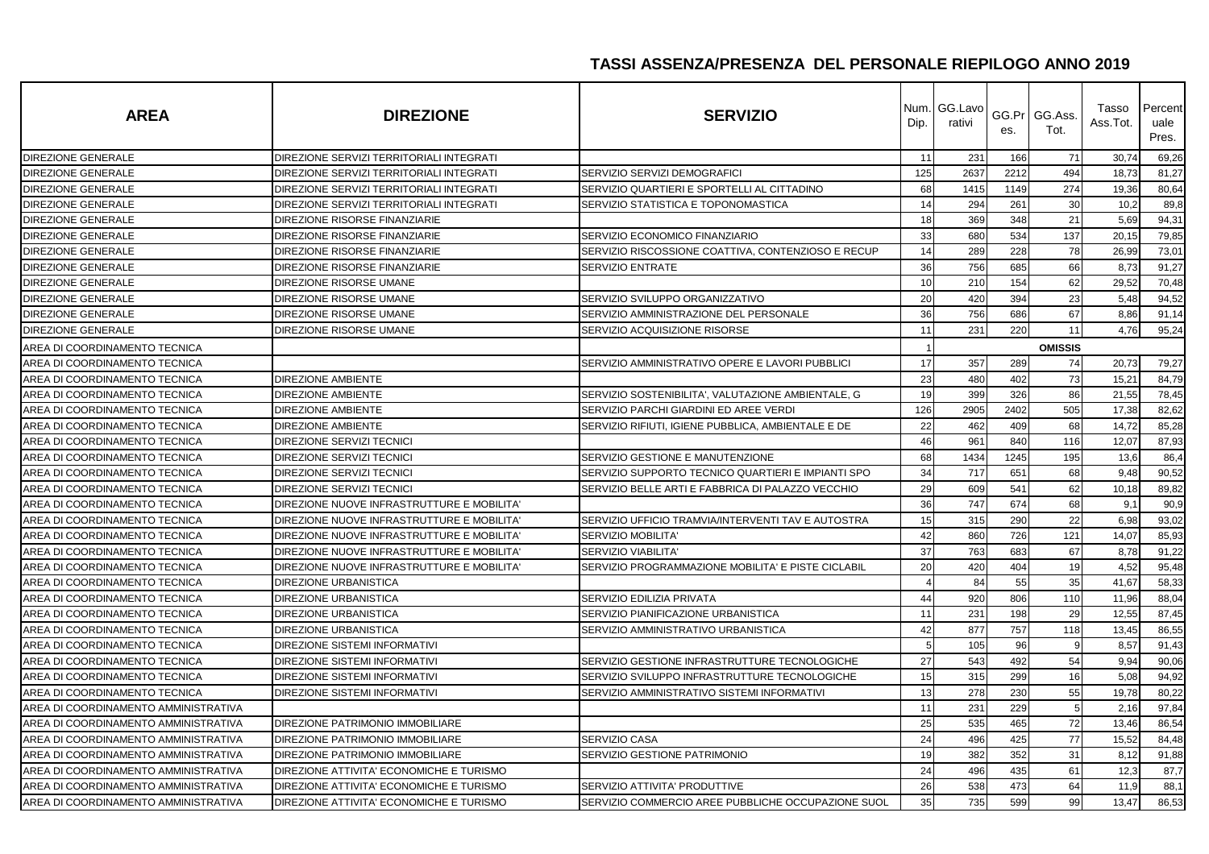| <b>AREA</b>                          | <b>DIREZIONE</b>                           | <b>SERVIZIO</b>                                    | Dip. | Num. GG.Lavo<br>rativi | GG.Pr<br>es. | GG.Ass.<br>Tot. | Tasso<br>Ass.Tot. | Percent<br>uale<br>Pres. |
|--------------------------------------|--------------------------------------------|----------------------------------------------------|------|------------------------|--------------|-----------------|-------------------|--------------------------|
| DIREZIONE GENERALE                   | DIREZIONE SERVIZI TERRITORIALI INTEGRATI   |                                                    | 11   | 231                    | 166          | 71              | 30,74             | 69,26                    |
| <b>DIREZIONE GENERALE</b>            | DIREZIONE SERVIZI TERRITORIALI INTEGRATI   | SERVIZIO SERVIZI DEMOGRAFICI                       | 125  | 2637                   | 2212         | 494             | 18,73             | 81,27                    |
| <b>DIREZIONE GENERALE</b>            | DIREZIONE SERVIZI TERRITORIALI INTEGRATI   | SERVIZIO QUARTIERI E SPORTELLI AL CITTADINO        | 68   | 1415                   | 1149         | 274             | 19,36             | 80,64                    |
| DIREZIONE GENERALE                   | DIREZIONE SERVIZI TERRITORIALI INTEGRATI   | SERVIZIO STATISTICA E TOPONOMASTICA                | 14   | 294                    | 261          | 30              | 10,2              | 89,8                     |
| <b>DIREZIONE GENERALE</b>            | DIREZIONE RISORSE FINANZIARIE              |                                                    | 18   | 369                    | 348          | 21              | 5,69              | 94,31                    |
| DIREZIONE GENERALE                   | DIREZIONE RISORSE FINANZIARIE              | SERVIZIO ECONOMICO FINANZIARIO                     | 33   | 680                    | 534          | 137             | 20,15             | 79,85                    |
| <b>DIREZIONE GENERALE</b>            | DIREZIONE RISORSE FINANZIARIE              | SERVIZIO RISCOSSIONE COATTIVA, CONTENZIOSO E RECUP | 14   | 289                    | 228          | 78              | 26,99             | 73,01                    |
| <b>DIREZIONE GENERALE</b>            | DIREZIONE RISORSE FINANZIARIE              | <b>SERVIZIO ENTRATE</b>                            | 36   | 756                    | 685          | 66              | 8,73              | 91,27                    |
| DIREZIONE GENERALE                   | DIREZIONE RISORSE UMANE                    |                                                    | 10   | 210                    | 154          | 62              | 29,52             | 70,48                    |
| DIREZIONE GENERALE                   | DIREZIONE RISORSE UMANE                    | SERVIZIO SVILUPPO ORGANIZZATIVO                    | 20   | 420                    | 394          | 23              | 5,48              | 94,52                    |
| DIREZIONE GENERALE                   | DIREZIONE RISORSE UMANE                    | SERVIZIO AMMINISTRAZIONE DEL PERSONALE             | 36   | 756                    | 686          | 67              | 8,86              | 91,14                    |
| DIREZIONE GENERALE                   | DIREZIONE RISORSE UMANE                    | SERVIZIO ACQUISIZIONE RISORSE                      | 11   | 231                    | 220          | 11              | 4,76              | 95,24                    |
| AREA DI COORDINAMENTO TECNICA        |                                            |                                                    |      |                        |              | <b>OMISSIS</b>  |                   |                          |
| AREA DI COORDINAMENTO TECNICA        |                                            | SERVIZIO AMMINISTRATIVO OPERE E LAVORI PUBBLICI    | 17   | 357                    | 289          | 74              | 20,73             | 79,27                    |
| AREA DI COORDINAMENTO TECNICA        | <b>DIREZIONE AMBIENTE</b>                  |                                                    | 23   | 480                    | 402          | 73              | 15,21             | 84,79                    |
| AREA DI COORDINAMENTO TECNICA        | <b>DIREZIONE AMBIENTE</b>                  | SERVIZIO SOSTENIBILITA', VALUTAZIONE AMBIENTALE, G | 19   | 399                    | 326          | 86              | 21,55             | 78,45                    |
| AREA DI COORDINAMENTO TECNICA        | <b>DIREZIONE AMBIENTE</b>                  | SERVIZIO PARCHI GIARDINI ED AREE VERDI             | 126  | 2905                   | 2402         | 505             | 17,38             | 82,62                    |
| AREA DI COORDINAMENTO TECNICA        | <b>DIREZIONE AMBIENTE</b>                  | SERVIZIO RIFIUTI, IGIENE PUBBLICA, AMBIENTALE E DE | 22   | 462                    | 409          | 68              | 14,72             | 85,28                    |
| AREA DI COORDINAMENTO TECNICA        | DIREZIONE SERVIZI TECNICI                  |                                                    | 46   | 961                    | 840          | 116             | 12,07             | 87,93                    |
| AREA DI COORDINAMENTO TECNICA        | DIREZIONE SERVIZI TECNICI                  | SERVIZIO GESTIONE E MANUTENZIONE                   | 68   | 1434                   | 1245         | 195             | 13,6              | 86,4                     |
| AREA DI COORDINAMENTO TECNICA        | <b>DIREZIONE SERVIZI TECNICI</b>           | SERVIZIO SUPPORTO TECNICO QUARTIERI E IMPIANTI SPO | 34   | 717                    | 651          | 68              | 9,48              | 90,52                    |
| AREA DI COORDINAMENTO TECNICA        | DIREZIONE SERVIZI TECNICI                  | SERVIZIO BELLE ARTI E FABBRICA DI PALAZZO VECCHIO  | 29   | 609                    | 541          | 62              | 10,18             | 89,82                    |
| AREA DI COORDINAMENTO TECNICA        | DIREZIONE NUOVE INFRASTRUTTURE E MOBILITA' |                                                    | 36   | 747                    | 674          | 68              | 9,1               | 90,9                     |
| AREA DI COORDINAMENTO TECNICA        | DIREZIONE NUOVE INFRASTRUTTURE E MOBILITA' | SERVIZIO UFFICIO TRAMVIA/INTERVENTI TAV E AUTOSTRA | 15   | 315                    | 290          | 22              | 6,98              | 93,02                    |
| AREA DI COORDINAMENTO TECNICA        | DIREZIONE NUOVE INFRASTRUTTURE E MOBILITA' | SERVIZIO MOBILITA'                                 | 42   | 860                    | 726          | 121             | 14,07             | 85,93                    |
| AREA DI COORDINAMENTO TECNICA        | DIREZIONE NUOVE INFRASTRUTTURE E MOBILITA' | SERVIZIO VIABILITA'                                | 37   | 763                    | 683          | 67              | 8,78              | 91,22                    |
| AREA DI COORDINAMENTO TECNICA        | DIREZIONE NUOVE INFRASTRUTTURE E MOBILITA' | SERVIZIO PROGRAMMAZIONE MOBILITA' E PISTE CICLABIL | 20   | 420                    | 404          | 19              | 4,52              | 95,48                    |
| AREA DI COORDINAMENTO TECNICA        | <b>DIREZIONE URBANISTICA</b>               |                                                    | 4    | 84                     | 55           | 35              | 41,67             | 58,33                    |
| AREA DI COORDINAMENTO TECNICA        | <b>DIREZIONE URBANISTICA</b>               | SERVIZIO EDILIZIA PRIVATA                          | 44   | 920                    | 806          | 110             | 11,96             | 88,04                    |
| AREA DI COORDINAMENTO TECNICA        | <b>DIREZIONE URBANISTICA</b>               | SERVIZIO PIANIFICAZIONE URBANISTICA                | 11   | 231                    | 198          | 29              | 12,55             | 87,45                    |
| AREA DI COORDINAMENTO TECNICA        | DIREZIONE URBANISTICA                      | SERVIZIO AMMINISTRATIVO URBANISTICA                | 42   | 877                    | 757          | 118             | 13,45             | 86,55                    |
| AREA DI COORDINAMENTO TECNICA        | DIREZIONE SISTEMI INFORMATIVI              |                                                    |      | 105                    | 96           | 9               | 8,57              | 91,43                    |
| AREA DI COORDINAMENTO TECNICA        | <b>DIREZIONE SISTEMI INFORMATIVI</b>       | SERVIZIO GESTIONE INFRASTRUTTURE TECNOLOGICHE      | 27   | 543                    | 492          | 54              | 9,94              | 90,06                    |
| AREA DI COORDINAMENTO TECNICA        | DIREZIONE SISTEMI INFORMATIVI              | SERVIZIO SVILUPPO INFRASTRUTTURE TECNOLOGICHE      | 15   | 315                    | 299          | 16              | 5,08              | 94,92                    |
| AREA DI COORDINAMENTO TECNICA        | DIREZIONE SISTEMI INFORMATIVI              | SERVIZIO AMMINISTRATIVO SISTEMI INFORMATIVI        | 13   | 278                    | 230          | 55              | 19,78             | 80,22                    |
| AREA DI COORDINAMENTO AMMINISTRATIVA |                                            |                                                    | 11   | 231                    | 229          | 5               | 2,16              | 97,84                    |
| AREA DI COORDINAMENTO AMMINISTRATIVA | DIREZIONE PATRIMONIO IMMOBILIARE           |                                                    | 25   | 535                    | 465          | 72              | 13,46             | 86,54                    |
| AREA DI COORDINAMENTO AMMINISTRATIVA | DIREZIONE PATRIMONIO IMMOBILIARE           | SERVIZIO CASA                                      | 24   | 496                    | 425          | 77              | 15,52             | 84,48                    |
| AREA DI COORDINAMENTO AMMINISTRATIVA | DIREZIONE PATRIMONIO IMMOBILIARE           | SERVIZIO GESTIONE PATRIMONIO                       | 19   | 382                    | 352          | 31              | 8,12              | 91,88                    |
| AREA DI COORDINAMENTO AMMINISTRATIVA | DIREZIONE ATTIVITA' ECONOMICHE E TURISMO   |                                                    | 24   | 496                    | 435          | 61              | 12.3              | 87,7                     |
| AREA DI COORDINAMENTO AMMINISTRATIVA | DIREZIONE ATTIVITA' ECONOMICHE E TURISMO   | SERVIZIO ATTIVITA' PRODUTTIVE                      | 26   | 538                    | 473          | 64              | 11,9              | 88,1                     |
| AREA DI COORDINAMENTO AMMINISTRATIVA | DIREZIONE ATTIVITA' ECONOMICHE E TURISMO   | SERVIZIO COMMERCIO AREE PUBBLICHE OCCUPAZIONE SUOL | 35   | 735                    | 599          | 99              | 13,47             | 86,53                    |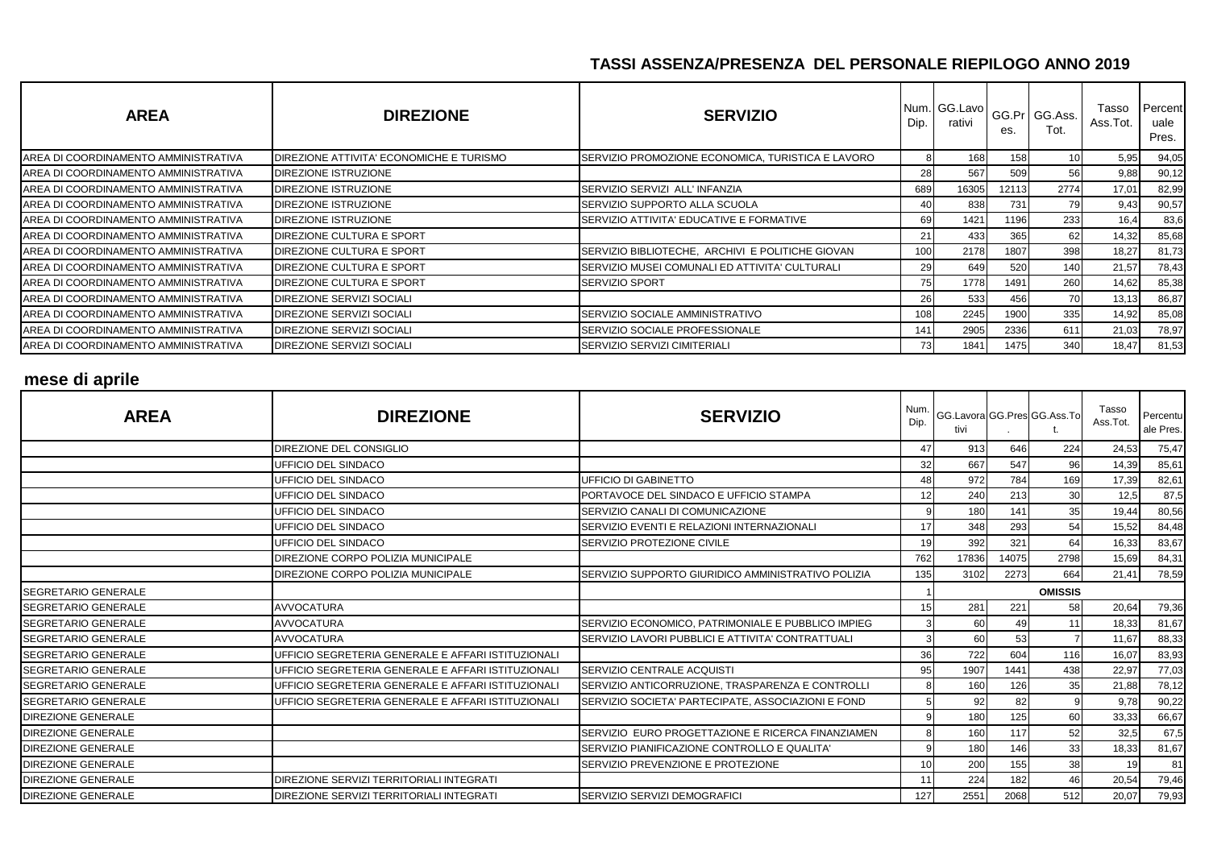| <b>AREA</b>                          | <b>DIREZIONE</b>                         | <b>SERVIZIO</b>                                   | Dip.      | Num. GG.Lavo<br>rativi | es.   | GG.Pr GG.Ass.<br>Tot. | Tasso<br>Ass.Tot. | Percent<br>uale<br>Pres. |
|--------------------------------------|------------------------------------------|---------------------------------------------------|-----------|------------------------|-------|-----------------------|-------------------|--------------------------|
| AREA DI COORDINAMENTO AMMINISTRATIVA | DIREZIONE ATTIVITA' ECONOMICHE E TURISMO | SERVIZIO PROMOZIONE ECONOMICA, TURISTICA E LAVORO |           | 168                    | 158   |                       | 5,95              | 94,05                    |
| AREA DI COORDINAMENTO AMMINISTRATIVA | DIREZIONE ISTRUZIONE                     |                                                   | 28        | 567                    | 509   | 56                    | 9,88              | 90,12                    |
| AREA DI COORDINAMENTO AMMINISTRATIVA | DIREZIONE ISTRUZIONE                     | SERVIZIO SERVIZI ALL'INFANZIA                     | 689       | 16305                  | 12113 | 2774                  | 17,01             | 82,99                    |
| AREA DI COORDINAMENTO AMMINISTRATIVA | <b>DIREZIONE ISTRUZIONE</b>              | SERVIZIO SUPPORTO ALLA SCUOLA                     |           | 838                    | 731   | 79                    | 9,43              | 90,57                    |
| AREA DI COORDINAMENTO AMMINISTRATIVA | <b>DIREZIONE ISTRUZIONE</b>              | SERVIZIO ATTIVITA' EDUCATIVE E FORMATIVE          | 69        | 1421                   | 1196  | 233                   | 16,4              | 83,6                     |
| AREA DI COORDINAMENTO AMMINISTRATIVA | DIREZIONE CULTURA E SPORT                |                                                   | 21        | 433                    | 365   | 62                    | 14,32             | 85,68                    |
| AREA DI COORDINAMENTO AMMINISTRATIVA | DIREZIONE CULTURA E SPORT                | SERVIZIO BIBLIOTECHE, ARCHIVI E POLITICHE GIOVAN  | 100       | 2178                   | 1807  | 398                   | 18,27             | 81,73                    |
| AREA DI COORDINAMENTO AMMINISTRATIVA | DIREZIONE CULTURA E SPORT                | SERVIZIO MUSEI COMUNALI ED ATTIVITA' CULTURALI    | 29        | 649                    | 520   | 140                   | 21,57             | 78,43                    |
| AREA DI COORDINAMENTO AMMINISTRATIVA | DIREZIONE CULTURA E SPORT                | <b>ISERVIZIO SPORT</b>                            | 75        | 1778                   | 1491  | 260                   | 14,62             | 85,38                    |
| AREA DI COORDINAMENTO AMMINISTRATIVA | DIREZIONE SERVIZI SOCIALI                |                                                   | <b>26</b> | 533                    | 456   | 70                    | 13,13             | 86,87                    |
| AREA DI COORDINAMENTO AMMINISTRATIVA | DIREZIONE SERVIZI SOCIALI                | SERVIZIO SOCIALE AMMINISTRATIVO                   | 108       | 2245                   | 1900  | 335                   | 14,92             | 85,08                    |
| AREA DI COORDINAMENTO AMMINISTRATIVA | DIREZIONE SERVIZI SOCIALI                | SERVIZIO SOCIALE PROFESSIONALE                    | 141       | 2905                   | 2336  | 611                   | 21,03             | 78,97                    |
| AREA DI COORDINAMENTO AMMINISTRATIVA | DIREZIONE SERVIZI SOCIALI                | SERVIZIO SERVIZI CIMITERIALI                      | 73        | 1841                   | 1475  | 340                   | 18,47             | 81,53                    |

#### **mese di aprile**

| <b>AREA</b>                 | <b>DIREZIONE</b>                                   | <b>SERVIZIO</b>                                    | Num.<br>Dip. | GG.Lavora GG.Pres GG.Ass.To<br>tivi |       |                | Tasso<br>Ass.Tot. | Percentu<br>ale Pres. |
|-----------------------------|----------------------------------------------------|----------------------------------------------------|--------------|-------------------------------------|-------|----------------|-------------------|-----------------------|
|                             | DIREZIONE DEL CONSIGLIO                            |                                                    | 47           | 913                                 | 646   | 224            | 24,53             | 75,47                 |
|                             | UFFICIO DEL SINDACO                                |                                                    | 32           | 667                                 | 547   | 96             | 14,39             | 85,61                 |
|                             | UFFICIO DEL SINDACO                                | <b>UFFICIO DI GABINETTO</b>                        | 48           | 972                                 | 784   | 169            | 17,39             | 82,61                 |
|                             | UFFICIO DEL SINDACO                                | PORTAVOCE DEL SINDACO E UFFICIO STAMPA             | 12           | 240                                 | 213   | 30             | 12,5              | 87,5                  |
|                             | UFFICIO DEL SINDACO                                | SERVIZIO CANALI DI COMUNICAZIONE                   | 9            | 180                                 | 141   | 35             | 19,44             | 80,56                 |
|                             | UFFICIO DEL SINDACO                                | SERVIZIO EVENTI E RELAZIONI INTERNAZIONALI         | 17           | 348                                 | 293   | 54             | 15,52             | 84,48                 |
|                             | UFFICIO DEL SINDACO                                | SERVIZIO PROTEZIONE CIVILE                         | 19           | 392                                 | 321   | 64             | 16,33             | 83,67                 |
|                             | DIREZIONE CORPO POLIZIA MUNICIPALE                 |                                                    | 762          | 17836                               | 14075 | 2798           | 15,69             | 84,31                 |
|                             | DIREZIONE CORPO POLIZIA MUNICIPALE                 | SERVIZIO SUPPORTO GIURIDICO AMMINISTRATIVO POLIZIA | 135          | 3102                                | 2273  | 664            | 21,41             | 78,59                 |
| <b>SEGRETARIO GENERALE</b>  |                                                    |                                                    |              |                                     |       | <b>OMISSIS</b> |                   |                       |
| <b>SEGRETARIO GENERALE</b>  | <b>AVVOCATURA</b>                                  |                                                    | 15           | 281                                 | 221   | 58             | 20,64             | 79,36                 |
| <b>SEGRETARIO GENERALE</b>  | <b>AVVOCATURA</b>                                  | SERVIZIO ECONOMICO, PATRIMONIALE E PUBBLICO IMPIEG | 3            | 60                                  | 49    | 11             | 18,33             | 81,67                 |
| <b>SEGRETARIO GENERALE</b>  | <b>AVVOCATURA</b>                                  | SERVIZIO LAVORI PUBBLICI E ATTIVITA' CONTRATTUALI  |              | 60                                  | 53    |                | 11,67             | 88,33                 |
| <b>ISEGRETARIO GENERALE</b> | UFFICIO SEGRETERIA GENERALE E AFFARI ISTITUZIONALI |                                                    | 36           | 722                                 | 604   | 116            | 16,07             | 83,93                 |
| <b>ISEGRETARIO GENERALE</b> | UFFICIO SEGRETERIA GENERALE E AFFARI ISTITUZIONALI | SERVIZIO CENTRALE ACQUISTI                         | 95           | 1907                                | 1441  | 438            | 22,97             | 77,03                 |
| <b>ISEGRETARIO GENERALE</b> | UFFICIO SEGRETERIA GENERALE E AFFARI ISTITUZIONALI | SERVIZIO ANTICORRUZIONE, TRASPARENZA E CONTROLLI   |              | 160                                 | 126   | 35             | 21,88             | 78,12                 |
| <b>SEGRETARIO GENERALE</b>  | UFFICIO SEGRETERIA GENERALE E AFFARI ISTITUZIONALI | SERVIZIO SOCIETA' PARTECIPATE, ASSOCIAZIONI E FOND |              | 92                                  | 82    | q              | 9,78              | 90,22                 |
| <b>DIREZIONE GENERALE</b>   |                                                    |                                                    | q            | 180                                 | 125   | 60             | 33,33             | 66,67                 |
| <b>DIREZIONE GENERALE</b>   |                                                    | SERVIZIO EURO PROGETTAZIONE E RICERCA FINANZIAMEN  | 8            | 160                                 | 117   | 52             | 32,5              | 67,5                  |
| <b>DIREZIONE GENERALE</b>   |                                                    | SERVIZIO PIANIFICAZIONE CONTROLLO E QUALITA'       | 9            | 180                                 | 146   | 33             | 18,33             | 81,67                 |
| <b>DIREZIONE GENERALE</b>   |                                                    | SERVIZIO PREVENZIONE E PROTEZIONE                  | 10           | 200                                 | 155   | 38             | 19                | 81                    |
| <b>DIREZIONE GENERALE</b>   | DIREZIONE SERVIZI TERRITORIALI INTEGRATI           |                                                    | 11           | 224                                 | 182   | 46             | 20,54             | 79,46                 |
| <b>DIREZIONE GENERALE</b>   | DIREZIONE SERVIZI TERRITORIALI INTEGRATI           | SERVIZIO SERVIZI DEMOGRAFICI                       | 127          | 2551                                | 2068  | 512            | 20,07             | 79,93                 |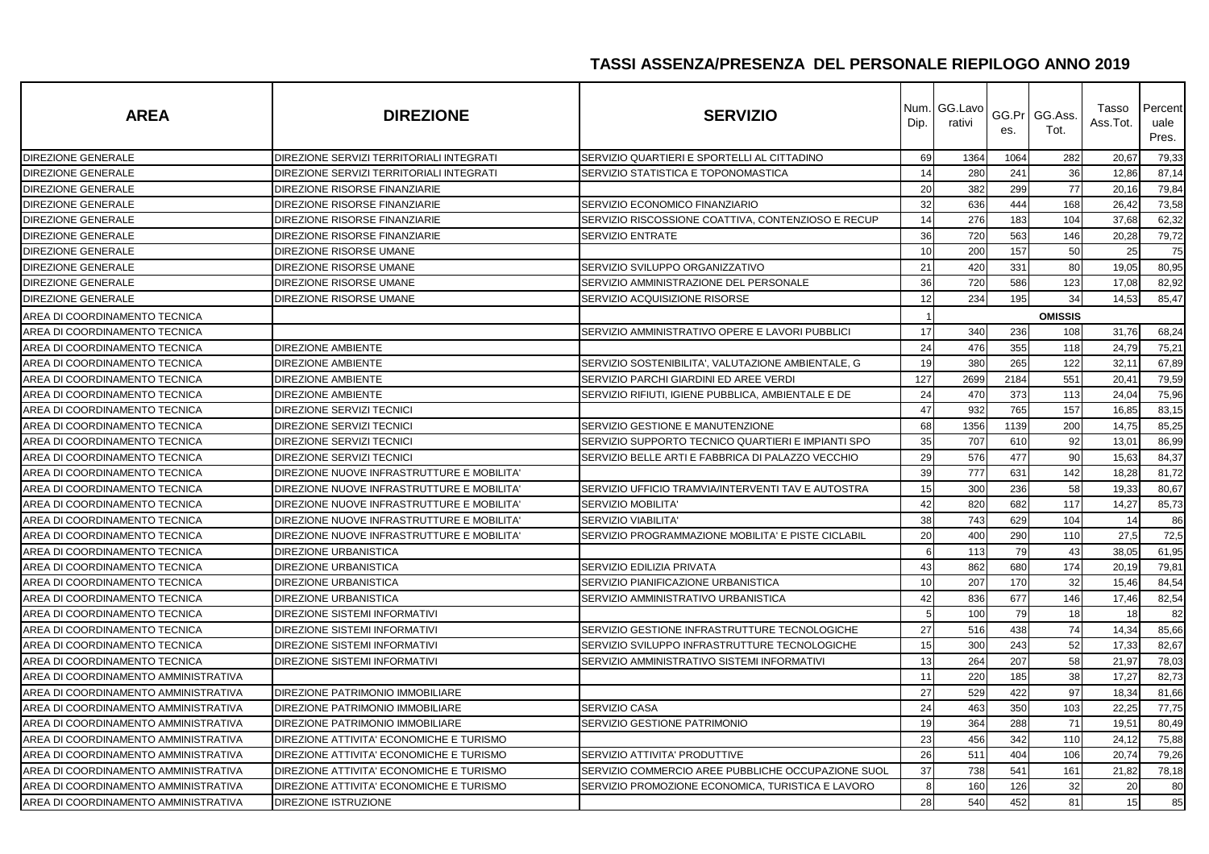| <b>AREA</b>                          | <b>DIREZIONE</b>                           | <b>SERVIZIO</b>                                    | Num.<br>Dip. | GG.Lavo<br>rativi | es.  | GG.Pr GG.Ass.<br>Tot. | Tasso<br>Ass.Tot. | Percent<br>uale<br>Pres. |
|--------------------------------------|--------------------------------------------|----------------------------------------------------|--------------|-------------------|------|-----------------------|-------------------|--------------------------|
| DIREZIONE GENERALE                   | DIREZIONE SERVIZI TERRITORIALI INTEGRATI   | SERVIZIO QUARTIERI E SPORTELLI AL CITTADINO        | 69           | 1364              | 1064 | 282                   | 20,67             | 79,33                    |
| DIREZIONE GENERALE                   | DIREZIONE SERVIZI TERRITORIALI INTEGRATI   | SERVIZIO STATISTICA E TOPONOMASTICA                | 14           | 280               | 241  | 36                    | 12,86             | 87,14                    |
| DIREZIONE GENERALE                   | DIREZIONE RISORSE FINANZIARIE              |                                                    | 20           | 382               | 299  | 77                    | 20,16             | 79,84                    |
| <b>DIREZIONE GENERALE</b>            | DIREZIONE RISORSE FINANZIARIE              | SERVIZIO ECONOMICO FINANZIARIO                     | 32           | 636               | 444  | 168                   | 26,42             | 73,58                    |
| DIREZIONE GENERALE                   | DIREZIONE RISORSE FINANZIARIE              | SERVIZIO RISCOSSIONE COATTIVA, CONTENZIOSO E RECUP | 14           | 276               | 183  | 104                   | 37,68             | 62,32                    |
| DIREZIONE GENERALE                   | DIREZIONE RISORSE FINANZIARIE              | <b>SERVIZIO ENTRATE</b>                            | 36           | 720               | 563  | 146                   | 20,28             | 79,72                    |
| <b>DIREZIONE GENERALE</b>            | DIREZIONE RISORSE UMANE                    |                                                    | 10           | 200               | 157  | 50                    | 25                | 75                       |
| DIREZIONE GENERALE                   | DIREZIONE RISORSE UMANE                    | SERVIZIO SVILUPPO ORGANIZZATIVO                    | 21           | 420               | 331  | 80                    | 19,05             | 80,95                    |
| <b>DIREZIONE GENERALE</b>            | DIREZIONE RISORSE UMANE                    | SERVIZIO AMMINISTRAZIONE DEL PERSONALE             | 36           | 720               | 586  | 123                   | 17,08             | 82,92                    |
| DIREZIONE GENERALE                   | DIREZIONE RISORSE UMANE                    | SERVIZIO ACQUISIZIONE RISORSE                      | 12           | 234               | 195  | 34                    | 14,53             | 85,47                    |
| AREA DI COORDINAMENTO TECNICA        |                                            |                                                    |              |                   |      | <b>OMISSIS</b>        |                   |                          |
| AREA DI COORDINAMENTO TECNICA        |                                            | SERVIZIO AMMINISTRATIVO OPERE E LAVORI PUBBLICI    | 17           | 340               | 236  | 108                   | 31,76             | 68,24                    |
| AREA DI COORDINAMENTO TECNICA        | <b>DIREZIONE AMBIENTE</b>                  |                                                    | 24           | 476               | 355  | 118                   | 24,79             | 75,21                    |
| AREA DI COORDINAMENTO TECNICA        | <b>DIREZIONE AMBIENTE</b>                  | SERVIZIO SOSTENIBILITA', VALUTAZIONE AMBIENTALE, G | 19           | 380               | 265  | 122                   | 32,11             | 67,89                    |
| AREA DI COORDINAMENTO TECNICA        | <b>DIREZIONE AMBIENTE</b>                  | SERVIZIO PARCHI GIARDINI ED AREE VERDI             | 127          | 2699              | 2184 | 551                   | 20,4'             | 79,59                    |
| AREA DI COORDINAMENTO TECNICA        | <b>DIREZIONE AMBIENTE</b>                  | SERVIZIO RIFIUTI, IGIENE PUBBLICA, AMBIENTALE E DE | 24           | 470               | 373  | 113                   | 24,04             | 75,96                    |
| AREA DI COORDINAMENTO TECNICA        | DIREZIONE SERVIZI TECNICI                  |                                                    | 47           | 932               | 765  | 157                   | 16,85             | 83,15                    |
| AREA DI COORDINAMENTO TECNICA        | DIREZIONE SERVIZI TECNICI                  | SERVIZIO GESTIONE E MANUTENZIONE                   | 68           | 1356              | 1139 | 200                   | 14,75             | 85,25                    |
| AREA DI COORDINAMENTO TECNICA        | <b>DIREZIONE SERVIZI TECNICI</b>           | SERVIZIO SUPPORTO TECNICO QUARTIERI E IMPIANTI SPO | 35           | 707               | 610  | 92                    | 13,01             | 86,99                    |
| AREA DI COORDINAMENTO TECNICA        | <b>DIREZIONE SERVIZI TECNICI</b>           | SERVIZIO BELLE ARTI E FABBRICA DI PALAZZO VECCHIO  | 29           | 576               | 477  | 90                    | 15,63             | 84,37                    |
| AREA DI COORDINAMENTO TECNICA        | DIREZIONE NUOVE INFRASTRUTTURE E MOBILITA' |                                                    | 39           | 777               | 631  | 142                   | 18,28             | 81,72                    |
| AREA DI COORDINAMENTO TECNICA        | DIREZIONE NUOVE INFRASTRUTTURE E MOBILITA' | SERVIZIO UFFICIO TRAMVIA/INTERVENTI TAV E AUTOSTRA | 15           | 300               | 236  | 58                    | 19,33             | 80,67                    |
| AREA DI COORDINAMENTO TECNICA        | DIREZIONE NUOVE INFRASTRUTTURE E MOBILITA' | SERVIZIO MOBILITA'                                 | 42           | 820               | 682  | 117                   | 14,27             | 85,73                    |
| AREA DI COORDINAMENTO TECNICA        | DIREZIONE NUOVE INFRASTRUTTURE E MOBILITA  | <b>SERVIZIO VIABILITA'</b>                         | 38           | 743               | 629  | 104                   | 14                | 86                       |
| AREA DI COORDINAMENTO TECNICA        | DIREZIONE NUOVE INFRASTRUTTURE E MOBILITA' | SERVIZIO PROGRAMMAZIONE MOBILITA' E PISTE CICLABIL | 20           | 400               | 290  | 110                   | 27,5              | 72,5                     |
| AREA DI COORDINAMENTO TECNICA        | <b>DIREZIONE URBANISTICA</b>               |                                                    | 6            | 113               | 79   | 43                    | 38,05             | 61,95                    |
| AREA DI COORDINAMENTO TECNICA        | <b>DIREZIONE URBANISTICA</b>               | SERVIZIO EDILIZIA PRIVATA                          | 43           | 862               | 680  | 174                   | 20,19             | 79,81                    |
| AREA DI COORDINAMENTO TECNICA        | <b>DIREZIONE URBANISTICA</b>               | SERVIZIO PIANIFICAZIONE URBANISTICA                | 10           | 207               | 170  | 32                    | 15,46             | 84,54                    |
| AREA DI COORDINAMENTO TECNICA        | <b>DIREZIONE URBANISTICA</b>               | SERVIZIO AMMINISTRATIVO URBANISTICA                | 42           | 836               | 677  | 146                   | 17,46             | 82,54                    |
| AREA DI COORDINAMENTO TECNICA        | <b>DIREZIONE SISTEMI INFORMATIVI</b>       |                                                    | 5            | 100               | 79   | 18                    | 18                | 82                       |
| AREA DI COORDINAMENTO TECNICA        | DIREZIONE SISTEMI INFORMATIVI              | SERVIZIO GESTIONE INFRASTRUTTURE TECNOLOGICHE      | 27           | 516               | 438  | 74                    | 14,34             | 85,66                    |
| AREA DI COORDINAMENTO TECNICA        | <b>DIREZIONE SISTEMI INFORMATIVI</b>       | SERVIZIO SVILUPPO INFRASTRUTTURE TECNOLOGICHE      | 15           | 300               | 243  | 52                    | 17,33             | 82,67                    |
| AREA DI COORDINAMENTO TECNICA        | <b>DIREZIONE SISTEMI INFORMATIVI</b>       | SERVIZIO AMMINISTRATIVO SISTEMI INFORMATIVI        | 13           | 264               | 207  | 58                    | 21,97             | 78,03                    |
| AREA DI COORDINAMENTO AMMINISTRATIVA |                                            |                                                    | 11           | 220               | 185  | 38                    | 17,27             | 82,73                    |
| AREA DI COORDINAMENTO AMMINISTRATIVA | DIREZIONE PATRIMONIO IMMOBILIARE           |                                                    | 27           | 529               | 422  | 97                    | 18,34             | 81,66                    |
| AREA DI COORDINAMENTO AMMINISTRATIVA | DIREZIONE PATRIMONIO IMMOBILIARE           | SERVIZIO CASA                                      | 24           | 463               | 350  | 103                   | 22,25             | 77,75                    |
| AREA DI COORDINAMENTO AMMINISTRATIVA | DIREZIONE PATRIMONIO IMMOBILIARE           | SERVIZIO GESTIONE PATRIMONIO                       | 19           | 364               | 288  | 71                    | 19,51             | 80,49                    |
| AREA DI COORDINAMENTO AMMINISTRATIVA | DIREZIONE ATTIVITA' ECONOMICHE E TURISMO   |                                                    | 23           | 456               | 342  | 110                   | 24,12             | 75,88                    |
| AREA DI COORDINAMENTO AMMINISTRATIVA | DIREZIONE ATTIVITA' ECONOMICHE E TURISMO   | SERVIZIO ATTIVITA' PRODUTTIVE                      | 26           | 511               | 404  | 106                   | 20,74             | 79,26                    |
| AREA DI COORDINAMENTO AMMINISTRATIVA | DIREZIONE ATTIVITA' ECONOMICHE E TURISMO   | SERVIZIO COMMERCIO AREE PUBBLICHE OCCUPAZIONE SUOL | 37           | 738               | 541  | 161                   | 21,82             | 78,18                    |
| AREA DI COORDINAMENTO AMMINISTRATIVA | DIREZIONE ATTIVITA' ECONOMICHE E TURISMO   | SERVIZIO PROMOZIONE ECONOMICA, TURISTICA E LAVORO  | 8            | 160               | 126  | 32                    | 20                | 80                       |
| AREA DI COORDINAMENTO AMMINISTRATIVA | DIREZIONE ISTRUZIONE                       |                                                    | 28           | 540               | 452  | 81                    | 15                | 85                       |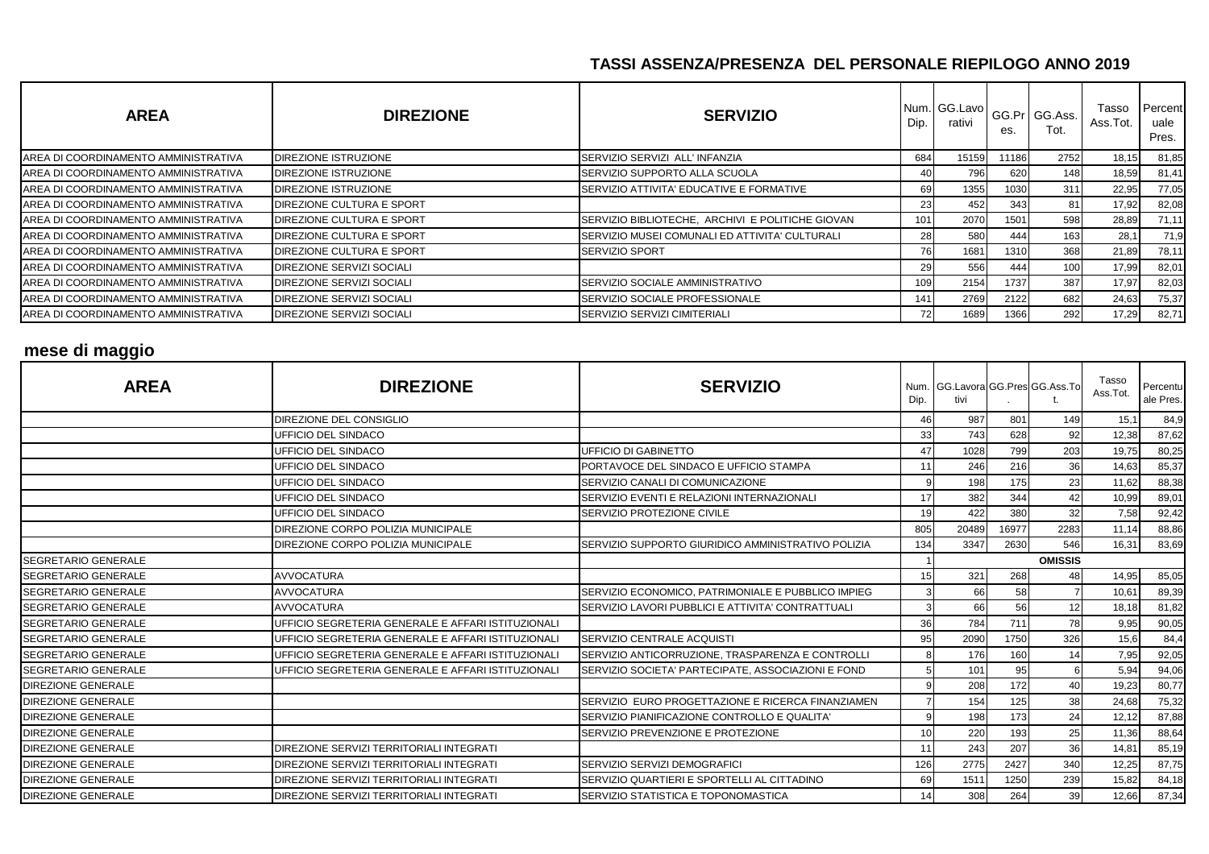| <b>AREA</b>                           | <b>DIREZIONE</b>                 | <b>SERVIZIO</b>                                  | Dip. | Num. GG.Lavo<br>rativi | es.   | GG.Pr GG.Ass.<br>Tot. | Tasso<br>Ass.Tot. | Percent<br>uale<br>Pres. |
|---------------------------------------|----------------------------------|--------------------------------------------------|------|------------------------|-------|-----------------------|-------------------|--------------------------|
| AREA DI COORDINAMENTO AMMINISTRATIVA  | <b>DIREZIONE ISTRUZIONE</b>      | SERVIZIO SERVIZI ALL'INFANZIA                    | 684  | 15159                  | 11186 | 2752                  | 18,15             | 81,85                    |
| AREA DI COORDINAMENTO AMMINISTRATIVA  | <b>DIREZIONE ISTRUZIONE</b>      | SERVIZIO SUPPORTO ALLA SCUOLA                    | 40   | 796                    | 620   | 148                   | 18,59             | 81,41                    |
| IAREA DI COORDINAMENTO AMMINISTRATIVA | <b>DIREZIONE ISTRUZIONE</b>      | SERVIZIO ATTIVITA' EDUCATIVE E FORMATIVE         | 69   | 1355                   | 1030  | 311                   | 22,95             | 77,05                    |
| AREA DI COORDINAMENTO AMMINISTRATIVA  | <b>DIREZIONE CULTURA E SPORT</b> |                                                  | 23   | 452                    | 343   | 81                    | 17,92             | 82,08                    |
| IAREA DI COORDINAMENTO AMMINISTRATIVA | <b>DIREZIONE CULTURA E SPORT</b> | SERVIZIO BIBLIOTECHE, ARCHIVI E POLITICHE GIOVAN | 101  | 2070                   | 1501  | 598                   | 28,89             | 71,11                    |
| IAREA DI COORDINAMENTO AMMINISTRATIVA | DIREZIONE CULTURA E SPORT        | SERVIZIO MUSEI COMUNALI ED ATTIVITA' CULTURALI   | 28   | 580                    | 444   | 163                   | 28,1              | 71,9                     |
| IAREA DI COORDINAMENTO AMMINISTRATIVA | DIREZIONE CULTURA E SPORT        | <b>SERVIZIO SPORT</b>                            | 76   | 1681                   | 1310  | 368                   | 21,89             | 78,11                    |
| AREA DI COORDINAMENTO AMMINISTRATIVA  | DIREZIONE SERVIZI SOCIALI        |                                                  | 291  | 556                    | 444   | 100                   | 17,99             | 82,01                    |
| AREA DI COORDINAMENTO AMMINISTRATIVA  | <b>DIREZIONE SERVIZI SOCIALI</b> | SERVIZIO SOCIALE AMMINISTRATIVO                  | 109  | 2154                   | 1737  | 387                   | 17,97             | 82,03                    |
| AREA DI COORDINAMENTO AMMINISTRATIVA  | <b>DIREZIONE SERVIZI SOCIALI</b> | SERVIZIO SOCIALE PROFESSIONALE                   | 1411 | 2769                   | 2122  | 682                   | 24,63             | 75,37                    |
| AREA DI COORDINAMENTO AMMINISTRATIVA  | <b>DIREZIONE SERVIZI SOCIALI</b> | SERVIZIO SERVIZI CIMITERIALI                     | 72   | 1689                   | 1366  | 292                   | 17,29             | 82,71                    |

# **mese di maggio**

| <b>AREA</b>                | <b>DIREZIONE</b>                                   | <b>SERVIZIO</b>                                    | Dip. | tivi  |       | Num. GG.Lavora GG.Pres GG.Ass.To | Tasso<br>Ass.Tot. | Percentu<br>ale Pres. |
|----------------------------|----------------------------------------------------|----------------------------------------------------|------|-------|-------|----------------------------------|-------------------|-----------------------|
|                            | DIREZIONE DEL CONSIGLIO                            |                                                    | 46   | 987   | 801   | 149                              | 15,1              | 84,9                  |
|                            | UFFICIO DEL SINDACO                                |                                                    | 33   | 743   | 628   | 92                               | 12,38             | 87,62                 |
|                            | UFFICIO DEL SINDACO                                | <b>UFFICIO DI GABINETTO</b>                        | 47   | 1028  | 799   | 203                              | 19,75             | 80,25                 |
|                            | UFFICIO DEL SINDACO                                | PORTAVOCE DEL SINDACO E UFFICIO STAMPA             | 11   | 246   | 216   | 36                               | 14,63             | 85,37                 |
|                            | UFFICIO DEL SINDACO                                | SERVIZIO CANALI DI COMUNICAZIONE                   | 9    | 198   | 175   | 23                               | 11,62             | 88,38                 |
|                            | <b>UFFICIO DEL SINDACO</b>                         | SERVIZIO EVENTI E RELAZIONI INTERNAZIONALI         | 17   | 382   | 344   | 42                               | 10,99             | 89,01                 |
|                            | UFFICIO DEL SINDACO                                | SERVIZIO PROTEZIONE CIVILE                         | 19   | 422   | 380   | 32                               | 7,58              | 92,42                 |
|                            | DIREZIONE CORPO POLIZIA MUNICIPALE                 |                                                    | 805  | 20489 | 16977 | 2283                             | 11,14             | 88,86                 |
|                            | DIREZIONE CORPO POLIZIA MUNICIPALE                 | SERVIZIO SUPPORTO GIURIDICO AMMINISTRATIVO POLIZIA | 134  | 3347  | 2630  | 546                              | 16,31             | 83,69                 |
| <b>SEGRETARIO GENERALE</b> |                                                    |                                                    |      |       |       | <b>OMISSIS</b>                   |                   |                       |
| <b>SEGRETARIO GENERALE</b> | <b>AVVOCATURA</b>                                  |                                                    | 15   | 321   | 268   | 48                               | 14,95             | 85,05                 |
| <b>SEGRETARIO GENERALE</b> | <b>AVVOCATURA</b>                                  | SERVIZIO ECONOMICO, PATRIMONIALE E PUBBLICO IMPIEG |      | 66    | 58    |                                  | 10,61             | 89,39                 |
| SEGRETARIO GENERALE        | <b>AVVOCATURA</b>                                  | SERVIZIO LAVORI PUBBLICI E ATTIVITA' CONTRATTUALI  |      | 66    | 56    | 12                               | 18,18             | 81,82                 |
| <b>SEGRETARIO GENERALE</b> | UFFICIO SEGRETERIA GENERALE E AFFARI ISTITUZIONALI |                                                    | 36   | 784   | 711   | 78                               | 9,95              | 90,05                 |
| <b>SEGRETARIO GENERALE</b> | UFFICIO SEGRETERIA GENERALE E AFFARI ISTITUZIONALI | SERVIZIO CENTRALE ACQUISTI                         | 95   | 2090  | 1750  | 326                              | 15,6              | 84,4                  |
| <b>SEGRETARIO GENERALE</b> | UFFICIO SEGRETERIA GENERALE E AFFARI ISTITUZIONALI | SERVIZIO ANTICORRUZIONE, TRASPARENZA E CONTROLLI   | 8    | 176   | 160   | 14                               | 7,95              | 92,05                 |
| <b>SEGRETARIO GENERALE</b> | UFFICIO SEGRETERIA GENERALE E AFFARI ISTITUZIONALI | SERVIZIO SOCIETA' PARTECIPATE, ASSOCIAZIONI E FOND |      | 101   | 95    | 6                                | 5,94              | 94,06                 |
| DIREZIONE GENERALE         |                                                    |                                                    |      | 208   | 172   | 40                               | 19,23             | 80,77                 |
| <b>DIREZIONE GENERALE</b>  |                                                    | SERVIZIO EURO PROGETTAZIONE E RICERCA FINANZIAMEN  |      | 154   | 125   | 38                               | 24,68             | 75,32                 |
| <b>DIREZIONE GENERALE</b>  |                                                    | SERVIZIO PIANIFICAZIONE CONTROLLO E QUALITA'       |      | 198   | 173   | 24                               | 12,12             | 87,88                 |
| <b>DIREZIONE GENERALE</b>  |                                                    | SERVIZIO PREVENZIONE E PROTEZIONE                  | 10   | 220   | 193   | 25                               | 11,36             | 88,64                 |
| <b>DIREZIONE GENERALE</b>  | DIREZIONE SERVIZI TERRITORIALI INTEGRATI           |                                                    | 11   | 243   | 207   | 36                               | 14,81             | 85,19                 |
| <b>DIREZIONE GENERALE</b>  | DIREZIONE SERVIZI TERRITORIALI INTEGRATI           | SERVIZIO SERVIZI DEMOGRAFICI                       | 126  | 2775  | 2427  | 340                              | 12,25             | 87,75                 |
| <b>DIREZIONE GENERALE</b>  | DIREZIONE SERVIZI TERRITORIALI INTEGRATI           | SERVIZIO QUARTIERI E SPORTELLI AL CITTADINO        | 69   | 1511  | 1250  | 239                              | 15,82             | 84,18                 |
| <b>DIREZIONE GENERALE</b>  | DIREZIONE SERVIZI TERRITORIALI INTEGRATI           | SERVIZIO STATISTICA E TOPONOMASTICA                | 14   | 308   | 264   | 39                               | 12,66             | 87,34                 |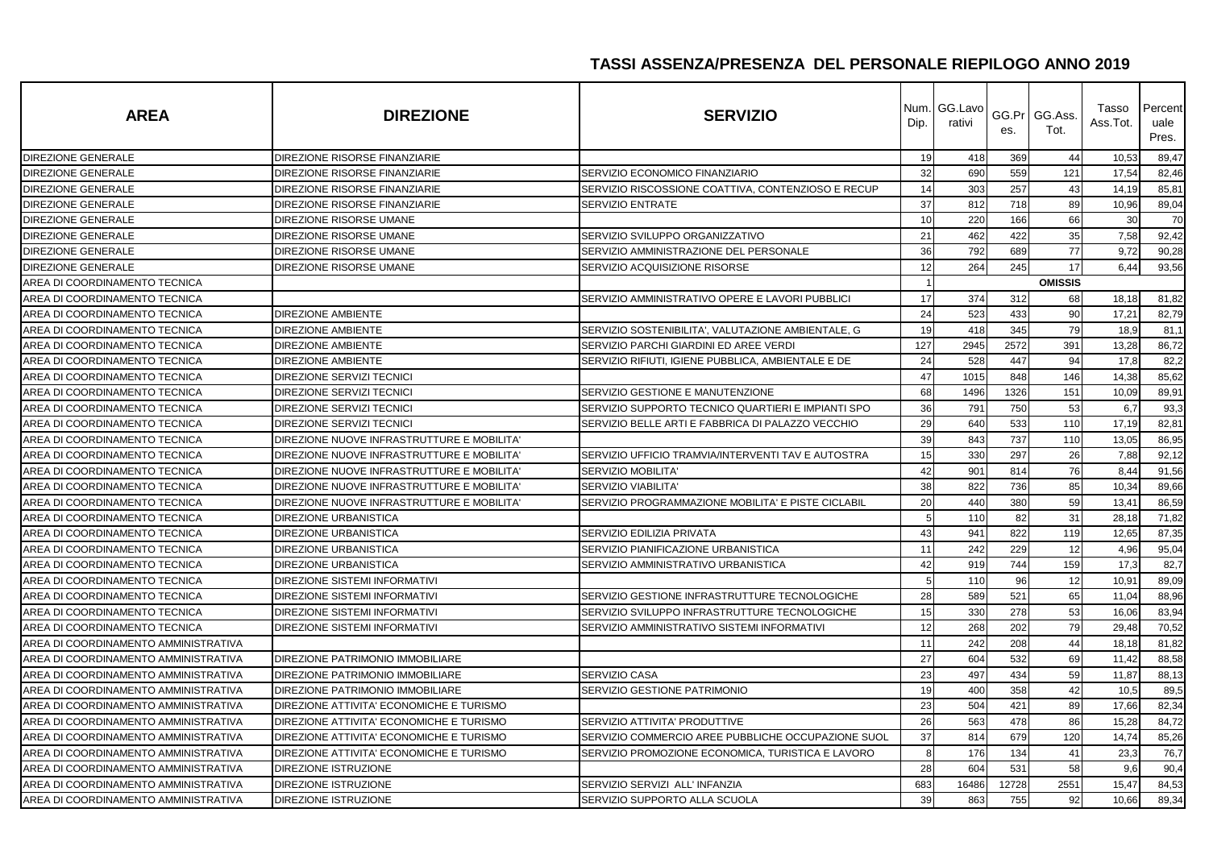| <b>AREA</b>                          | <b>DIREZIONE</b>                           | <b>SERVIZIO</b>                                    | Dip.           | Num. GG.Lavo<br>rativi | es.   | GG.Pr GG.Ass.<br>Tot. | Tasso<br>Ass.Tot. | Percent<br>uale<br>Pres. |
|--------------------------------------|--------------------------------------------|----------------------------------------------------|----------------|------------------------|-------|-----------------------|-------------------|--------------------------|
| <b>DIREZIONE GENERALE</b>            | DIREZIONE RISORSE FINANZIARIE              |                                                    | 19             | 418                    | 369   | 44                    | 10,53             | 89,47                    |
| DIREZIONE GENERALE                   | DIREZIONE RISORSE FINANZIARIE              | SERVIZIO ECONOMICO FINANZIARIO                     | 32             | 690                    | 559   | 121                   | 17,54             | 82,46                    |
| DIREZIONE GENERALE                   | DIREZIONE RISORSE FINANZIARIE              | SERVIZIO RISCOSSIONE COATTIVA, CONTENZIOSO E RECUP | 14             | 303                    | 257   | 43                    | 14,19             | 85,81                    |
| DIREZIONE GENERALE                   | DIREZIONE RISORSE FINANZIARIE              | SERVIZIO ENTRATE                                   | 37             | 812                    | 718   | 89                    | 10,96             | 89,04                    |
| DIREZIONE GENERALE                   | DIREZIONE RISORSE UMANE                    |                                                    | 10             | 220                    | 166   | 66                    | 30                | 70                       |
| DIREZIONE GENERALE                   | DIREZIONE RISORSE UMANE                    | SERVIZIO SVILUPPO ORGANIZZATIVO                    | 21             | 462                    | 422   | 35                    | 7,58              | 92,42                    |
| DIREZIONE GENERALE                   | DIREZIONE RISORSE UMANE                    | SERVIZIO AMMINISTRAZIONE DEL PERSONALE             | 36             | 792                    | 689   | 77                    | 9,72              | 90,28                    |
| DIREZIONE GENERALE                   | DIREZIONE RISORSE UMANE                    | SERVIZIO ACQUISIZIONE RISORSE                      | 12             | 264                    | 245   | 17                    | 6,44              | 93,56                    |
| AREA DI COORDINAMENTO TECNICA        |                                            |                                                    | $\overline{1}$ |                        |       | <b>OMISSIS</b>        |                   |                          |
| AREA DI COORDINAMENTO TECNICA        |                                            | SERVIZIO AMMINISTRATIVO OPERE E LAVORI PUBBLICI    | 17             | 374                    | 312   | 68                    | 18,18             | 81,82                    |
| AREA DI COORDINAMENTO TECNICA        | <b>DIREZIONE AMBIENTE</b>                  |                                                    | 24             | 523                    | 433   | 90                    | 17,21             | 82,79                    |
| AREA DI COORDINAMENTO TECNICA        | <b>DIREZIONE AMBIENTE</b>                  | SERVIZIO SOSTENIBILITA', VALUTAZIONE AMBIENTALE, G | 19             | 418                    | 345   | 79                    | 18,9              | 81,1                     |
| AREA DI COORDINAMENTO TECNICA        | <b>DIREZIONE AMBIENTE</b>                  | SERVIZIO PARCHI GIARDINI ED AREE VERDI             | 127            | 2945                   | 2572  | 391                   | 13,28             | 86,72                    |
| AREA DI COORDINAMENTO TECNICA        | <b>DIREZIONE AMBIENTE</b>                  | SERVIZIO RIFIUTI, IGIENE PUBBLICA, AMBIENTALE E DE | 24             | 528                    | 447   | 94                    | 17,8              | 82,2                     |
| AREA DI COORDINAMENTO TECNICA        | DIREZIONE SERVIZI TECNICI                  |                                                    | 47             | 1015                   | 848   | 146                   | 14,38             | 85,62                    |
| AREA DI COORDINAMENTO TECNICA        | <b>DIREZIONE SERVIZI TECNICI</b>           | SERVIZIO GESTIONE E MANUTENZIONE                   | 68             | 1496                   | 1326  | 151                   | 10,09             | 89,91                    |
| AREA DI COORDINAMENTO TECNICA        | <b>DIREZIONE SERVIZI TECNICI</b>           | SERVIZIO SUPPORTO TECNICO QUARTIERI E IMPIANTI SPO | 36             | 791                    | 750   | 53                    | 6,7               | 93,3                     |
| AREA DI COORDINAMENTO TECNICA        | <b>DIREZIONE SERVIZI TECNICI</b>           | SERVIZIO BELLE ARTI E FABBRICA DI PALAZZO VECCHIO  | 29             | 640                    | 533   | 110                   | 17,19             | 82,81                    |
| AREA DI COORDINAMENTO TECNICA        | DIREZIONE NUOVE INFRASTRUTTURE E MOBILITA' |                                                    | 39             | 843                    | 737   | 110                   | 13,05             | 86,95                    |
| AREA DI COORDINAMENTO TECNICA        | DIREZIONE NUOVE INFRASTRUTTURE E MOBILITA' | SERVIZIO UFFICIO TRAMVIA/INTERVENTI TAV E AUTOSTRA | 15             | 330                    | 297   | 26                    | 7,88              | 92,12                    |
| AREA DI COORDINAMENTO TECNICA        | DIREZIONE NUOVE INFRASTRUTTURE E MOBILITA' | <b>SERVIZIO MOBILITA'</b>                          | 42             | 901                    | 814   | 76                    | 8,44              | 91,56                    |
| AREA DI COORDINAMENTO TECNICA        | DIREZIONE NUOVE INFRASTRUTTURE E MOBILITA' | SERVIZIO VIABILITA'                                | 38             | 822                    | 736   | 85                    | 10,34             | 89,66                    |
| AREA DI COORDINAMENTO TECNICA        | DIREZIONE NUOVE INFRASTRUTTURE E MOBILITA' | SERVIZIO PROGRAMMAZIONE MOBILITA' E PISTE CICLABIL | 20             | 440                    | 380   | 59                    | 13,41             | 86,59                    |
| AREA DI COORDINAMENTO TECNICA        | <b>DIREZIONE URBANISTICA</b>               |                                                    | -5             | 110                    | 82    | 31                    | 28,18             | 71,82                    |
| AREA DI COORDINAMENTO TECNICA        | <b>DIREZIONE URBANISTICA</b>               | SERVIZIO EDILIZIA PRIVATA                          | 43             | 941                    | 822   | 119                   | 12,65             | 87,35                    |
| AREA DI COORDINAMENTO TECNICA        | <b>DIREZIONE URBANISTICA</b>               | SERVIZIO PIANIFICAZIONE URBANISTICA                | 11             | 242                    | 229   | 12                    | 4,96              | 95,04                    |
| AREA DI COORDINAMENTO TECNICA        | <b>DIREZIONE URBANISTICA</b>               | SERVIZIO AMMINISTRATIVO URBANISTICA                | 42             | 919                    | 744   | 159                   | 17,3              | 82,7                     |
| AREA DI COORDINAMENTO TECNICA        | DIREZIONE SISTEMI INFORMATIVI              |                                                    | 5              | 110                    | 96    | 12                    | 10,91             | 89,09                    |
| AREA DI COORDINAMENTO TECNICA        | <b>DIREZIONE SISTEMI INFORMATIVI</b>       | SERVIZIO GESTIONE INFRASTRUTTURE TECNOLOGICHE      | 28             | 589                    | 521   | 65                    | 11,04             | 88,96                    |
| AREA DI COORDINAMENTO TECNICA        | <b>DIREZIONE SISTEMI INFORMATIVI</b>       | SERVIZIO SVILUPPO INFRASTRUTTURE TECNOLOGICHE      | 15             | 330                    | 278   | 53                    | 16,06             | 83,94                    |
| AREA DI COORDINAMENTO TECNICA        | DIREZIONE SISTEMI INFORMATIVI              | SERVIZIO AMMINISTRATIVO SISTEMI INFORMATIVI        | 12             | 268                    | 202   | 79                    | 29,48             | 70,52                    |
| AREA DI COORDINAMENTO AMMINISTRATIVA |                                            |                                                    | 11             | 242                    | 208   | 44                    | 18,18             | 81,82                    |
| AREA DI COORDINAMENTO AMMINISTRATIVA | DIREZIONE PATRIMONIO IMMOBILIARE           |                                                    | 27             | 604                    | 532   | 69                    | 11,42             | 88,58                    |
| AREA DI COORDINAMENTO AMMINISTRATIVA | DIREZIONE PATRIMONIO IMMOBILIARE           | SERVIZIO CASA                                      | 23             | 497                    | 434   | 59                    | 11,87             | 88,13                    |
| AREA DI COORDINAMENTO AMMINISTRATIVA | DIREZIONE PATRIMONIO IMMOBILIARE           | SERVIZIO GESTIONE PATRIMONIO                       | 19             | 400                    | 358   | 42                    | 10,5              | 89,5                     |
| AREA DI COORDINAMENTO AMMINISTRATIVA | DIREZIONE ATTIVITA' ECONOMICHE E TURISMO   |                                                    | 23             | 504                    | 421   | 89                    | 17,66             | 82,34                    |
| AREA DI COORDINAMENTO AMMINISTRATIVA | DIREZIONE ATTIVITA' ECONOMICHE E TURISMO   | SERVIZIO ATTIVITA' PRODUTTIVE                      | 26             | 563                    | 478   | 86                    | 15,28             | 84,72                    |
| AREA DI COORDINAMENTO AMMINISTRATIVA | DIREZIONE ATTIVITA' ECONOMICHE E TURISMO   | SERVIZIO COMMERCIO AREE PUBBLICHE OCCUPAZIONE SUOL | 37             | 814                    | 679   | 120                   | 14,74             | 85,26                    |
| AREA DI COORDINAMENTO AMMINISTRATIVA | DIREZIONE ATTIVITA' ECONOMICHE E TURISMO   | SERVIZIO PROMOZIONE ECONOMICA, TURISTICA E LAVORO  | 8              | 176                    | 134   | 41                    | 23,3              | 76,7                     |
| AREA DI COORDINAMENTO AMMINISTRATIVA | DIREZIONE ISTRUZIONE                       |                                                    | 28             | 604                    | 531   | 58                    | 9,6               | 90,4                     |
| AREA DI COORDINAMENTO AMMINISTRATIVA | DIREZIONE ISTRUZIONE                       | SERVIZIO SERVIZI ALL' INFANZIA                     | 683            | 16486                  | 12728 | 2551                  | 15,47             | 84,53                    |
| AREA DI COORDINAMENTO AMMINISTRATIVA | <b>DIREZIONE ISTRUZIONE</b>                | SERVIZIO SUPPORTO ALLA SCUOLA                      | 39             | 863                    | 755   | 92                    | 10,66             | 89,34                    |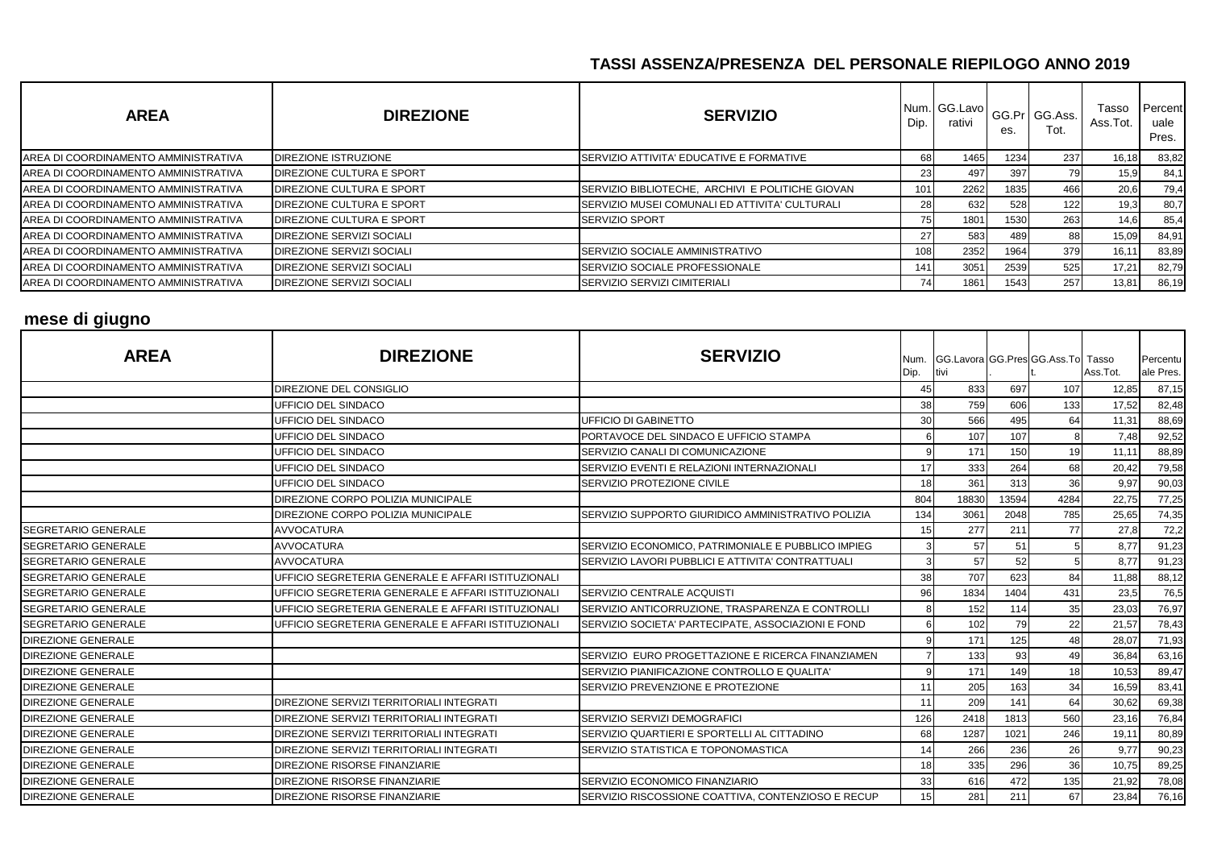| <b>AREA</b>                          | <b>DIREZIONE</b>                 | <b>SERVIZIO</b>                                  | Dip.      | Num. GG.Lavo<br>rativi | es.  | GG.Pr GG.Ass.<br>Tot. | Tasso<br>Ass.Tot. | Percent<br>uale<br>Pres. |
|--------------------------------------|----------------------------------|--------------------------------------------------|-----------|------------------------|------|-----------------------|-------------------|--------------------------|
| AREA DI COORDINAMENTO AMMINISTRATIVA | <b>DIREZIONE ISTRUZIONE</b>      | SERVIZIO ATTIVITA' EDUCATIVE E FORMATIVE         | 68I       | 1465                   | 1234 | 237                   | 16,18             | 83,82                    |
| AREA DI COORDINAMENTO AMMINISTRATIVA | <b>DIREZIONE CULTURA E SPORT</b> |                                                  | 231       | 497                    | 397  |                       | 15,9              | 84,1                     |
| AREA DI COORDINAMENTO AMMINISTRATIVA | <b>DIREZIONE CULTURA E SPORT</b> | SERVIZIO BIBLIOTECHE, ARCHIVI E POLITICHE GIOVAN | 101       | 2262                   | 1835 | 466                   | 20,6              | 79,4                     |
| AREA DI COORDINAMENTO AMMINISTRATIVA | <b>DIREZIONE CULTURA E SPORT</b> | SERVIZIO MUSEI COMUNALI ED ATTIVITA' CULTURALI   | <b>28</b> | 632                    | 528  | 122                   | 19,3              | 80,7                     |
| AREA DI COORDINAMENTO AMMINISTRATIVA | <b>DIREZIONE CULTURA E SPORT</b> | <b>SERVIZIO SPORT</b>                            | 75        | 1801                   | 1530 | 263                   | 14,6              | 85,4                     |
| AREA DI COORDINAMENTO AMMINISTRATIVA | <b>DIREZIONE SERVIZI SOCIALI</b> |                                                  | 271       | 583                    | 489  | 88                    | 15,09             | 84,91                    |
| AREA DI COORDINAMENTO AMMINISTRATIVA | <b>DIREZIONE SERVIZI SOCIALI</b> | SERVIZIO SOCIALE AMMINISTRATIVO                  | 108       | 2352                   | 1964 | 379                   | $16.1^{\circ}$    | 83,89                    |
| AREA DI COORDINAMENTO AMMINISTRATIVA | <b>DIREZIONE SERVIZI SOCIALI</b> | SERVIZIO SOCIALE PROFESSIONALE                   | 141       | 3051                   | 2539 | 525                   | 17,21             | 82,79                    |
| AREA DI COORDINAMENTO AMMINISTRATIVA | <b>DIREZIONE SERVIZI SOCIALI</b> | SERVIZIO SERVIZI CIMITERIALI                     | 741       | 1861                   | 1543 | 257                   | 13,81             | 86,19                    |

# **mese di giugno**

| <b>AREA</b>                | <b>DIREZIONE</b>                                   | <b>SERVIZIO</b>                                    | Num.<br>Dip. | tivi  |       | GG.Lavora GG.Pres GG.Ass.To Tasso | Ass.Tot. | Percentu<br>ale Pres. |
|----------------------------|----------------------------------------------------|----------------------------------------------------|--------------|-------|-------|-----------------------------------|----------|-----------------------|
|                            | DIREZIONE DEL CONSIGLIO                            |                                                    | 45           | 833   | 697   | 107                               | 12,85    | 87,15                 |
|                            | UFFICIO DEL SINDACO                                |                                                    | 38           | 759   | 606   | 133                               | 17,52    | 82,48                 |
|                            | UFFICIO DEL SINDACO                                | <b>UFFICIO DI GABINETTO</b>                        | 30           | 566   | 495   | 64                                | 11,31    | 88,69                 |
|                            | UFFICIO DEL SINDACO                                | PORTAVOCE DEL SINDACO E UFFICIO STAMPA             |              | 107   | 107   |                                   | 7,48     | 92,52                 |
|                            | UFFICIO DEL SINDACO                                | SERVIZIO CANALI DI COMUNICAZIONE                   | q            | 171   | 150   | 19                                | 11,11    | 88,89                 |
|                            | UFFICIO DEL SINDACO                                | SERVIZIO EVENTI E RELAZIONI INTERNAZIONALI         | 17           | 333   | 264   | 68                                | 20,42    | 79,58                 |
|                            | UFFICIO DEL SINDACO                                | SERVIZIO PROTEZIONE CIVILE                         | 18           | 361   | 313   | 36                                | 9,97     | 90,03                 |
|                            | DIREZIONE CORPO POLIZIA MUNICIPALE                 |                                                    | 804          | 18830 | 13594 | 4284                              | 22,75    | 77,25                 |
|                            | DIREZIONE CORPO POLIZIA MUNICIPALE                 | SERVIZIO SUPPORTO GIURIDICO AMMINISTRATIVO POLIZIA | 134          | 3061  | 2048  | 785                               | 25,65    | 74,35                 |
| <b>SEGRETARIO GENERALE</b> | <b>AVVOCATURA</b>                                  |                                                    | 15           | 277   | 211   | 77                                | 27,8     | 72,2                  |
| SEGRETARIO GENERALE        | <b>AVVOCATURA</b>                                  | SERVIZIO ECONOMICO, PATRIMONIALE E PUBBLICO IMPIEG |              | 57    | 51    |                                   | 8,77     | 91,23                 |
| <b>SEGRETARIO GENERALE</b> | <b>AVVOCATURA</b>                                  | SERVIZIO LAVORI PUBBLICI E ATTIVITA' CONTRATTUALI  | 3            | 57    | 52    |                                   | 8,77     | 91,23                 |
| <b>SEGRETARIO GENERALE</b> | UFFICIO SEGRETERIA GENERALE E AFFARI ISTITUZIONALI |                                                    | 38           | 707   | 623   | 84                                | 11,88    | 88,12                 |
| <b>SEGRETARIO GENERALE</b> | UFFICIO SEGRETERIA GENERALE E AFFARI ISTITUZIONALI | SERVIZIO CENTRALE ACQUISTI                         | 96           | 1834  | 1404  | 431                               | 23,5     | 76,5                  |
| SEGRETARIO GENERALE        | UFFICIO SEGRETERIA GENERALE E AFFARI ISTITUZIONALI | SERVIZIO ANTICORRUZIONE, TRASPARENZA E CONTROLLI   | 8            | 152   | 114   | 35                                | 23,03    | 76,97                 |
| <b>SEGRETARIO GENERALE</b> | UFFICIO SEGRETERIA GENERALE E AFFARI ISTITUZIONALI | SERVIZIO SOCIETA' PARTECIPATE, ASSOCIAZIONI E FOND |              | 102   | 79    | 22                                | 21,57    | 78,43                 |
| <b>DIREZIONE GENERALE</b>  |                                                    |                                                    | q            | 171   | 125   | 48                                | 28,07    | 71,93                 |
| DIREZIONE GENERALE         |                                                    | SERVIZIO EURO PROGETTAZIONE E RICERCA FINANZIAMEN  |              | 133   | 93    | 49                                | 36,84    | 63,16                 |
| <b>DIREZIONE GENERALE</b>  |                                                    | SERVIZIO PIANIFICAZIONE CONTROLLO E QUALITA'       | q            | 171   | 149   | 18                                | 10,53    | 89,47                 |
| <b>DIREZIONE GENERALE</b>  |                                                    | SERVIZIO PREVENZIONE E PROTEZIONE                  |              | 205   | 163   | 34                                | 16,59    | 83,41                 |
| <b>DIREZIONE GENERALE</b>  | DIREZIONE SERVIZI TERRITORIALI INTEGRATI           |                                                    | 11           | 209   | 141   | 64                                | 30,62    | 69,38                 |
| <b>DIREZIONE GENERALE</b>  | DIREZIONE SERVIZI TERRITORIALI INTEGRATI           | SERVIZIO SERVIZI DEMOGRAFICI                       | 126          | 2418  | 1813  | 560                               | 23,16    | 76,84                 |
| <b>DIREZIONE GENERALE</b>  | DIREZIONE SERVIZI TERRITORIALI INTEGRATI           | SERVIZIO QUARTIERI E SPORTELLI AL CITTADINO        | 68           | 1287  | 1021  | 246                               | 19,11    | 80,89                 |
| <b>DIREZIONE GENERALE</b>  | DIREZIONE SERVIZI TERRITORIALI INTEGRATI           | <b>ISERVIZIO STATISTICA E TOPONOMASTICA</b>        | 14           | 266   | 236   | 26                                | 9,77     | 90,23                 |
| <b>DIREZIONE GENERALE</b>  | DIREZIONE RISORSE FINANZIARIE                      |                                                    | 18           | 335   | 296   | 36                                | 10,75    | 89,25                 |
| <b>DIREZIONE GENERALE</b>  | DIREZIONE RISORSE FINANZIARIE                      | SERVIZIO ECONOMICO FINANZIARIO                     | 33           | 616   | 472   | 135                               | 21,92    | 78,08                 |
| <b>DIREZIONE GENERALE</b>  | DIREZIONE RISORSE FINANZIARIE                      | SERVIZIO RISCOSSIONE COATTIVA, CONTENZIOSO E RECUP | 15           | 281   | 211   | 67                                | 23,84    | 76,16                 |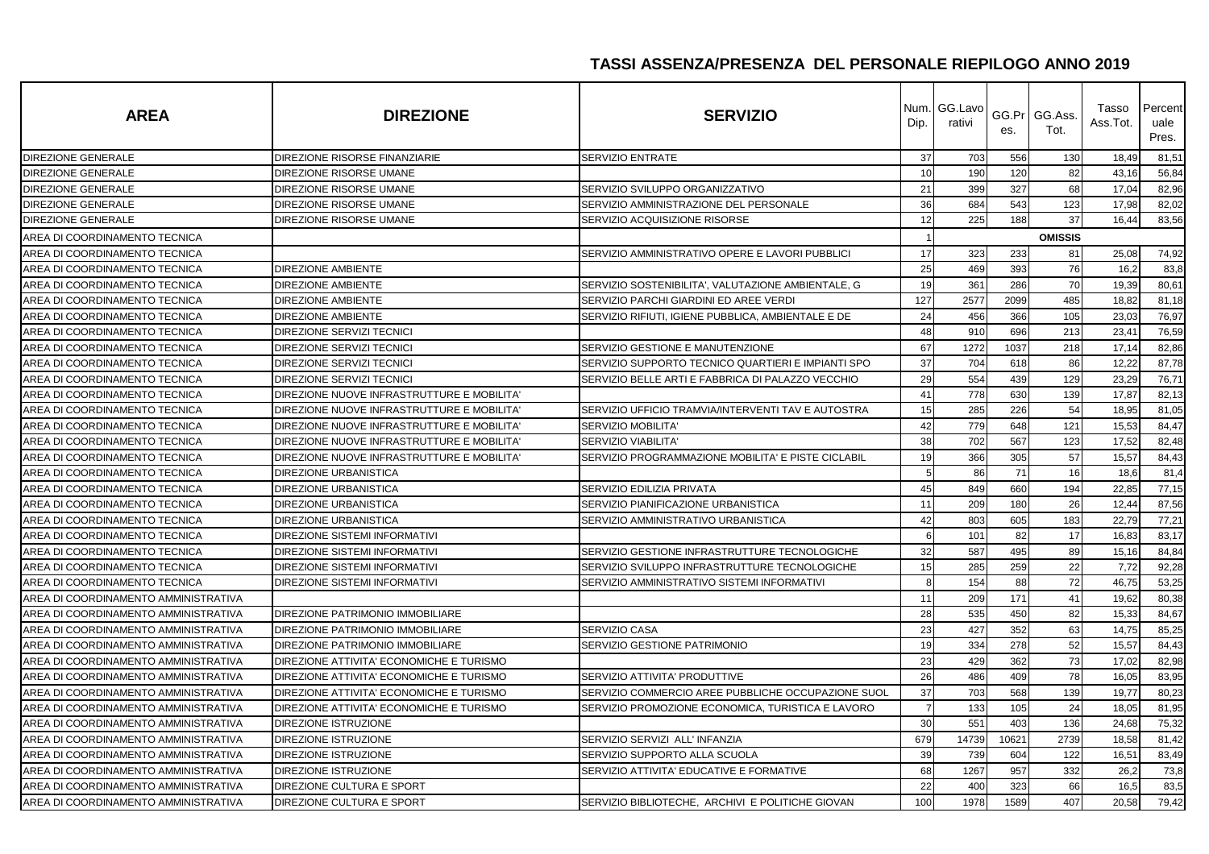| <b>AREA</b>                          | <b>DIREZIONE</b>                           | <b>SERVIZIO</b>                                    | Num.<br>Dip.   | GG.Lavo<br>rativi | GG.Pr<br>es. | GG.Ass.<br>Tot. | Tasso<br>Ass.Tot. | Percent<br>uale<br>Pres. |
|--------------------------------------|--------------------------------------------|----------------------------------------------------|----------------|-------------------|--------------|-----------------|-------------------|--------------------------|
| <b>DIREZIONE GENERALE</b>            | DIREZIONE RISORSE FINANZIARIE              | <b>SERVIZIO ENTRATE</b>                            | 37             | 703               | 556          | 130             | 18,49             | 81,51                    |
| DIREZIONE GENERALE                   | DIREZIONE RISORSE UMANE                    |                                                    | 10             | 190               | 120          | 82              | 43,16             | 56,84                    |
| DIREZIONE GENERALE                   | DIREZIONE RISORSE UMANE                    | SERVIZIO SVILUPPO ORGANIZZATIVO                    | 21             | 399               | 327          | 68              | 17,04             | 82,96                    |
| DIREZIONE GENERALE                   | DIREZIONE RISORSE UMANE                    | SERVIZIO AMMINISTRAZIONE DEL PERSONALE             | 36             | 684               | 543          | 123             | 17,98             | 82,02                    |
| DIREZIONE GENERALE                   | DIREZIONE RISORSE UMANE                    | SERVIZIO ACQUISIZIONE RISORSE                      | 12             | 225               | 188          | 37              | 16,44             | 83,56                    |
| AREA DI COORDINAMENTO TECNICA        |                                            |                                                    |                |                   |              | <b>OMISSIS</b>  |                   |                          |
| AREA DI COORDINAMENTO TECNICA        |                                            | SERVIZIO AMMINISTRATIVO OPERE E LAVORI PUBBLICI    | 17             | 323               | 233          | 81              | 25,08             | 74,92                    |
| AREA DI COORDINAMENTO TECNICA        | <b>DIREZIONE AMBIENTE</b>                  |                                                    | 25             | 469               | 393          | 76              | 16,2              | 83,8                     |
| AREA DI COORDINAMENTO TECNICA        | <b>DIREZIONE AMBIENTE</b>                  | SERVIZIO SOSTENIBILITA', VALUTAZIONE AMBIENTALE, G | 19             | 361               | 286          | 70              | 19,39             | 80,61                    |
| AREA DI COORDINAMENTO TECNICA        | <b>DIREZIONE AMBIENTE</b>                  | SERVIZIO PARCHI GIARDINI ED AREE VERDI             | 127            | 2577              | 2099         | 485             | 18,82             | 81,18                    |
| AREA DI COORDINAMENTO TECNICA        | <b>DIREZIONE AMBIENTE</b>                  | SERVIZIO RIFIUTI, IGIENE PUBBLICA, AMBIENTALE E DE | 24             | 456               | 366          | 105             | 23,03             | 76,97                    |
| AREA DI COORDINAMENTO TECNICA        | <b>DIREZIONE SERVIZI TECNICI</b>           |                                                    | 48             | 910               | 696          | 213             | 23,41             | 76,59                    |
| AREA DI COORDINAMENTO TECNICA        | <b>DIREZIONE SERVIZI TECNICI</b>           | SERVIZIO GESTIONE E MANUTENZIONE                   | 67             | 1272              | 1037         | 218             | 17,14             | 82,86                    |
| AREA DI COORDINAMENTO TECNICA        | DIREZIONE SERVIZI TECNICI                  | SERVIZIO SUPPORTO TECNICO QUARTIERI E IMPIANTI SPO | 37             | 704               | 618          | 86              | 12,22             | 87,78                    |
| AREA DI COORDINAMENTO TECNICA        | DIREZIONE SERVIZI TECNICI                  | SERVIZIO BELLE ARTI E FABBRICA DI PALAZZO VECCHIO  | 29             | 554               | 439          | 129             | 23,29             | 76,71                    |
| AREA DI COORDINAMENTO TECNICA        | DIREZIONE NUOVE INFRASTRUTTURE E MOBILITA' |                                                    | 41             | 778               | 630          | 139             | 17,87             | 82,13                    |
| AREA DI COORDINAMENTO TECNICA        | DIREZIONE NUOVE INFRASTRUTTURE E MOBILITA' | SERVIZIO UFFICIO TRAMVIA/INTERVENTI TAV E AUTOSTRA | 15             | 285               | 226          | 54              | 18,95             | 81,05                    |
| AREA DI COORDINAMENTO TECNICA        | DIREZIONE NUOVE INFRASTRUTTURE E MOBILITA' | <b>SERVIZIO MOBILITA</b>                           | 42             | 779               | 648          | 121             | 15,53             | 84,47                    |
| AREA DI COORDINAMENTO TECNICA        | DIREZIONE NUOVE INFRASTRUTTURE E MOBILITA' | <b>SERVIZIO VIABILITA</b>                          | 38             | 702               | 567          | 123             | 17,52             | 82,48                    |
| AREA DI COORDINAMENTO TECNICA        | DIREZIONE NUOVE INFRASTRUTTURE E MOBILITA' | SERVIZIO PROGRAMMAZIONE MOBILITA' E PISTE CICLABIL | 19             | 366               | 305          | 57              | 15,57             | 84,43                    |
| AREA DI COORDINAMENTO TECNICA        | <b>DIREZIONE URBANISTICA</b>               |                                                    | 5              | 86                | 71           | 16              | 18,6              | 81,4                     |
| AREA DI COORDINAMENTO TECNICA        | <b>DIREZIONE URBANISTICA</b>               | SERVIZIO EDILIZIA PRIVATA                          | 45             | 849               | 660          | 194             | 22,85             | 77,15                    |
| AREA DI COORDINAMENTO TECNICA        | <b>DIREZIONE URBANISTICA</b>               | SERVIZIO PIANIFICAZIONE URBANISTICA                | 11             | 209               | 180          | 26              | 12,44             | 87,56                    |
| AREA DI COORDINAMENTO TECNICA        | <b>DIREZIONE URBANISTICA</b>               | SERVIZIO AMMINISTRATIVO URBANISTICA                | 42             | 803               | 605          | 183             | 22,79             | 77,21                    |
| AREA DI COORDINAMENTO TECNICA        | DIREZIONE SISTEMI INFORMATIVI              |                                                    | 6              | 101               | 82           | 17              | 16,83             | 83,17                    |
| AREA DI COORDINAMENTO TECNICA        | <b>DIREZIONE SISTEMI INFORMATIVI</b>       | SERVIZIO GESTIONE INFRASTRUTTURE TECNOLOGICHE      | 32             | 587               | 495          | 89              | 15,16             | 84,84                    |
| AREA DI COORDINAMENTO TECNICA        | <b>DIREZIONE SISTEMI INFORMATIVI</b>       | SERVIZIO SVILUPPO INFRASTRUTTURE TECNOLOGICHE      | 15             | 285               | 259          | 22              | 7,72              | 92,28                    |
| AREA DI COORDINAMENTO TECNICA        | <b>DIREZIONE SISTEMI INFORMATIVI</b>       | SERVIZIO AMMINISTRATIVO SISTEMI INFORMATIVI        | 8              | 154               | 88           | 72              | 46,75             | 53,25                    |
| AREA DI COORDINAMENTO AMMINISTRATIVA |                                            |                                                    | 11             | 209               | 171          | 41              | 19,62             | 80,38                    |
| AREA DI COORDINAMENTO AMMINISTRATIVA | DIREZIONE PATRIMONIO IMMOBILIARE           |                                                    | 28             | 535               | 450          | 82              | 15,33             | 84,67                    |
| AREA DI COORDINAMENTO AMMINISTRATIVA | DIREZIONE PATRIMONIO IMMOBILIARE           | SERVIZIO CASA                                      | 23             | 427               | 352          | 63              | 14,75             | 85,25                    |
| AREA DI COORDINAMENTO AMMINISTRATIVA | DIREZIONE PATRIMONIO IMMOBILIARE           | SERVIZIO GESTIONE PATRIMONIO                       | 19             | 334               | 278          | 52              | 15,57             | 84,43                    |
| AREA DI COORDINAMENTO AMMINISTRATIVA | DIREZIONE ATTIVITA' ECONOMICHE E TURISMO   |                                                    | 23             | 429               | 362          | 73              | 17,02             | 82,98                    |
| AREA DI COORDINAMENTO AMMINISTRATIVA | DIREZIONE ATTIVITA' ECONOMICHE E TURISMO   | SERVIZIO ATTIVITA' PRODUTTIVE                      | 26             | 486               | 409          | 78              | 16,05             | 83,95                    |
| AREA DI COORDINAMENTO AMMINISTRATIVA | DIREZIONE ATTIVITA' ECONOMICHE E TURISMO   | SERVIZIO COMMERCIO AREE PUBBLICHE OCCUPAZIONE SUOL | 37             | 703               | 568          | 139             | 19,77             | 80,23                    |
| AREA DI COORDINAMENTO AMMINISTRATIVA | DIREZIONE ATTIVITA' ECONOMICHE E TURISMO   | SERVIZIO PROMOZIONE ECONOMICA, TURISTICA E LAVORO  | $\overline{7}$ | 133               | 105          | 24              | 18,05             | 81,95                    |
| AREA DI COORDINAMENTO AMMINISTRATIVA | DIREZIONE ISTRUZIONE                       |                                                    | 30             | 551               | 403          | 136             | 24,68             | 75,32                    |
| AREA DI COORDINAMENTO AMMINISTRATIVA | <b>DIREZIONE ISTRUZIONE</b>                | SERVIZIO SERVIZI ALL' INFANZIA                     | 679            | 14739             | 10621        | 2739            | 18,58             | 81,42                    |
| AREA DI COORDINAMENTO AMMINISTRATIVA | <b>DIREZIONE ISTRUZIONE</b>                | SERVIZIO SUPPORTO ALLA SCUOLA                      | 39             | 739               | 604          | 122             | 16,51             | 83,49                    |
| AREA DI COORDINAMENTO AMMINISTRATIVA | <b>DIREZIONE ISTRUZIONE</b>                | SERVIZIO ATTIVITA' EDUCATIVE E FORMATIVE           | 68             | 1267              | 957          | 332             | 26,2              | 73,8                     |
| AREA DI COORDINAMENTO AMMINISTRATIVA | DIREZIONE CULTURA E SPORT                  |                                                    | 22             | 400               | 323          | 66              | 16,5              | 83,5                     |
| AREA DI COORDINAMENTO AMMINISTRATIVA | DIREZIONE CULTURA E SPORT                  | SERVIZIO BIBLIOTECHE. ARCHIVI E POLITICHE GIOVAN   | 100            | 1978              | 1589         | 407             | 20,58             | 79,42                    |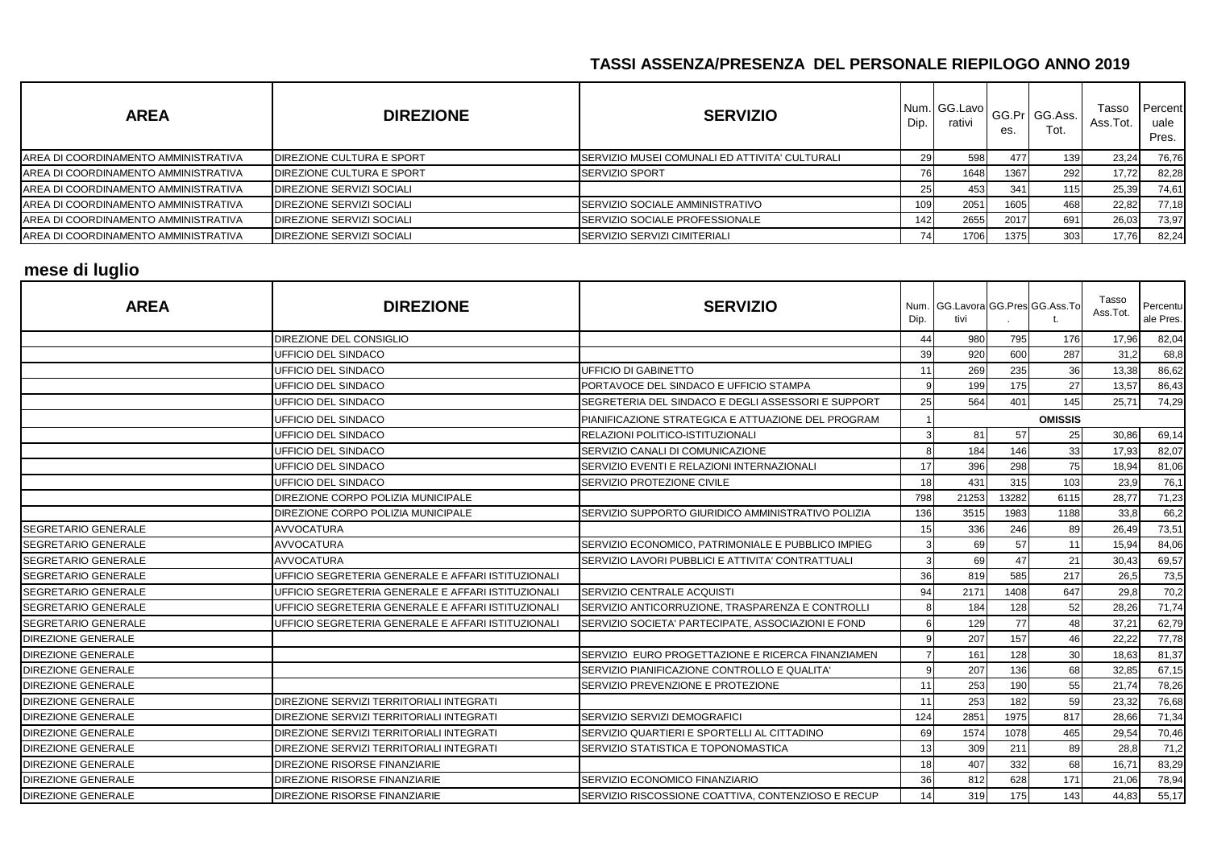| <b>AREA</b>                                  | <b>DIREZIONE</b>          | <b>SERVIZIO</b>                                | Dip. | Num. GG.Lavo<br>rativi | es.  | GG.Pr GG.Ass.<br>Tot. | Tasso<br>Ass.Tot. | Percent<br>uale<br>Pres. |
|----------------------------------------------|---------------------------|------------------------------------------------|------|------------------------|------|-----------------------|-------------------|--------------------------|
| AREA DI COORDINAMENTO AMMINISTRATIVA         | DIREZIONE CULTURA E SPORT | SERVIZIO MUSEI COMUNALI ED ATTIVITA' CULTURALI |      | 598                    | 477  | 139                   | 23,24             | 76,76                    |
| AREA DI COORDINAMENTO AMMINISTRATIVA         | DIREZIONE CULTURA E SPORT | <b>SERVIZIO SPORT</b>                          |      | 1648                   | 1367 | 292                   | 17,72             | 82,28                    |
| AREA DI COORDINAMENTO AMMINISTRATIVA         | DIREZIONE SERVIZI SOCIALI |                                                |      | 453                    | 341  | 115                   | 25,39             | 74,61                    |
| AREA DI COORDINAMENTO AMMINISTRATIVA         | DIREZIONE SERVIZI SOCIALI | SERVIZIO SOCIALE AMMINISTRATIVO                | 109. | 2051                   | 1605 | 468                   | 22,82             | 77,18                    |
| AREA DI COORDINAMENTO AMMINISTRATIVA         | DIREZIONE SERVIZI SOCIALI | <b>SERVIZIO SOCIALE PROFESSIONALE</b>          |      | 2655                   | 2017 | 691                   | 26,03             | 73,97                    |
| <b>JAREA DI COORDINAMENTO AMMINISTRATIVA</b> | DIREZIONE SERVIZI SOCIALI | <b>ISERVIZIO SERVIZI CIMITERIALI</b>           |      | 1706                   | 1375 | 303                   | 17,76             | 82,24                    |

# **mese di luglio**

| <b>AREA</b>                | <b>DIREZIONE</b>                                   | <b>SERVIZIO</b>                                    | Dip. | Num. GG.Lavora GG.Pres GG.Ass.To<br>tivi |       |                | Tasso<br>Ass.Tot. | Percentu<br>ale Pres. |
|----------------------------|----------------------------------------------------|----------------------------------------------------|------|------------------------------------------|-------|----------------|-------------------|-----------------------|
|                            | DIREZIONE DEL CONSIGLIO                            |                                                    | 44   | 980                                      | 795   | 176            | 17,96             | 82,04                 |
|                            | UFFICIO DEL SINDACO                                |                                                    | 39   | 920                                      | 600   | 287            | 31,2              | 68,8                  |
|                            | UFFICIO DEL SINDACO                                | <b>UFFICIO DI GABINETTO</b>                        | 11   | 269                                      | 235   | 36             | 13,38             | 86,62                 |
|                            | UFFICIO DEL SINDACO                                | PORTAVOCE DEL SINDACO E UFFICIO STAMPA             | 9    | 199                                      | 175   | 27             | 13,57             | 86,43                 |
|                            | UFFICIO DEL SINDACO                                | SEGRETERIA DEL SINDACO E DEGLI ASSESSORI E SUPPORT | 25   | 564                                      | 401   | 145            | 25,71             | 74,29                 |
|                            | UFFICIO DEL SINDACO                                | PIANIFICAZIONE STRATEGICA E ATTUAZIONE DEL PROGRAM |      |                                          |       | <b>OMISSIS</b> |                   |                       |
|                            | UFFICIO DEL SINDACO                                | <b>RELAZIONI POLITICO-ISTITUZIONALI</b>            |      | 81                                       | 57    | 25             | 30,86             | 69,14                 |
|                            | UFFICIO DEL SINDACO                                | SERVIZIO CANALI DI COMUNICAZIONE                   | 8    | 184                                      | 146   | 33             | 17,93             | 82,07                 |
|                            | UFFICIO DEL SINDACO                                | SERVIZIO EVENTI E RELAZIONI INTERNAZIONALI         | 17   | 396                                      | 298   | 75             | 18,94             | 81,06                 |
|                            | UFFICIO DEL SINDACO                                | SERVIZIO PROTEZIONE CIVILE                         | 18   | 431                                      | 315   | 103            | 23,9              | 76,1                  |
|                            | DIREZIONE CORPO POLIZIA MUNICIPALE                 |                                                    | 798  | 21253                                    | 13282 | 6115           | 28.77             | 71,23                 |
|                            | DIREZIONE CORPO POLIZIA MUNICIPALE                 | SERVIZIO SUPPORTO GIURIDICO AMMINISTRATIVO POLIZIA | 136  | 3515                                     | 1983  | 1188           | 33,8              | 66,2                  |
| <b>SEGRETARIO GENERALE</b> | <b>AVVOCATURA</b>                                  |                                                    | 15   | 336                                      | 246   | 89             | 26,49             | 73,51                 |
| <b>SEGRETARIO GENERALE</b> | <b>AVVOCATURA</b>                                  | SERVIZIO ECONOMICO, PATRIMONIALE E PUBBLICO IMPIEG | 3    | 69                                       | 57    | 11             | 15,94             | 84,06                 |
| <b>SEGRETARIO GENERALE</b> | <b>AVVOCATURA</b>                                  | SERVIZIO LAVORI PUBBLICI E ATTIVITA' CONTRATTUALI  |      | 69                                       | 47    | 21             | 30,43             | 69,57                 |
| <b>SEGRETARIO GENERALE</b> | UFFICIO SEGRETERIA GENERALE E AFFARI ISTITUZIONALI |                                                    | 36   | 819                                      | 585   | 217            | 26,5              | 73,5                  |
| <b>SEGRETARIO GENERALE</b> | UFFICIO SEGRETERIA GENERALE E AFFARI ISTITUZIONALI | <b>SERVIZIO CENTRALE ACQUISTI</b>                  | 94   | 2171                                     | 1408  | 647            | 29,8              | 70,2                  |
| <b>SEGRETARIO GENERALE</b> | UFFICIO SEGRETERIA GENERALE E AFFARI ISTITUZIONALI | SERVIZIO ANTICORRUZIONE, TRASPARENZA E CONTROLLI   | 8    | 184                                      | 128   | 52             | 28,26             | 71,74                 |
| <b>SEGRETARIO GENERALE</b> | UFFICIO SEGRETERIA GENERALE E AFFARI ISTITUZIONALI | SERVIZIO SOCIETA' PARTECIPATE, ASSOCIAZIONI E FOND | 6    | 129                                      | 77    | 48             | 37,21             | 62,79                 |
| <b>DIREZIONE GENERALE</b>  |                                                    |                                                    |      | 207                                      | 157   | 46             | 22,22             | 77,78                 |
| <b>DIREZIONE GENERALE</b>  |                                                    | SERVIZIO EURO PROGETTAZIONE E RICERCA FINANZIAMEN  |      | 161                                      | 128   | 30             | 18,63             | 81,37                 |
| <b>DIREZIONE GENERALE</b>  |                                                    | SERVIZIO PIANIFICAZIONE CONTROLLO E QUALITA'       | 9    | 207                                      | 136   | 68             | 32,85             | 67,15                 |
| <b>DIREZIONE GENERALE</b>  |                                                    | SERVIZIO PREVENZIONE E PROTEZIONE                  | 11   | 253                                      | 190   | 55             | 21,74             | 78,26                 |
| <b>DIREZIONE GENERALE</b>  | DIREZIONE SERVIZI TERRITORIALI INTEGRATI           |                                                    | 11   | 253                                      | 182   | 59             | 23,32             | 76,68                 |
| <b>DIREZIONE GENERALE</b>  | DIREZIONE SERVIZI TERRITORIALI INTEGRATI           | SERVIZIO SERVIZI DEMOGRAFICI                       | 124  | 2851                                     | 1975  | 817            | 28,66             | 71,34                 |
| <b>DIREZIONE GENERALE</b>  | DIREZIONE SERVIZI TERRITORIALI INTEGRATI           | SERVIZIO QUARTIERI E SPORTELLI AL CITTADINO        | 69   | 1574                                     | 1078  | 465            | 29,54             | 70,46                 |
| <b>DIREZIONE GENERALE</b>  | DIREZIONE SERVIZI TERRITORIALI INTEGRATI           | SERVIZIO STATISTICA E TOPONOMASTICA                | 13   | 309                                      | 211   | 89             | 28,8              | 71,2                  |
| <b>DIREZIONE GENERALE</b>  | <b>DIREZIONE RISORSE FINANZIARIE</b>               |                                                    | 18   | 407                                      | 332   | 68             | 16,71             | 83,29                 |
| <b>DIREZIONE GENERALE</b>  | DIREZIONE RISORSE FINANZIARIE                      | SERVIZIO ECONOMICO FINANZIARIO                     | 36   | 812                                      | 628   | 171            | 21,06             | 78,94                 |
| <b>DIREZIONE GENERALE</b>  | <b>DIREZIONE RISORSE FINANZIARIE</b>               | SERVIZIO RISCOSSIONE COATTIVA, CONTENZIOSO E RECUP | 14   | 319                                      | 175   | 143            | 44,83             | 55,17                 |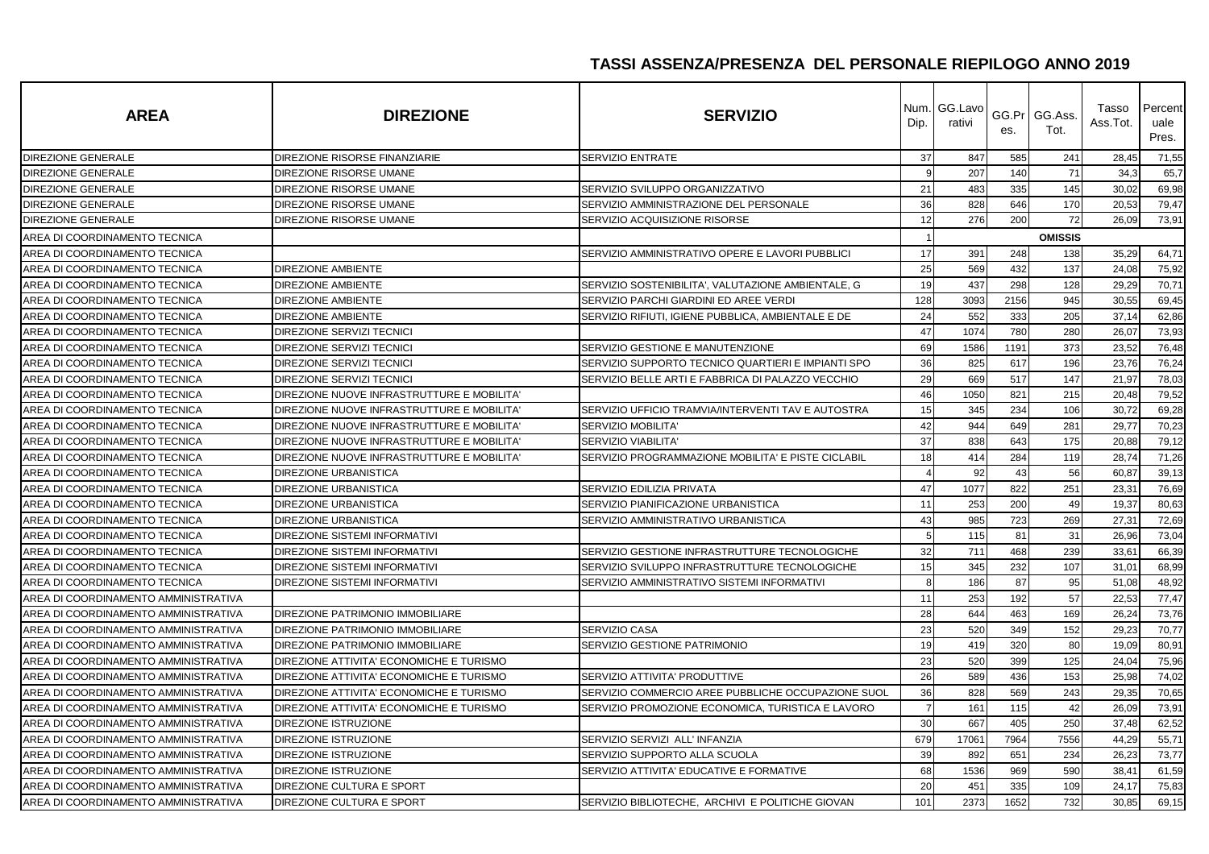| <b>AREA</b>                          | <b>DIREZIONE</b>                           | <b>SERVIZIO</b>                                    | Dip.           | Num. GG.Lavo<br>rativi | GG.Pr<br>es. | GG.Ass.<br>Tot. | Tasso<br>Ass.Tot. | Percent<br>uale<br>Pres. |
|--------------------------------------|--------------------------------------------|----------------------------------------------------|----------------|------------------------|--------------|-----------------|-------------------|--------------------------|
| DIREZIONE GENERALE                   | DIREZIONE RISORSE FINANZIARIE              | <b>SERVIZIO ENTRATE</b>                            | 37             | 847                    | 585          | 241             | 28,45             | 71,55                    |
| <b>DIREZIONE GENERALE</b>            | DIREZIONE RISORSE UMANE                    |                                                    | 9              | 207                    | 140          | 71              | 34.3              | 65,7                     |
| DIREZIONE GENERALE                   | DIREZIONE RISORSE UMANE                    | SERVIZIO SVILUPPO ORGANIZZATIVO                    | 21             | 483                    | 335          | 145             | 30,02             | 69,98                    |
| DIREZIONE GENERALE                   | DIREZIONE RISORSE UMANE                    | SERVIZIO AMMINISTRAZIONE DEL PERSONALE             | 36             | 828                    | 646          | 170             | 20,53             | 79,47                    |
| <b>DIREZIONE GENERALE</b>            | DIREZIONE RISORSE UMANE                    | SERVIZIO ACQUISIZIONE RISORSE                      | 12             | 276                    | 200          | 72              | 26,09             | 73,91                    |
| AREA DI COORDINAMENTO TECNICA        |                                            |                                                    |                |                        |              | <b>OMISSIS</b>  |                   |                          |
| AREA DI COORDINAMENTO TECNICA        |                                            | SERVIZIO AMMINISTRATIVO OPERE E LAVORI PUBBLICI    | 17             | 391                    | 248          | 138             | 35,29             | 64,71                    |
| AREA DI COORDINAMENTO TECNICA        | <b>DIREZIONE AMBIENTE</b>                  |                                                    | 25             | 569                    | 432          | 137             | 24,08             | 75,92                    |
| AREA DI COORDINAMENTO TECNICA        | <b>DIREZIONE AMBIENTE</b>                  | SERVIZIO SOSTENIBILITA', VALUTAZIONE AMBIENTALE, G | 19             | 437                    | 298          | 128             | 29,29             | 70,71                    |
| AREA DI COORDINAMENTO TECNICA        | <b>DIREZIONE AMBIENTE</b>                  | SERVIZIO PARCHI GIARDINI ED AREE VERDI             | 128            | 3093                   | 2156         | 945             | 30,55             | 69,45                    |
| AREA DI COORDINAMENTO TECNICA        | <b>DIREZIONE AMBIENTE</b>                  | SERVIZIO RIFIUTI, IGIENE PUBBLICA, AMBIENTALE E DE | 24             | 552                    | 333          | 205             | 37,14             | 62,86                    |
| AREA DI COORDINAMENTO TECNICA        | DIREZIONE SERVIZI TECNICI                  |                                                    | 47             | 1074                   | 780          | 280             | 26,07             | 73,93                    |
| AREA DI COORDINAMENTO TECNICA        | DIREZIONE SERVIZI TECNICI                  | SERVIZIO GESTIONE E MANUTENZIONE                   | 69             | 1586                   | 1191         | 373             | 23,52             | 76,48                    |
| AREA DI COORDINAMENTO TECNICA        | DIREZIONE SERVIZI TECNICI                  | SERVIZIO SUPPORTO TECNICO QUARTIERI E IMPIANTI SPO | 36             | 825                    | 617          | 196             | 23,76             | 76,24                    |
| AREA DI COORDINAMENTO TECNICA        | <b>DIREZIONE SERVIZI TECNICI</b>           | SERVIZIO BELLE ARTI E FABBRICA DI PALAZZO VECCHIO  | 29             | 669                    | 517          | 147             | 21,97             | 78,03                    |
| AREA DI COORDINAMENTO TECNICA        | DIREZIONE NUOVE INFRASTRUTTURE E MOBILITA' |                                                    | 46             | 1050                   | 821          | 215             | 20,48             | 79,52                    |
| AREA DI COORDINAMENTO TECNICA        | DIREZIONE NUOVE INFRASTRUTTURE E MOBILITA' | SERVIZIO UFFICIO TRAMVIA/INTERVENTI TAV E AUTOSTRA | 15             | 345                    | 234          | 106             | 30,72             | 69,28                    |
| AREA DI COORDINAMENTO TECNICA        | DIREZIONE NUOVE INFRASTRUTTURE E MOBILITA' | SERVIZIO MOBILITA'                                 | 42             | 944                    | 649          | 281             | 29,77             | 70,23                    |
| AREA DI COORDINAMENTO TECNICA        | DIREZIONE NUOVE INFRASTRUTTURE E MOBILITA' | <b>SERVIZIO VIABILITA'</b>                         | 37             | 838                    | 643          | 175             | 20,88             | 79,12                    |
| AREA DI COORDINAMENTO TECNICA        | DIREZIONE NUOVE INFRASTRUTTURE E MOBILITA' | SERVIZIO PROGRAMMAZIONE MOBILITA' E PISTE CICLABIL | 18             | 414                    | 284          | 119             | 28,74             | 71,26                    |
| AREA DI COORDINAMENTO TECNICA        | <b>DIREZIONE URBANISTICA</b>               |                                                    |                | 92                     | 43           | 56              | 60,87             | 39,13                    |
| AREA DI COORDINAMENTO TECNICA        | <b>DIREZIONE URBANISTICA</b>               | SERVIZIO EDILIZIA PRIVATA                          | 47             | 1077                   | 822          | 251             | 23,31             | 76,69                    |
| AREA DI COORDINAMENTO TECNICA        | <b>DIREZIONE URBANISTICA</b>               | SERVIZIO PIANIFICAZIONE URBANISTICA                | 11             | 253                    | 200          | 49              | 19,3              | 80,63                    |
| AREA DI COORDINAMENTO TECNICA        | <b>DIREZIONE URBANISTICA</b>               | SERVIZIO AMMINISTRATIVO URBANISTICA                | 43             | 985                    | 723          | 269             | 27,3'             | 72,69                    |
| AREA DI COORDINAMENTO TECNICA        | DIREZIONE SISTEMI INFORMATIVI              |                                                    | 5              | 115                    | 81           | 31              | 26,96             | 73,04                    |
| AREA DI COORDINAMENTO TECNICA        | DIREZIONE SISTEMI INFORMATIVI              | SERVIZIO GESTIONE INFRASTRUTTURE TECNOLOGICHE      | 32             | 711                    | 468          | 239             | 33,61             | 66,39                    |
| AREA DI COORDINAMENTO TECNICA        | <b>DIREZIONE SISTEMI INFORMATIVI</b>       | SERVIZIO SVILUPPO INFRASTRUTTURE TECNOLOGICHE      | 15             | 345                    | 232          | 107             | 31,01             | 68,99                    |
| AREA DI COORDINAMENTO TECNICA        | <b>DIREZIONE SISTEMI INFORMATIVI</b>       | SERVIZIO AMMINISTRATIVO SISTEMI INFORMATIVI        | 8              | 186                    | 87           | 95              | 51,08             | 48,92                    |
| AREA DI COORDINAMENTO AMMINISTRATIVA |                                            |                                                    | 11             | 253                    | 192          | 57              | 22,53             | 77,47                    |
| AREA DI COORDINAMENTO AMMINISTRATIVA | DIREZIONE PATRIMONIO IMMOBILIARE           |                                                    | 28             | 644                    | 463          | 169             | 26,24             | 73,76                    |
| AREA DI COORDINAMENTO AMMINISTRATIVA | DIREZIONE PATRIMONIO IMMOBILIARE           | SERVIZIO CASA                                      | 23             | 520                    | 349          | 152             | 29,23             | 70,77                    |
| AREA DI COORDINAMENTO AMMINISTRATIVA | DIREZIONE PATRIMONIO IMMOBILIARE           | SERVIZIO GESTIONE PATRIMONIO                       | 19             | 419                    | 320          | 80              | 19,09             | 80,91                    |
| AREA DI COORDINAMENTO AMMINISTRATIVA | DIREZIONE ATTIVITA' ECONOMICHE E TURISMO   |                                                    | 23             | 520                    | 399          | 125             | 24,04             | 75,96                    |
| AREA DI COORDINAMENTO AMMINISTRATIVA | DIREZIONE ATTIVITA' ECONOMICHE E TURISMO   | SERVIZIO ATTIVITA' PRODUTTIVE                      | 26             | 589                    | 436          | 153             | 25,98             | 74,02                    |
| AREA DI COORDINAMENTO AMMINISTRATIVA | DIREZIONE ATTIVITA' ECONOMICHE E TURISMO   | SERVIZIO COMMERCIO AREE PUBBLICHE OCCUPAZIONE SUOL | 36             | 828                    | 569          | 243             | 29,35             | 70,65                    |
| AREA DI COORDINAMENTO AMMINISTRATIVA | DIREZIONE ATTIVITA' ECONOMICHE E TURISMO   | SERVIZIO PROMOZIONE ECONOMICA, TURISTICA E LAVORO  | $\overline{7}$ | 161                    | 115          | 42              | 26,09             | 73,91                    |
| AREA DI COORDINAMENTO AMMINISTRATIVA | <b>DIREZIONE ISTRUZIONE</b>                |                                                    | 30             | 667                    | 405          | 250             | 37,48             | 62,52                    |
| AREA DI COORDINAMENTO AMMINISTRATIVA | DIREZIONE ISTRUZIONE                       | SERVIZIO SERVIZI ALL' INFANZIA                     | 679            | 17061                  | 7964         | 7556            | 44,29             | 55,71                    |
| AREA DI COORDINAMENTO AMMINISTRATIVA | DIREZIONE ISTRUZIONE                       | SERVIZIO SUPPORTO ALLA SCUOLA                      | 39             | 892                    | 651          | 234             | 26,23             | 73,77                    |
| AREA DI COORDINAMENTO AMMINISTRATIVA | <b>DIREZIONE ISTRUZIONE</b>                | SERVIZIO ATTIVITA' EDUCATIVE E FORMATIVE           | 68             | 1536                   | 969          | 590             | 38,41             | 61,59                    |
| AREA DI COORDINAMENTO AMMINISTRATIVA | DIREZIONE CULTURA E SPORT                  |                                                    | 20             | 451                    | 335          | 109             | 24,17             | 75,83                    |
| AREA DI COORDINAMENTO AMMINISTRATIVA | DIREZIONE CULTURA E SPORT                  | SERVIZIO BIBLIOTECHE, ARCHIVI E POLITICHE GIOVAN   | 101            | 2373                   | 1652         | 732             | 30,85             | 69,15                    |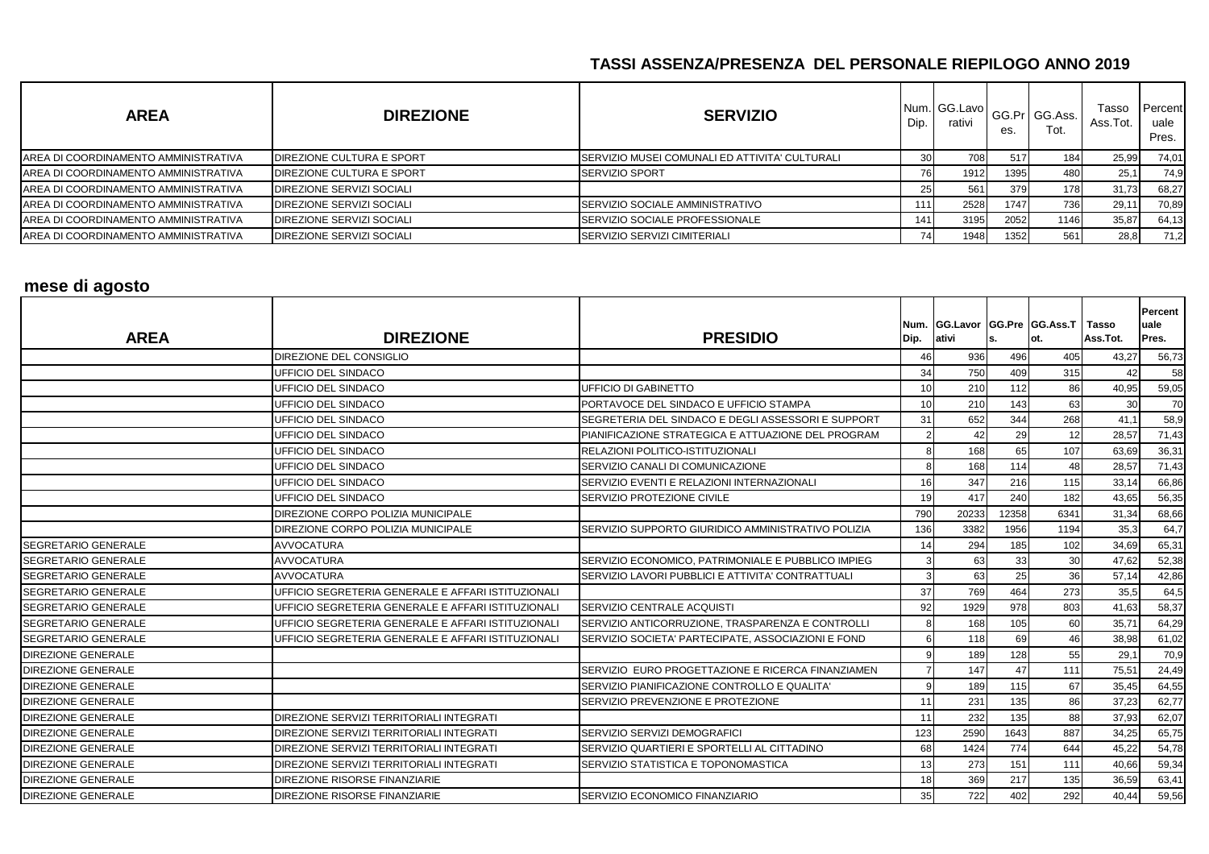| <b>AREA</b>                          | <b>DIREZIONE</b>          | <b>SERVIZIO</b>                                | Dip. | Num. GG.Lavo<br>rativi | es.  | GG.Pr GG.Ass.<br>Tot. | Tasso<br>Ass.Tot. | Percent<br>uale<br>Pres. |
|--------------------------------------|---------------------------|------------------------------------------------|------|------------------------|------|-----------------------|-------------------|--------------------------|
| AREA DI COORDINAMENTO AMMINISTRATIVA | DIREZIONE CULTURA E SPORT | SERVIZIO MUSEI COMUNALI ED ATTIVITA' CULTURALI |      | 708I                   | 517  | 184                   | 25,99             | 74,01                    |
| AREA DI COORDINAMENTO AMMINISTRATIVA | DIREZIONE CULTURA E SPORT | <b>SERVIZIO SPORT</b>                          |      | 1912                   | 1395 | 480                   | 25,1              | 74,9                     |
| AREA DI COORDINAMENTO AMMINISTRATIVA | DIREZIONE SERVIZI SOCIALI |                                                |      | 561                    | 379  | 178                   | 31,73             | 68,27                    |
| AREA DI COORDINAMENTO AMMINISTRATIVA | DIREZIONE SERVIZI SOCIALI | SERVIZIO SOCIALE AMMINISTRATIVO                | 1111 | 2528                   | 1747 | 736                   | 29,1              | 70,89                    |
| AREA DI COORDINAMENTO AMMINISTRATIVA | DIREZIONE SERVIZI SOCIALI | <b>SERVIZIO SOCIALE PROFESSIONALE</b>          | 141  | 3195                   | 2052 | 1146                  | 35,87             | 64,13                    |
| AREA DI COORDINAMENTO AMMINISTRATIVA | DIREZIONE SERVIZI SOCIALI | SERVIZIO SERVIZI CIMITERIALI                   |      | 1948                   | 1352 | 561                   | 28,8              | 71,2                     |

#### **mese di agosto**

| <b>AREA</b>                | <b>DIREZIONE</b>                                   | <b>PRESIDIO</b>                                    | Dip.            | Num. GG.Lavor GG.Pre GG.Ass.T Tasso<br>ativi | ls.   | lot. | Ass.Tot. | <b>Percent</b><br>uale<br>Pres. |
|----------------------------|----------------------------------------------------|----------------------------------------------------|-----------------|----------------------------------------------|-------|------|----------|---------------------------------|
|                            | DIREZIONE DEL CONSIGLIO                            |                                                    | 46              | 936                                          | 496   | 405  | 43,27    | 56,73                           |
|                            | <b>UFFICIO DEL SINDACO</b>                         |                                                    | 34              | 750                                          | 409   | 315  | 42       | 58                              |
|                            | UFFICIO DEL SINDACO                                | UFFICIO DI GABINETTO                               | 10 <sup>1</sup> | 210                                          | 112   | 86   | 40,95    | 59,05                           |
|                            | UFFICIO DEL SINDACO                                | PORTAVOCE DEL SINDACO E UFFICIO STAMPA             | 10              | 210                                          | 143   | 63   | 30       | 70                              |
|                            | UFFICIO DEL SINDACO                                | SEGRETERIA DEL SINDACO E DEGLI ASSESSORI E SUPPORT | 31              | 652                                          | 344   | 268  | 41,1     | 58,9                            |
|                            | UFFICIO DEL SINDACO                                | PIANIFICAZIONE STRATEGICA E ATTUAZIONE DEL PROGRAM | $\mathcal{P}$   | 42                                           | 29    | 12   | 28,57    | 71,43                           |
|                            | UFFICIO DEL SINDACO                                | RELAZIONI POLITICO-ISTITUZIONALI                   | 8               | 168                                          | 65    | 107  | 63,69    | 36,31                           |
|                            | UFFICIO DEL SINDACO                                | SERVIZIO CANALI DI COMUNICAZIONE                   | 8               | 168                                          | 114   | 48   | 28,57    | 71,43                           |
|                            | UFFICIO DEL SINDACO                                | SERVIZIO EVENTI E RELAZIONI INTERNAZIONALI         | 16              | 347                                          | 216   | 115  | 33,14    | 66,86                           |
|                            | UFFICIO DEL SINDACO                                | SERVIZIO PROTEZIONE CIVILE                         | 19              | 417                                          | 240   | 182  | 43,65    | 56,35                           |
|                            | DIREZIONE CORPO POLIZIA MUNICIPALE                 |                                                    | 790             | 20233                                        | 12358 | 6341 | 31,34    | 68,66                           |
|                            | DIREZIONE CORPO POLIZIA MUNICIPALE                 | SERVIZIO SUPPORTO GIURIDICO AMMINISTRATIVO POLIZIA | 136             | 3382                                         | 1956  | 1194 | 35,3     | 64,7                            |
| <b>SEGRETARIO GENERALE</b> | <b>AVVOCATURA</b>                                  |                                                    | 14              | 294                                          | 185   | 102  | 34,69    | 65,31                           |
| <b>SEGRETARIO GENERALE</b> | <b>AVVOCATURA</b>                                  | SERVIZIO ECONOMICO, PATRIMONIALE E PUBBLICO IMPIEG |                 | 63                                           | 33    | 30   | 47,62    | 52,38                           |
| <b>SEGRETARIO GENERALE</b> | <b>AVVOCATURA</b>                                  | SERVIZIO LAVORI PUBBLICI E ATTIVITA' CONTRATTUALI  | 3               | 63                                           | 25    | 36   | 57,14    | 42,86                           |
| <b>SEGRETARIO GENERALE</b> | UFFICIO SEGRETERIA GENERALE E AFFARI ISTITUZIONALI |                                                    | 37              | 769                                          | 464   | 273  | 35,5     | 64,5                            |
| <b>SEGRETARIO GENERALE</b> | UFFICIO SEGRETERIA GENERALE E AFFARI ISTITUZIONALI | SERVIZIO CENTRALE ACQUISTI                         | 92              | 1929                                         | 978   | 803  | 41,63    | 58,37                           |
| <b>SEGRETARIO GENERALE</b> | UFFICIO SEGRETERIA GENERALE E AFFARI ISTITUZIONALI | SERVIZIO ANTICORRUZIONE, TRASPARENZA E CONTROLLI   | 8               | 168                                          | 105   | 60   | 35,71    | 64,29                           |
| <b>SEGRETARIO GENERALE</b> | UFFICIO SEGRETERIA GENERALE E AFFARI ISTITUZIONALI | SERVIZIO SOCIETA' PARTECIPATE, ASSOCIAZIONI E FOND |                 | 118                                          | 69    | 46   | 38,98    | 61,02                           |
| <b>DIREZIONE GENERALE</b>  |                                                    |                                                    | 9               | 189                                          | 128   | 55   | 29,1     | 70,9                            |
| <b>DIREZIONE GENERALE</b>  |                                                    | SERVIZIO EURO PROGETTAZIONE E RICERCA FINANZIAMEN  |                 | 147                                          | 47    | 111  | 75,51    | 24,49                           |
| <b>DIREZIONE GENERALE</b>  |                                                    | SERVIZIO PIANIFICAZIONE CONTROLLO E QUALITA'       |                 | 189                                          | 115   | 67   | 35,45    | 64,55                           |
| <b>DIREZIONE GENERALE</b>  |                                                    | SERVIZIO PREVENZIONE E PROTEZIONE                  | 11              | 231                                          | 135   | 86   | 37,23    | 62,77                           |
| <b>DIREZIONE GENERALE</b>  | <b>DIREZIONE SERVIZI TERRITORIALI INTEGRATI</b>    |                                                    | 11              | 232                                          | 135   | 88   | 37,93    | 62,07                           |
| <b>DIREZIONE GENERALE</b>  | DIREZIONE SERVIZI TERRITORIALI INTEGRATI           | SERVIZIO SERVIZI DEMOGRAFICI                       | 123             | 2590                                         | 1643  | 887  | 34,25    | 65,75                           |
| <b>DIREZIONE GENERALE</b>  | DIREZIONE SERVIZI TERRITORIALI INTEGRATI           | SERVIZIO QUARTIERI E SPORTELLI AL CITTADINO        | 68              | 1424                                         | 774   | 644  | 45,22    | 54,78                           |
| <b>DIREZIONE GENERALE</b>  | DIREZIONE SERVIZI TERRITORIALI INTEGRATI           | SERVIZIO STATISTICA E TOPONOMASTICA                | 13              | 273                                          | 151   | 111  | 40,66    | 59,34                           |
| <b>DIREZIONE GENERALE</b>  | <b>DIREZIONE RISORSE FINANZIARIE</b>               |                                                    | 18              | 369                                          | 217   | 135  | 36,59    | 63,41                           |
| <b>DIREZIONE GENERALE</b>  | DIREZIONE RISORSE FINANZIARIE                      | SERVIZIO ECONOMICO FINANZIARIO                     | 35              | 722                                          | 402   | 292  | 40,44    | 59,56                           |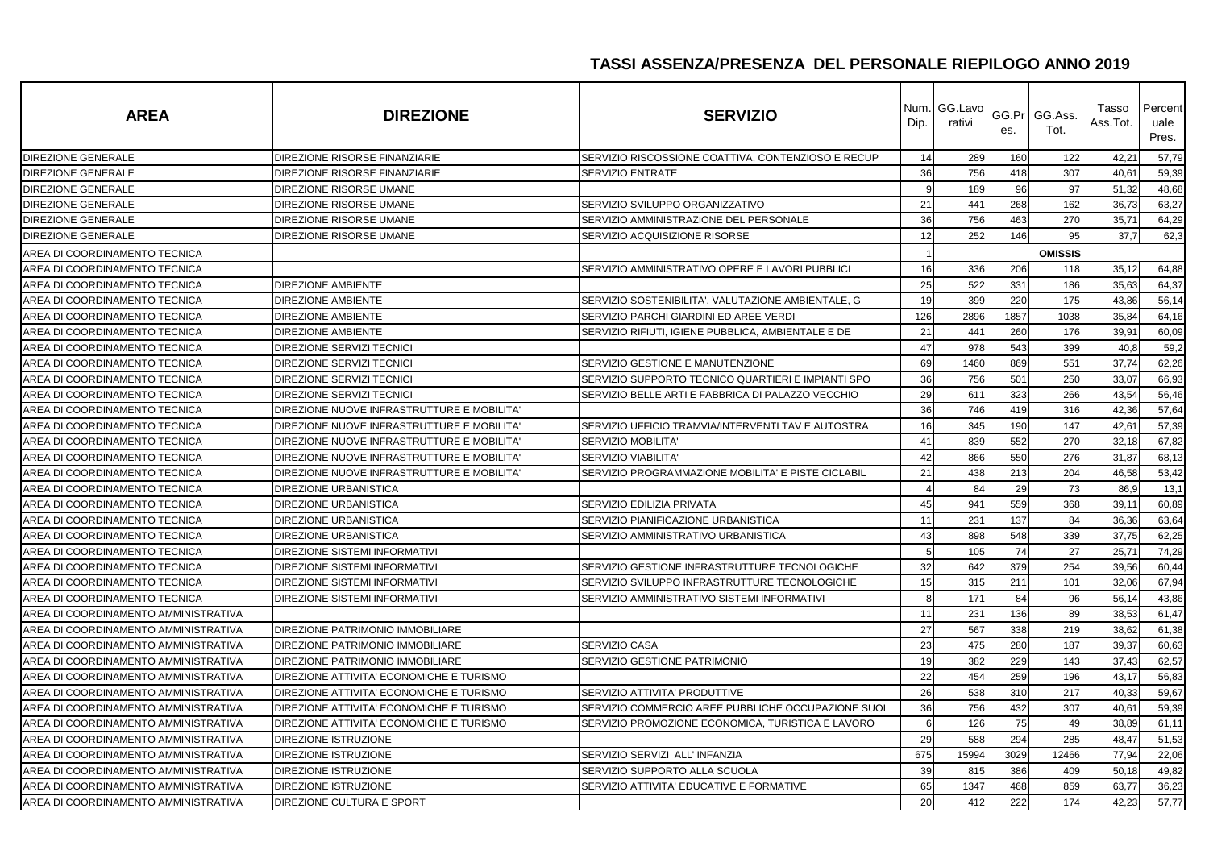| <b>AREA</b>                          | <b>DIREZIONE</b>                           | <b>SERVIZIO</b>                                    | Dip.           | Num. GG.Lavo<br>rativi | es.  | GG.Pr GG.Ass.<br>Tot. | Tasso<br>Ass.Tot. | Percent<br>uale<br>Pres. |
|--------------------------------------|--------------------------------------------|----------------------------------------------------|----------------|------------------------|------|-----------------------|-------------------|--------------------------|
| <b>DIREZIONE GENERALE</b>            | DIREZIONE RISORSE FINANZIARIE              | SERVIZIO RISCOSSIONE COATTIVA, CONTENZIOSO E RECUP | 14             | 289                    | 160  | 122                   | 42,21             | 57,79                    |
| <b>DIREZIONE GENERALE</b>            | DIREZIONE RISORSE FINANZIARIE              | SERVIZIO ENTRATE                                   | 36             | 756                    | 418  | 307                   | 40,61             | 59,39                    |
| DIREZIONE GENERALE                   | DIREZIONE RISORSE UMANE                    |                                                    | 9              | 189                    | 96   | 97                    | 51,32             | 48,68                    |
| <b>DIREZIONE GENERALE</b>            | DIREZIONE RISORSE UMANE                    | SERVIZIO SVILUPPO ORGANIZZATIVO                    | 21             | 441                    | 268  | 162                   | 36,73             | 63,27                    |
| DIREZIONE GENERALE                   | DIREZIONE RISORSE UMANE                    | SERVIZIO AMMINISTRAZIONE DEL PERSONALE             | 36             | 756                    | 463  | 270                   | 35,71             | 64,29                    |
| DIREZIONE GENERALE                   | DIREZIONE RISORSE UMANE                    | SERVIZIO ACQUISIZIONE RISORSE                      | 12             | 252                    | 146  | 95                    | 37,7              | 62,3                     |
| AREA DI COORDINAMENTO TECNICA        |                                            |                                                    |                |                        |      | <b>OMISSIS</b>        |                   |                          |
| AREA DI COORDINAMENTO TECNICA        |                                            | SERVIZIO AMMINISTRATIVO OPERE E LAVORI PUBBLICI    | 16             | 336                    | 206  | 118                   | 35,12             | 64,88                    |
| AREA DI COORDINAMENTO TECNICA        | <b>DIREZIONE AMBIENTE</b>                  |                                                    | 25             | 522                    | 331  | 186                   | 35,63             | 64,37                    |
| AREA DI COORDINAMENTO TECNICA        | <b>DIREZIONE AMBIENTE</b>                  | SERVIZIO SOSTENIBILITA', VALUTAZIONE AMBIENTALE, G | 19             | 399                    | 220  | 175                   | 43,86             | 56,14                    |
| AREA DI COORDINAMENTO TECNICA        | <b>DIREZIONE AMBIENTE</b>                  | SERVIZIO PARCHI GIARDINI ED AREE VERDI             | 126            | 2896                   | 1857 | 1038                  | 35,84             | 64,16                    |
| AREA DI COORDINAMENTO TECNICA        | <b>DIREZIONE AMBIENTE</b>                  | SERVIZIO RIFIUTI, IGIENE PUBBLICA, AMBIENTALE E DE | 21             | 441                    | 260  | 176                   | 39,91             | 60,09                    |
| AREA DI COORDINAMENTO TECNICA        | DIREZIONE SERVIZI TECNICI                  |                                                    | 47             | 978                    | 543  | 399                   | 40,8              | 59,2                     |
| AREA DI COORDINAMENTO TECNICA        | <b>DIREZIONE SERVIZI TECNICI</b>           | SERVIZIO GESTIONE E MANUTENZIONE                   | 69             | 1460                   | 869  | 551                   | 37,74             | 62,26                    |
| AREA DI COORDINAMENTO TECNICA        | <b>DIREZIONE SERVIZI TECNICI</b>           | SERVIZIO SUPPORTO TECNICO QUARTIERI E IMPIANTI SPO | 36             | 756                    | 501  | 250                   | 33,07             | 66,93                    |
| AREA DI COORDINAMENTO TECNICA        | DIREZIONE SERVIZI TECNICI                  | SERVIZIO BELLE ARTI E FABBRICA DI PALAZZO VECCHIO  | 29             | 611                    | 323  | 266                   | 43,54             | 56,46                    |
| AREA DI COORDINAMENTO TECNICA        | DIREZIONE NUOVE INFRASTRUTTURE E MOBILITA' |                                                    | 36             | 746                    | 419  | 316                   | 42,36             | 57,64                    |
| AREA DI COORDINAMENTO TECNICA        | DIREZIONE NUOVE INFRASTRUTTURE E MOBILITA' | SERVIZIO UFFICIO TRAMVIA/INTERVENTI TAV E AUTOSTRA | 16             | 345                    | 190  | 147                   | 42,61             | 57,39                    |
| AREA DI COORDINAMENTO TECNICA        | DIREZIONE NUOVE INFRASTRUTTURE E MOBILITA' | SERVIZIO MOBILITA'                                 | 41             | 839                    | 552  | 270                   | 32,18             | 67,82                    |
| AREA DI COORDINAMENTO TECNICA        | DIREZIONE NUOVE INFRASTRUTTURE E MOBILITA' | SERVIZIO VIABILITA'                                | 42             | 866                    | 550  | 276                   | 31,87             | 68,13                    |
| AREA DI COORDINAMENTO TECNICA        | DIREZIONE NUOVE INFRASTRUTTURE E MOBILITA' | SERVIZIO PROGRAMMAZIONE MOBILITA' E PISTE CICLABIL | 21             | 438                    | 213  | 204                   | 46,58             | 53,42                    |
| AREA DI COORDINAMENTO TECNICA        | <b>DIREZIONE URBANISTICA</b>               |                                                    | $\overline{4}$ | 84                     | 29   | 73                    | 86,9              | 13,1                     |
| AREA DI COORDINAMENTO TECNICA        | <b>DIREZIONE URBANISTICA</b>               | SERVIZIO EDILIZIA PRIVATA                          | 45             | 941                    | 559  | 368                   | 39,11             | 60,89                    |
| AREA DI COORDINAMENTO TECNICA        | <b>DIREZIONE URBANISTICA</b>               | SERVIZIO PIANIFICAZIONE URBANISTICA                | 11             | 231                    | 137  | 84                    | 36,36             | 63,64                    |
| AREA DI COORDINAMENTO TECNICA        | <b>DIREZIONE URBANISTICA</b>               | SERVIZIO AMMINISTRATIVO URBANISTICA                | 43             | 898                    | 548  | 339                   | 37,75             | 62,25                    |
| AREA DI COORDINAMENTO TECNICA        | DIREZIONE SISTEMI INFORMATIVI              |                                                    | -5             | 105                    | 74   | 27                    | 25,71             | 74,29                    |
| AREA DI COORDINAMENTO TECNICA        | DIREZIONE SISTEMI INFORMATIVI              | SERVIZIO GESTIONE INFRASTRUTTURE TECNOLOGICHE      | 32             | 642                    | 379  | 254                   | 39,56             | 60,44                    |
| AREA DI COORDINAMENTO TECNICA        | <b>DIREZIONE SISTEMI INFORMATIVI</b>       | SERVIZIO SVILUPPO INFRASTRUTTURE TECNOLOGICHE      | 15             | 315                    | 211  | 101                   | 32,06             | 67,94                    |
| AREA DI COORDINAMENTO TECNICA        | DIREZIONE SISTEMI INFORMATIVI              | SERVIZIO AMMINISTRATIVO SISTEMI INFORMATIVI        | 8              | 171                    | 84   | 96                    | 56,14             | 43,86                    |
| AREA DI COORDINAMENTO AMMINISTRATIVA |                                            |                                                    | 11             | 231                    | 136  | 89                    | 38,53             | 61,47                    |
| AREA DI COORDINAMENTO AMMINISTRATIVA | DIREZIONE PATRIMONIO IMMOBILIARE           |                                                    | 27             | 567                    | 338  | 219                   | 38,62             | 61,38                    |
| AREA DI COORDINAMENTO AMMINISTRATIVA | DIREZIONE PATRIMONIO IMMOBILIARE           | SERVIZIO CASA                                      | 23             | 475                    | 280  | 187                   | 39,37             | 60,63                    |
| AREA DI COORDINAMENTO AMMINISTRATIVA | DIREZIONE PATRIMONIO IMMOBILIARE           | SERVIZIO GESTIONE PATRIMONIO                       | 19             | 382                    | 229  | 143                   | 37,43             | 62,57                    |
| AREA DI COORDINAMENTO AMMINISTRATIVA | DIREZIONE ATTIVITA' ECONOMICHE E TURISMO   |                                                    | 22             | 454                    | 259  | 196                   | 43,17             | 56,83                    |
| AREA DI COORDINAMENTO AMMINISTRATIVA | DIREZIONE ATTIVITA' ECONOMICHE E TURISMO   | SERVIZIO ATTIVITA' PRODUTTIVE                      | 26             | 538                    | 310  | 217                   | 40,33             | 59,67                    |
| AREA DI COORDINAMENTO AMMINISTRATIVA | DIREZIONE ATTIVITA' ECONOMICHE E TURISMO   | SERVIZIO COMMERCIO AREE PUBBLICHE OCCUPAZIONE SUOL | 36             | 756                    | 432  | 307                   | 40,61             | 59,39                    |
| AREA DI COORDINAMENTO AMMINISTRATIVA | DIREZIONE ATTIVITA' ECONOMICHE E TURISMO   | SERVIZIO PROMOZIONE ECONOMICA, TURISTICA E LAVORO  | 6              | 126                    | 75   | 49                    | 38,89             | 61,11                    |
| AREA DI COORDINAMENTO AMMINISTRATIVA | DIREZIONE ISTRUZIONE                       |                                                    | 29             | 588                    | 294  | 285                   | 48,47             | 51,53                    |
| AREA DI COORDINAMENTO AMMINISTRATIVA | <b>DIREZIONE ISTRUZIONE</b>                | SERVIZIO SERVIZI ALL' INFANZIA                     | 675            | 15994                  | 3029 | 12466                 | 77,94             | 22,06                    |
| AREA DI COORDINAMENTO AMMINISTRATIVA | DIREZIONE ISTRUZIONE                       | SERVIZIO SUPPORTO ALLA SCUOLA                      | 39             | 815                    | 386  | 409                   | 50,18             | 49,82                    |
| AREA DI COORDINAMENTO AMMINISTRATIVA | DIREZIONE ISTRUZIONE                       | SERVIZIO ATTIVITA' EDUCATIVE E FORMATIVE           | 65             | 1347                   | 468  | 859                   | 63,77             | 36,23                    |
| AREA DI COORDINAMENTO AMMINISTRATIVA | DIREZIONE CULTURA E SPORT                  |                                                    | 20             | 412                    | 222  | 174                   | 42,23             | 57,77                    |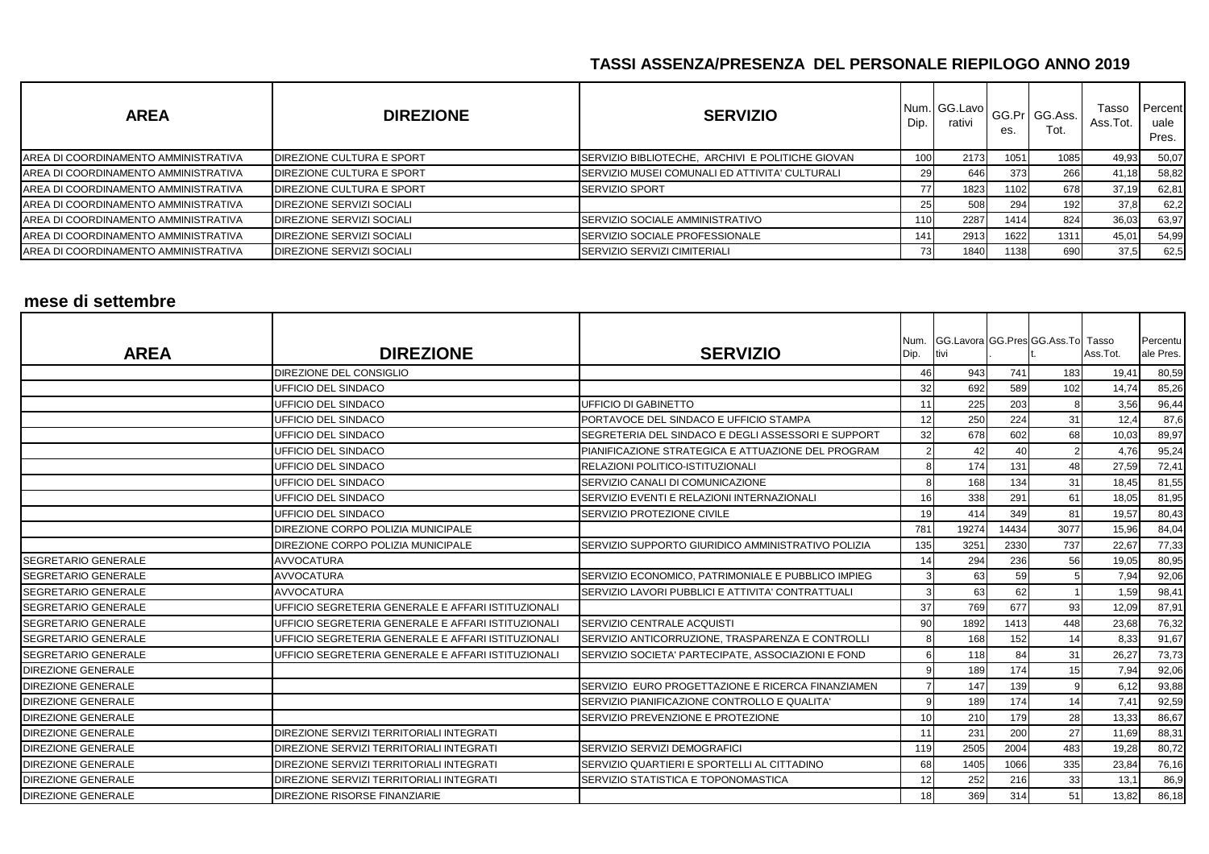| <b>AREA</b>                                  | <b>DIREZIONE</b>          | <b>SERVIZIO</b>                                  | Dip.             | Num. GG.Lavo<br>rativi | es.               | GG.Pr GG.Ass.<br>Tot. | Tasso<br>Ass.Tot. | Percent<br>uale<br>Pres. |
|----------------------------------------------|---------------------------|--------------------------------------------------|------------------|------------------------|-------------------|-----------------------|-------------------|--------------------------|
| <b>JAREA DI COORDINAMENTO AMMINISTRATIVA</b> | DIREZIONE CULTURA E SPORT | SERVIZIO BIBLIOTECHE, ARCHIVI E POLITICHE GIOVAN | 100 <sub>1</sub> | 2173                   | 1051 <sub>1</sub> | 1085                  | 49,93             | 50,07                    |
| AREA DI COORDINAMENTO AMMINISTRATIVA         | DIREZIONE CULTURA E SPORT | SERVIZIO MUSEI COMUNALI ED ATTIVITA' CULTURALI   | 29               | 646                    | 373               | 266                   | 41,18             | 58,82                    |
| AREA DI COORDINAMENTO AMMINISTRATIVA         | DIREZIONE CULTURA E SPORT | <b>ISERVIZIO SPORT</b>                           | 77               | 1823                   | 1102              | 678                   | 37,19             | 62,81                    |
| AREA DI COORDINAMENTO AMMINISTRATIVA         | DIREZIONE SERVIZI SOCIALI |                                                  | 25               | 508                    | 294               | 192                   | 37,8              | 62,2                     |
| AREA DI COORDINAMENTO AMMINISTRATIVA         | DIREZIONE SERVIZI SOCIALI | <b>SERVIZIO SOCIALE AMMINISTRATIVO</b>           | 110              | 2287                   | 1414              | 824                   | 36,03             | 63,97                    |
| AREA DI COORDINAMENTO AMMINISTRATIVA         | DIREZIONE SERVIZI SOCIALI | <b>ISERVIZIO SOCIALE PROFESSIONALE</b>           | 141.             | 2913                   | 1622              | 1311                  | 45,01             | 54,99                    |
| AREA DI COORDINAMENTO AMMINISTRATIVA         | DIREZIONE SERVIZI SOCIALI | <b>SERVIZIO SERVIZI CIMITERIALI</b>              | 73               | 1840                   | 1138              | 690                   | 37,5              | 62,5                     |

#### **mese di settembre**

| <b>AREA</b>                | <b>DIREZIONE</b>                                   | <b>SERVIZIO</b>                                    | Num.<br>Dip.    | GG.Lavora GG.Pres GG.Ass.To Tasso<br>tivi |       |      | Ass.Tot. | Percentu<br>ale Pres. |
|----------------------------|----------------------------------------------------|----------------------------------------------------|-----------------|-------------------------------------------|-------|------|----------|-----------------------|
|                            | <b>DIREZIONE DEL CONSIGLIO</b>                     |                                                    | 46              | 943                                       | 741   | 183  | 19,41    | 80,59                 |
|                            | UFFICIO DEL SINDACO                                |                                                    | 32              | 692                                       | 589   | 102  | 14,74    | 85,26                 |
|                            | <b>UFFICIO DEL SINDACO</b>                         | UFFICIO DI GABINETTO                               | 11              | 225                                       | 203   |      | 3,56     | 96,44                 |
|                            | UFFICIO DEL SINDACO                                | PORTAVOCE DEL SINDACO E UFFICIO STAMPA             | 12              | 250                                       | 224   | 31   | 12,4     | 87,6                  |
|                            | <b>UFFICIO DEL SINDACO</b>                         | SEGRETERIA DEL SINDACO E DEGLI ASSESSORI E SUPPORT | 32              | 678                                       | 602   | 68   | 10,03    | 89,97                 |
|                            | UFFICIO DEL SINDACO                                | PIANIFICAZIONE STRATEGICA E ATTUAZIONE DEL PROGRAM |                 | 42                                        | 40    |      | 4,76     | 95,24                 |
|                            | UFFICIO DEL SINDACO                                | RELAZIONI POLITICO-ISTITUZIONALI                   |                 | 174                                       | 131   | 48   | 27,59    | 72,41                 |
|                            | UFFICIO DEL SINDACO                                | SERVIZIO CANALI DI COMUNICAZIONE                   | 8               | 168                                       | 134   | 31   | 18,45    | 81,55                 |
|                            | <b>UFFICIO DEL SINDACO</b>                         | SERVIZIO EVENTI E RELAZIONI INTERNAZIONALI         | 16              | 338                                       | 291   | 61   | 18,05    | 81,95                 |
|                            | UFFICIO DEL SINDACO                                | SERVIZIO PROTEZIONE CIVILE                         | 19              | 414                                       | 349   | 81   | 19,57    | 80,43                 |
|                            | DIREZIONE CORPO POLIZIA MUNICIPALE                 |                                                    | 781             | 19274                                     | 14434 | 3077 | 15,96    | 84,04                 |
|                            | DIREZIONE CORPO POLIZIA MUNICIPALE                 | SERVIZIO SUPPORTO GIURIDICO AMMINISTRATIVO POLIZIA | 135             | 3251                                      | 2330  | 737  | 22,67    | 77,33                 |
| <b>SEGRETARIO GENERALE</b> | <b>AVVOCATURA</b>                                  |                                                    | 14              | 294                                       | 236   | 56   | 19,05    | 80,95                 |
| <b>SEGRETARIO GENERALE</b> | <b>AVVOCATURA</b>                                  | SERVIZIO ECONOMICO, PATRIMONIALE E PUBBLICO IMPIEG |                 | 63                                        | 59    |      | 7,94     | 92,06                 |
| <b>SEGRETARIO GENERALE</b> | <b>AVVOCATURA</b>                                  | SERVIZIO LAVORI PUBBLICI E ATTIVITA' CONTRATTUALI  |                 | 63                                        | 62    |      | 1,59     | 98,41                 |
| <b>SEGRETARIO GENERALE</b> | UFFICIO SEGRETERIA GENERALE E AFFARI ISTITUZIONALI |                                                    | 37              | 769                                       | 677   | 93   | 12,09    | 87,91                 |
| <b>SEGRETARIO GENERALE</b> | UFFICIO SEGRETERIA GENERALE E AFFARI ISTITUZIONALI | SERVIZIO CENTRALE ACQUISTI                         | 90              | 1892                                      | 1413  | 448  | 23,68    | 76,32                 |
| <b>SEGRETARIO GENERALE</b> | UFFICIO SEGRETERIA GENERALE E AFFARI ISTITUZIONALI | SERVIZIO ANTICORRUZIONE, TRASPARENZA E CONTROLLI   |                 | 168                                       | 152   | 14   | 8,33     | 91,67                 |
| <b>SEGRETARIO GENERALE</b> | UFFICIO SEGRETERIA GENERALE E AFFARI ISTITUZIONALI | SERVIZIO SOCIETA' PARTECIPATE, ASSOCIAZIONI E FOND |                 | 118                                       | 84    | 31   | 26,27    | 73,73                 |
| <b>DIREZIONE GENERALE</b>  |                                                    |                                                    |                 | 189                                       | 174   | 15   | 7,94     | 92,06                 |
| <b>DIREZIONE GENERALE</b>  |                                                    | SERVIZIO EURO PROGETTAZIONE E RICERCA FINANZIAMEN  |                 | 147                                       | 139   |      | 6,12     | 93,88                 |
| <b>DIREZIONE GENERALE</b>  |                                                    | SERVIZIO PIANIFICAZIONE CONTROLLO E QUALITA'       | 9               | 189                                       | 174   | 14   | 7,41     | 92,59                 |
| <b>DIREZIONE GENERALE</b>  |                                                    | SERVIZIO PREVENZIONE E PROTEZIONE                  | 10              | 210                                       | 179   | 28   | 13,33    | 86,67                 |
| <b>DIREZIONE GENERALE</b>  | <b>DIREZIONE SERVIZI TERRITORIALI INTEGRATI</b>    |                                                    | 11              | 231                                       | 200   | 27   | 11,69    | 88,31                 |
| <b>DIREZIONE GENERALE</b>  | DIREZIONE SERVIZI TERRITORIALI INTEGRATI           | SERVIZIO SERVIZI DEMOGRAFICI                       | 119             | 2505                                      | 2004  | 483  | 19,28    | 80,72                 |
| <b>DIREZIONE GENERALE</b>  | DIREZIONE SERVIZI TERRITORIALI INTEGRATI           | SERVIZIO QUARTIERI E SPORTELLI AL CITTADINO        | 68              | 1405                                      | 1066  | 335  | 23,84    | 76,16                 |
| <b>DIREZIONE GENERALE</b>  | DIREZIONE SERVIZI TERRITORIALI INTEGRATI           | SERVIZIO STATISTICA E TOPONOMASTICA                | 12 <sup>1</sup> | 252                                       | 216   | 33   | 13,1     | 86,9                  |
| <b>DIREZIONE GENERALE</b>  | <b>DIREZIONE RISORSE FINANZIARIE</b>               |                                                    | 18              | 369                                       | 314   | 51   | 13,82    | 86,18                 |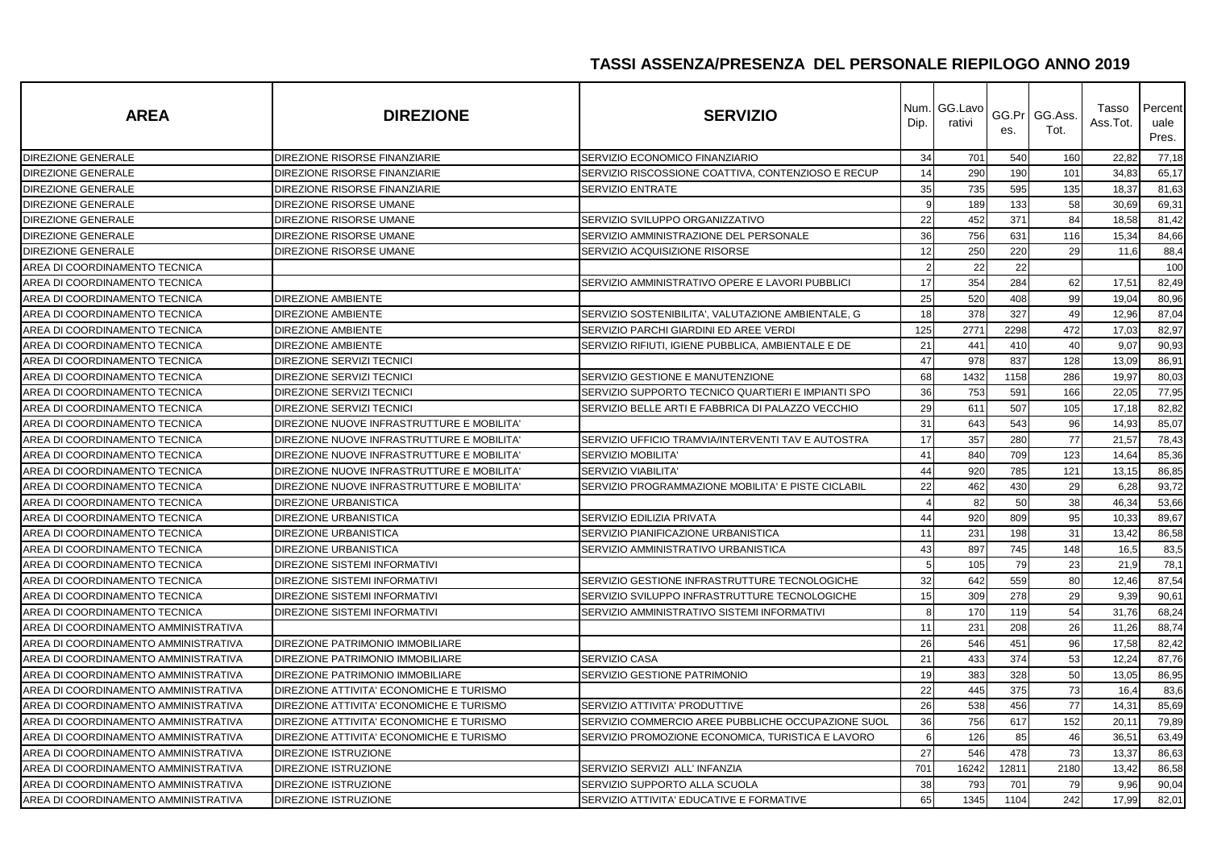| <b>AREA</b>                          | <b>DIREZIONE</b>                           | <b>SERVIZIO</b>                                    | Num.<br>Dip. | GG.Lavo<br>rativi | es.   | GG.Pr GG.Ass.<br>Tot. | Tasso<br>Ass.Tot. | Percent<br>uale<br>Pres. |
|--------------------------------------|--------------------------------------------|----------------------------------------------------|--------------|-------------------|-------|-----------------------|-------------------|--------------------------|
| <b>DIREZIONE GENERALE</b>            | DIREZIONE RISORSE FINANZIARIE              | SERVIZIO ECONOMICO FINANZIARIO                     | 34           | 701               | 540   | 160                   | 22,82             | 77,18                    |
| DIREZIONE GENERALE                   | DIREZIONE RISORSE FINANZIARIE              | SERVIZIO RISCOSSIONE COATTIVA, CONTENZIOSO E RECUP | 14           | 290               | 190   | 101                   | 34,83             | 65,17                    |
| DIREZIONE GENERALE                   | DIREZIONE RISORSE FINANZIARIE              | SERVIZIO ENTRATE                                   | 35           | 735               | 595   | 135                   | 18,37             | 81,63                    |
| <b>DIREZIONE GENERALE</b>            | DIREZIONE RISORSE UMANE                    |                                                    | 9            | 189               | 133   | 58                    | 30,69             | 69,31                    |
| DIREZIONE GENERALE                   | DIREZIONE RISORSE UMANE                    | SERVIZIO SVILUPPO ORGANIZZATIVO                    | 22           | 452               | 371   | 84                    | 18,58             | 81,42                    |
| DIREZIONE GENERALE                   | DIREZIONE RISORSE UMANE                    | SERVIZIO AMMINISTRAZIONE DEL PERSONALE             | 36           | 756               | 631   | 116                   | 15,34             | 84,66                    |
| <b>DIREZIONE GENERALE</b>            | DIREZIONE RISORSE UMANE                    | SERVIZIO ACQUISIZIONE RISORSE                      | 12           | 250               | 220   | 29                    | 11,6              | 88,4                     |
| AREA DI COORDINAMENTO TECNICA        |                                            |                                                    |              | 22                | 22    |                       |                   | 100                      |
| AREA DI COORDINAMENTO TECNICA        |                                            | SERVIZIO AMMINISTRATIVO OPERE E LAVORI PUBBLICI    | 17           | 354               | 284   | 62                    | 17,51             | 82,49                    |
| AREA DI COORDINAMENTO TECNICA        | <b>DIREZIONE AMBIENTE</b>                  |                                                    | 25           | 520               | 408   | 99                    | 19,04             | 80,96                    |
| AREA DI COORDINAMENTO TECNICA        | <b>DIREZIONE AMBIENTE</b>                  | SERVIZIO SOSTENIBILITA', VALUTAZIONE AMBIENTALE, G | 18           | 378               | 327   | 49                    | 12,96             | 87,04                    |
| AREA DI COORDINAMENTO TECNICA        | <b>DIREZIONE AMBIENTE</b>                  | SERVIZIO PARCHI GIARDINI ED AREE VERDI             | 125          | 2771              | 2298  | 472                   | 17,03             | 82,97                    |
| AREA DI COORDINAMENTO TECNICA        | <b>DIREZIONE AMBIENTE</b>                  | SERVIZIO RIFIUTI, IGIENE PUBBLICA, AMBIENTALE E DE | 21           | 441               | 410   | 40                    | 9,07              | 90,93                    |
| AREA DI COORDINAMENTO TECNICA        | <b>DIREZIONE SERVIZI TECNICI</b>           |                                                    | 47           | 978               | 837   | 128                   | 13,09             | 86,91                    |
| AREA DI COORDINAMENTO TECNICA        | <b>DIREZIONE SERVIZI TECNICI</b>           | SERVIZIO GESTIONE E MANUTENZIONE                   | 68           | 1432              | 1158  | 286                   | 19,97             | 80,03                    |
| AREA DI COORDINAMENTO TECNICA        | <b>DIREZIONE SERVIZI TECNICI</b>           | SERVIZIO SUPPORTO TECNICO QUARTIERI E IMPIANTI SPO | 36           | 753               | 591   | 166                   | 22,05             | 77,95                    |
| AREA DI COORDINAMENTO TECNICA        | <b>DIREZIONE SERVIZI TECNICI</b>           | SERVIZIO BELLE ARTI E FABBRICA DI PALAZZO VECCHIO  | 29           | 611               | 507   | 105                   | 17,18             | 82,82                    |
| AREA DI COORDINAMENTO TECNICA        | DIREZIONE NUOVE INFRASTRUTTURE E MOBILITA' |                                                    | 31           | 643               | 543   | 96                    | 14,93             | 85,07                    |
| AREA DI COORDINAMENTO TECNICA        | DIREZIONE NUOVE INFRASTRUTTURE E MOBILITA' | SERVIZIO UFFICIO TRAMVIA/INTERVENTI TAV E AUTOSTRA | 17           | 357               | 280   | 77                    | 21,57             | 78,43                    |
| AREA DI COORDINAMENTO TECNICA        | DIREZIONE NUOVE INFRASTRUTTURE E MOBILITA' | SERVIZIO MOBILITA'                                 | 41           | 840               | 709   | 123                   | 14,64             | 85,36                    |
| AREA DI COORDINAMENTO TECNICA        | DIREZIONE NUOVE INFRASTRUTTURE E MOBILITA' | <b>SERVIZIO VIABILITA'</b>                         | 44           | 920               | 785   | 121                   | 13,15             | 86,85                    |
| AREA DI COORDINAMENTO TECNICA        | DIREZIONE NUOVE INFRASTRUTTURE E MOBILITA' | SERVIZIO PROGRAMMAZIONE MOBILITA' E PISTE CICLABIL | 22           | 462               | 430   | 29                    | 6,28              | 93,72                    |
| AREA DI COORDINAMENTO TECNICA        | <b>DIREZIONE URBANISTICA</b>               |                                                    |              | 82                | 50    | 38                    | 46,34             | 53,66                    |
| AREA DI COORDINAMENTO TECNICA        | <b>DIREZIONE URBANISTICA</b>               | SERVIZIO EDILIZIA PRIVATA                          | 44           | 920               | 809   | 95                    | 10,33             | 89,67                    |
| AREA DI COORDINAMENTO TECNICA        | <b>DIREZIONE URBANISTICA</b>               | SERVIZIO PIANIFICAZIONE URBANISTICA                | 11           | 231               | 198   | 31                    | 13,42             | 86,58                    |
| AREA DI COORDINAMENTO TECNICA        | DIREZIONE URBANISTICA                      | SERVIZIO AMMINISTRATIVO URBANISTICA                | 43           | 897               | 745   | 148                   | 16,5              | 83,5                     |
| AREA DI COORDINAMENTO TECNICA        | <b>DIREZIONE SISTEMI INFORMATIVI</b>       |                                                    | 5            | 105               | 79    | 23                    | 21,9              | 78,1                     |
| AREA DI COORDINAMENTO TECNICA        | <b>DIREZIONE SISTEMI INFORMATIVI</b>       | SERVIZIO GESTIONE INFRASTRUTTURE TECNOLOGICHE      | 32           | 642               | 559   | 80                    | 12,46             | 87,54                    |
| AREA DI COORDINAMENTO TECNICA        | <b>DIREZIONE SISTEMI INFORMATIVI</b>       | SERVIZIO SVILUPPO INFRASTRUTTURE TECNOLOGICHE      | 15           | 309               | 278   | 29                    | 9,39              | 90,61                    |
| AREA DI COORDINAMENTO TECNICA        | <b>DIREZIONE SISTEMI INFORMATIVI</b>       | SERVIZIO AMMINISTRATIVO SISTEMI INFORMATIVI        | 8            | 170               | 119   | 54                    | 31,76             | 68,24                    |
| AREA DI COORDINAMENTO AMMINISTRATIVA |                                            |                                                    | 11           | 231               | 208   | 26                    | 11,26             | 88,74                    |
| AREA DI COORDINAMENTO AMMINISTRATIVA | DIREZIONE PATRIMONIO IMMOBILIARE           |                                                    | 26           | 546               | 451   | 96                    | 17,58             | 82,42                    |
| AREA DI COORDINAMENTO AMMINISTRATIVA | DIREZIONE PATRIMONIO IMMOBILIARE           | <b>SERVIZIO CASA</b>                               | 21           | 433               | 374   | 53                    | 12,24             | 87,76                    |
| AREA DI COORDINAMENTO AMMINISTRATIVA | DIREZIONE PATRIMONIO IMMOBILIARE           | SERVIZIO GESTIONE PATRIMONIO                       | 19           | 383               | 328   | 50                    | 13,05             | 86,95                    |
| AREA DI COORDINAMENTO AMMINISTRATIVA | DIREZIONE ATTIVITA' ECONOMICHE E TURISMO   |                                                    | 22           | 445               | 375   | 73                    | 16,4              | 83,6                     |
| AREA DI COORDINAMENTO AMMINISTRATIVA | DIREZIONE ATTIVITA' ECONOMICHE E TURISMO   | SERVIZIO ATTIVITA' PRODUTTIVE                      | 26           | 538               | 456   | 77                    | 14,31             | 85,69                    |
| AREA DI COORDINAMENTO AMMINISTRATIVA | DIREZIONE ATTIVITA' ECONOMICHE E TURISMO   | SERVIZIO COMMERCIO AREE PUBBLICHE OCCUPAZIONE SUOL | 36           | 756               | 617   | 152                   | 20,11             | 79,89                    |
| AREA DI COORDINAMENTO AMMINISTRATIVA | DIREZIONE ATTIVITA' ECONOMICHE E TURISMO   | SERVIZIO PROMOZIONE ECONOMICA. TURISTICA E LAVORO  | 6            | 126               | 85    | 46                    | 36,51             | 63,49                    |
| AREA DI COORDINAMENTO AMMINISTRATIVA | <b>DIREZIONE ISTRUZIONE</b>                |                                                    | 27           | 546               | 478   | 73                    | 13,37             | 86,63                    |
| AREA DI COORDINAMENTO AMMINISTRATIVA | DIREZIONE ISTRUZIONE                       | SERVIZIO SERVIZI ALL' INFANZIA                     | 701          | 16242             | 12811 | 2180                  | 13,42             | 86,58                    |
| AREA DI COORDINAMENTO AMMINISTRATIVA | DIREZIONE ISTRUZIONE                       | SERVIZIO SUPPORTO ALLA SCUOLA                      | 38           | 793               | 701   | 79                    | 9,96              | 90,04                    |
| AREA DI COORDINAMENTO AMMINISTRATIVA | <b>DIREZIONE ISTRUZIONE</b>                | SERVIZIO ATTIVITA' EDUCATIVE E FORMATIVE           | 65           | 1345              | 1104  | 242                   | 17,99             | 82,01                    |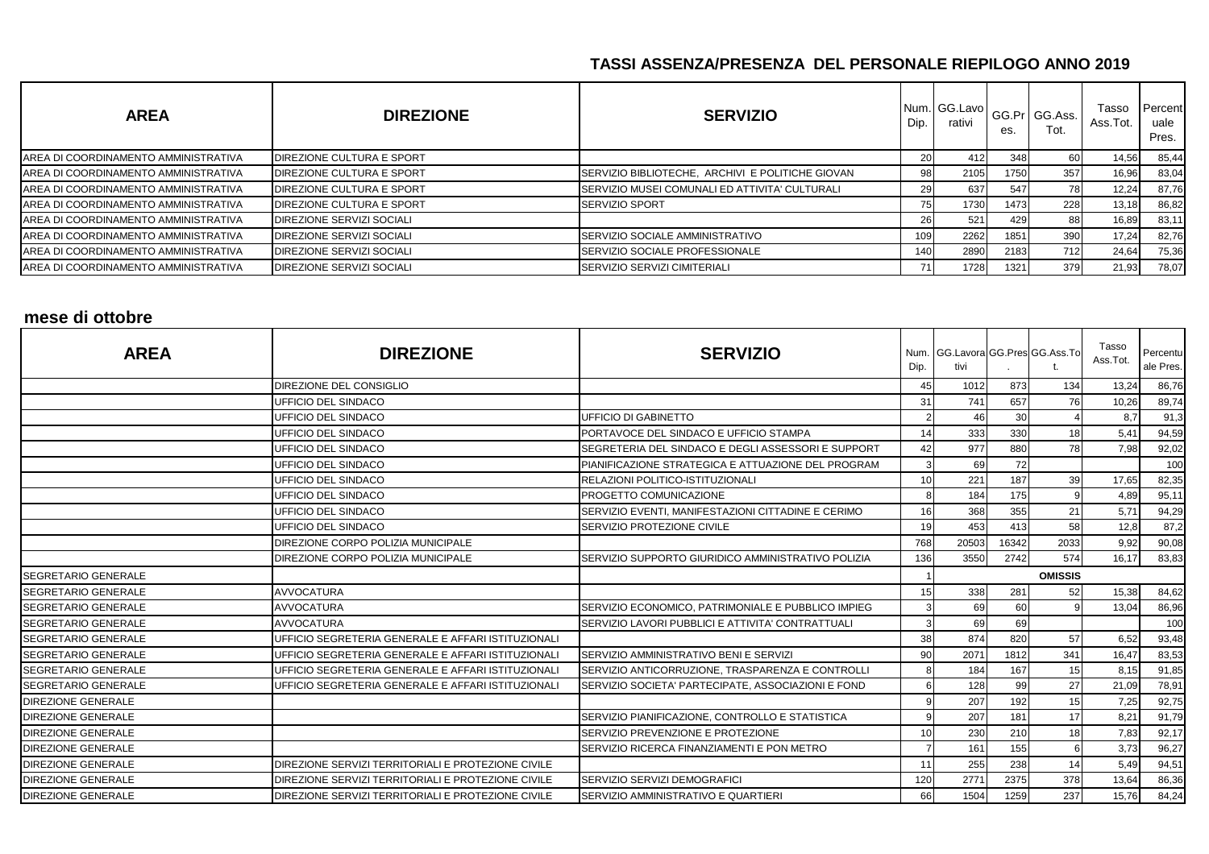| <b>AREA</b>                          | <b>DIREZIONE</b>          | <b>SERVIZIO</b>                                  | Dip.       | Num. GG.Lavo<br>rativi | es.  | GG.Pr GG.Ass.<br>Tot. | Tasso<br>Ass.Tot. | Percent<br>uale<br>Pres. |
|--------------------------------------|---------------------------|--------------------------------------------------|------------|------------------------|------|-----------------------|-------------------|--------------------------|
| AREA DI COORDINAMENTO AMMINISTRATIVA | DIREZIONE CULTURA E SPORT |                                                  | 20.        | 412                    | 348  | 60                    | 14,56             | 85,44                    |
| AREA DI COORDINAMENTO AMMINISTRATIVA | DIREZIONE CULTURA E SPORT | SERVIZIO BIBLIOTECHE. ARCHIVI E POLITICHE GIOVAN | 98         | 2105                   | 1750 | 357                   | 16,96             | 83,04                    |
| AREA DI COORDINAMENTO AMMINISTRATIVA | DIREZIONE CULTURA E SPORT | SERVIZIO MUSEI COMUNALI ED ATTIVITA' CULTURALI   | 29.        | 637                    | 547  | 78                    | 12,24             | 87,76                    |
| AREA DI COORDINAMENTO AMMINISTRATIVA | DIREZIONE CULTURA E SPORT | <b>SERVIZIO SPORT</b>                            | 75         | 1730                   | 1473 | 228                   | 13,18             | 86,82                    |
| AREA DI COORDINAMENTO AMMINISTRATIVA | DIREZIONE SERVIZI SOCIALI |                                                  | <b>261</b> | 521                    | 429  | 88                    | 16,89             | 83,11                    |
| AREA DI COORDINAMENTO AMMINISTRATIVA | DIREZIONE SERVIZI SOCIALI | ISERVIZIO SOCIALE AMMINISTRATIVO                 | 109        | 2262                   | 1851 | 390                   | 17,24             | 82,76                    |
| AREA DI COORDINAMENTO AMMINISTRATIVA | DIREZIONE SERVIZI SOCIALI | <b>ISERVIZIO SOCIALE PROFESSIONALE</b>           | 140        | 2890                   | 2183 | 712                   | 24,64             | 75,36                    |
| AREA DI COORDINAMENTO AMMINISTRATIVA | DIREZIONE SERVIZI SOCIALI | SERVIZIO SERVIZI CIMITERIALI                     | 71         | 1728                   | 1321 | 379                   | 21,93             | 78,07                    |

#### **mese di ottobre**

| <b>AREA</b>                | <b>DIREZIONE</b>                                   | <b>SERVIZIO</b>                                    | Dip.         | Num. GG.Lavora GG.Pres GG.Ass.To<br>tivi |                 |                | Tasso<br>Ass.Tot. | Percentu<br>ale Pres. |
|----------------------------|----------------------------------------------------|----------------------------------------------------|--------------|------------------------------------------|-----------------|----------------|-------------------|-----------------------|
|                            | DIREZIONE DEL CONSIGLIO                            |                                                    | 45           | 1012                                     | 873             | 134            | 13,24             | 86,76                 |
|                            | UFFICIO DEL SINDACO                                |                                                    | 31           | 741                                      | 657             | 76             | 10,26             | 89,74                 |
|                            | UFFICIO DEL SINDACO                                | <b>UFFICIO DI GABINETTO</b>                        |              | 46                                       | 30 <sup>1</sup> |                | 8,7               | 91,3                  |
|                            | UFFICIO DEL SINDACO                                | PORTAVOCE DEL SINDACO E UFFICIO STAMPA             | 14           | 333                                      | 330             | 18             | 5,41              | 94,59                 |
|                            | UFFICIO DEL SINDACO                                | SEGRETERIA DEL SINDACO E DEGLI ASSESSORI E SUPPORT | 42           | 977                                      | 880             | 78             | 7,98              | 92,02                 |
|                            | <b>UFFICIO DEL SINDACO</b>                         | PIANIFICAZIONE STRATEGICA E ATTUAZIONE DEL PROGRAM | 3            | 69                                       | 72              |                |                   | 100                   |
|                            | UFFICIO DEL SINDACO                                | RELAZIONI POLITICO-ISTITUZIONALI                   | 10           | 221                                      | 187             | 39             | 17,65             | 82,35                 |
|                            | UFFICIO DEL SINDACO                                | PROGETTO COMUNICAZIONE                             | 8            | 184                                      | 175             |                | 4,89              | 95,11                 |
|                            | UFFICIO DEL SINDACO                                | SERVIZIO EVENTI. MANIFESTAZIONI CITTADINE E CERIMO | 16           | 368                                      | 355             | 21             | 5,71              | 94,29                 |
|                            | UFFICIO DEL SINDACO                                | SERVIZIO PROTEZIONE CIVILE                         | 19           | 453                                      | 413             | 58             | 12,8              | 87,2                  |
|                            | DIREZIONE CORPO POLIZIA MUNICIPALE                 |                                                    | 768          | 20503                                    | 16342           | 2033           | 9,92              | 90,08                 |
|                            | DIREZIONE CORPO POLIZIA MUNICIPALE                 | SERVIZIO SUPPORTO GIURIDICO AMMINISTRATIVO POLIZIA | 136          | 3550                                     | 2742            | 574            | 16,17             | 83,83                 |
| <b>SEGRETARIO GENERALE</b> |                                                    |                                                    |              |                                          |                 | <b>OMISSIS</b> |                   |                       |
| <b>SEGRETARIO GENERALE</b> | <b>AVVOCATURA</b>                                  |                                                    | 15           | 338                                      | 281             | 52             | 15,38             | 84,62                 |
| SEGRETARIO GENERALE        | <b>AVVOCATURA</b>                                  | SERVIZIO ECONOMICO, PATRIMONIALE E PUBBLICO IMPIEG |              | 69                                       | 60              |                | 13,04             | 86,96                 |
| SEGRETARIO GENERALE        | <b>AVVOCATURA</b>                                  | SERVIZIO LAVORI PUBBLICI E ATTIVITA' CONTRATTUALI  |              | 69                                       | 69              |                |                   | 100                   |
| SEGRETARIO GENERALE        | UFFICIO SEGRETERIA GENERALE E AFFARI ISTITUZIONALI |                                                    | 38           | 874                                      | 820             | 57             | 6,52              | 93,48                 |
| SEGRETARIO GENERALE        | UFFICIO SEGRETERIA GENERALE E AFFARI ISTITUZIONALI | SERVIZIO AMMINISTRATIVO BENI E SERVIZI             | 90           | 2071                                     | 1812            | 341            | 16,47             | 83,53                 |
| <b>SEGRETARIO GENERALE</b> | UFFICIO SEGRETERIA GENERALE E AFFARI ISTITUZIONALI | SERVIZIO ANTICORRUZIONE, TRASPARENZA E CONTROLLI   | $\mathsf{R}$ | 184                                      | 167             | 15             | 8,15              | 91,85                 |
| <b>SEGRETARIO GENERALE</b> | UFFICIO SEGRETERIA GENERALE E AFFARI ISTITUZIONALI | SERVIZIO SOCIETA' PARTECIPATE, ASSOCIAZIONI E FOND |              | 128                                      | 99              | 27             | 21,09             | 78,91                 |
| <b>DIREZIONE GENERALE</b>  |                                                    |                                                    | -9           | 207                                      | 192             | 15             | 7,25              | 92,75                 |
| <b>DIREZIONE GENERALE</b>  |                                                    | SERVIZIO PIANIFICAZIONE, CONTROLLO E STATISTICA    | q            | 207                                      | 181             | 17             | 8,21              | 91,79                 |
| <b>DIREZIONE GENERALE</b>  |                                                    | SERVIZIO PREVENZIONE E PROTEZIONE                  | 10           | 230                                      | 210             | 18             | 7,83              | 92,17                 |
| <b>DIREZIONE GENERALE</b>  |                                                    | SERVIZIO RICERCA FINANZIAMENTI E PON METRO         |              | 161                                      | 155             |                | 3,73              | 96,27                 |
| <b>DIREZIONE GENERALE</b>  | DIREZIONE SERVIZI TERRITORIALI E PROTEZIONE CIVILE |                                                    |              | 255                                      | 238             | 14             | 5,49              | 94,51                 |
| <b>DIREZIONE GENERALE</b>  | DIREZIONE SERVIZI TERRITORIALI E PROTEZIONE CIVILE | SERVIZIO SERVIZI DEMOGRAFICI                       | 120          | 2771                                     | 2375            | 378            | 13,64             | 86,36                 |
| <b>DIREZIONE GENERALE</b>  | DIREZIONE SERVIZI TERRITORIALI E PROTEZIONE CIVILE | SERVIZIO AMMINISTRATIVO E QUARTIERI                | 66           | 1504                                     | 1259            | 237            | 15,76             | 84,24                 |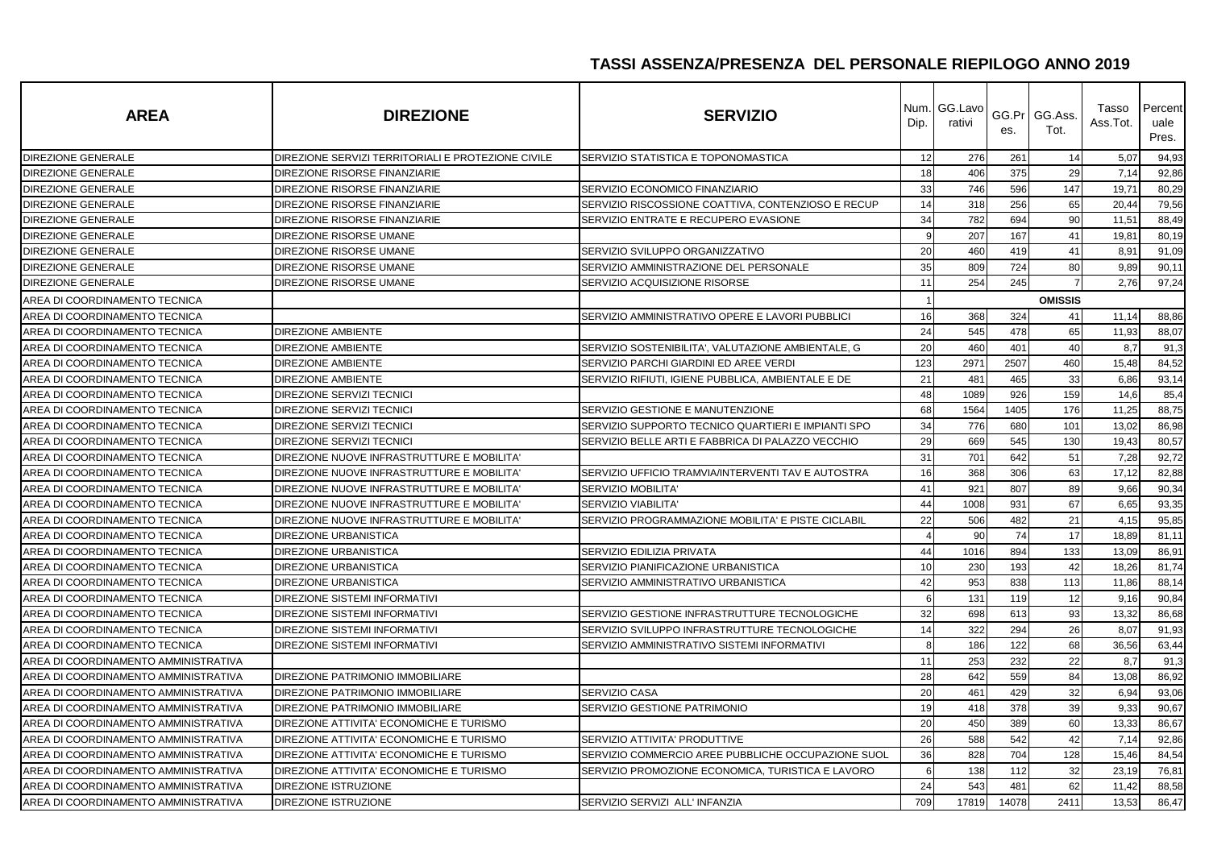| <b>AREA</b>                          | <b>DIREZIONE</b>                                   | <b>SERVIZIO</b>                                    | Dip. | Num. GG.Lavo<br>rativi | es.   | GG.Pr GG.Ass.<br>Tot. | Tasso<br>Ass.Tot. | Percent<br>uale<br>Pres. |
|--------------------------------------|----------------------------------------------------|----------------------------------------------------|------|------------------------|-------|-----------------------|-------------------|--------------------------|
| <b>DIREZIONE GENERALE</b>            | DIREZIONE SERVIZI TERRITORIALI E PROTEZIONE CIVILE | SERVIZIO STATISTICA E TOPONOMASTICA                | 12   | 276                    | 261   | 14                    | 5,07              | 94,93                    |
| <b>DIREZIONE GENERALE</b>            | DIREZIONE RISORSE FINANZIARIE                      |                                                    | 18   | 406                    | 375   | 29                    | 7,14              | 92,86                    |
| <b>DIREZIONE GENERALE</b>            | DIREZIONE RISORSE FINANZIARIE                      | SERVIZIO ECONOMICO FINANZIARIO                     | 33   | 746                    | 596   | 147                   | 19,71             | 80,29                    |
| <b>DIREZIONE GENERALE</b>            | DIREZIONE RISORSE FINANZIARIE                      | SERVIZIO RISCOSSIONE COATTIVA, CONTENZIOSO E RECUP | 14   | 318                    | 256   | 65                    | 20,44             | 79,56                    |
| DIREZIONE GENERALE                   | DIREZIONE RISORSE FINANZIARIE                      | SERVIZIO ENTRATE E RECUPERO EVASIONE               | 34   | 782                    | 694   | 90                    | 11,51             | 88,49                    |
| <b>DIREZIONE GENERALE</b>            | DIREZIONE RISORSE UMANE                            |                                                    | 9    | 207                    | 167   | 41                    | 19,81             | 80,19                    |
| <b>DIREZIONE GENERALE</b>            | DIREZIONE RISORSE UMANE                            | SERVIZIO SVILUPPO ORGANIZZATIVO                    | 20   | 460                    | 419   | 41                    | 8,91              | 91,09                    |
| DIREZIONE GENERALE                   | DIREZIONE RISORSE UMANE                            | SERVIZIO AMMINISTRAZIONE DEL PERSONALE             | 35   | 809                    | 724   | 80                    | 9,89              | 90,11                    |
| DIREZIONE GENERALE                   | DIREZIONE RISORSE UMANE                            | SERVIZIO ACQUISIZIONE RISORSE                      | 11   | 254                    | 245   | $\overline{7}$        | 2,76              | 97,24                    |
| AREA DI COORDINAMENTO TECNICA        |                                                    |                                                    |      |                        |       | <b>OMISSIS</b>        |                   |                          |
| AREA DI COORDINAMENTO TECNICA        |                                                    | SERVIZIO AMMINISTRATIVO OPERE E LAVORI PUBBLICI    | 16   | 368                    | 324   | 41                    | 11,14             | 88,86                    |
| AREA DI COORDINAMENTO TECNICA        | <b>DIREZIONE AMBIENTE</b>                          |                                                    | 24   | 545                    | 478   | 65                    | 11,93             | 88,07                    |
| AREA DI COORDINAMENTO TECNICA        | <b>DIREZIONE AMBIENTE</b>                          | SERVIZIO SOSTENIBILITA', VALUTAZIONE AMBIENTALE, G | 20   | 460                    | 401   | 40                    | 8,7               | 91,3                     |
| AREA DI COORDINAMENTO TECNICA        | <b>DIREZIONE AMBIENTE</b>                          | SERVIZIO PARCHI GIARDINI ED AREE VERDI             | 123  | 2971                   | 2507  | 460                   | 15,48             | 84,52                    |
| AREA DI COORDINAMENTO TECNICA        | <b>DIREZIONE AMBIENTE</b>                          | SERVIZIO RIFIUTI, IGIENE PUBBLICA, AMBIENTALE E DE | 21   | 481                    | 465   | 33                    | 6,86              | 93,14                    |
| AREA DI COORDINAMENTO TECNICA        | <b>DIREZIONE SERVIZI TECNICI</b>                   |                                                    | 48   | 1089                   | 926   | 159                   | 14,6              | 85,4                     |
| AREA DI COORDINAMENTO TECNICA        | DIREZIONE SERVIZI TECNICI                          | SERVIZIO GESTIONE E MANUTENZIONE                   | 68   | 1564                   | 1405  | 176                   | 11,25             | 88,75                    |
| AREA DI COORDINAMENTO TECNICA        | <b>DIREZIONE SERVIZI TECNICI</b>                   | SERVIZIO SUPPORTO TECNICO QUARTIERI E IMPIANTI SPO | 34   | 776                    | 680   | 101                   | 13,02             | 86,98                    |
| AREA DI COORDINAMENTO TECNICA        | DIREZIONE SERVIZI TECNICI                          | SERVIZIO BELLE ARTI E FABBRICA DI PALAZZO VECCHIO  | 29   | 669                    | 545   | 130                   | 19,43             | 80,57                    |
| AREA DI COORDINAMENTO TECNICA        | DIREZIONE NUOVE INFRASTRUTTURE E MOBILITA'         |                                                    | 31   | 701                    | 642   | 51                    | 7,28              | 92,72                    |
| AREA DI COORDINAMENTO TECNICA        | DIREZIONE NUOVE INFRASTRUTTURE E MOBILITA'         | SERVIZIO UFFICIO TRAMVIA/INTERVENTI TAV E AUTOSTRA | 16   | 368                    | 306   | 63                    | 17,12             | 82,88                    |
| AREA DI COORDINAMENTO TECNICA        | DIREZIONE NUOVE INFRASTRUTTURE E MOBILITA'         | SERVIZIO MOBILITA'                                 | 41   | 921                    | 807   | 89                    | 9,66              | 90,34                    |
| AREA DI COORDINAMENTO TECNICA        | DIREZIONE NUOVE INFRASTRUTTURE E MOBILITA'         | <b>SERVIZIO VIABILITA'</b>                         | 44   | 1008                   | 931   | 67                    | 6,65              | 93,35                    |
| AREA DI COORDINAMENTO TECNICA        | DIREZIONE NUOVE INFRASTRUTTURE E MOBILITA'         | SERVIZIO PROGRAMMAZIONE MOBILITA' E PISTE CICLABIL | 22   | 506                    | 482   | 21                    | 4,15              | 95,85                    |
| AREA DI COORDINAMENTO TECNICA        | <b>DIREZIONE URBANISTICA</b>                       |                                                    |      | 90                     | 74    | 17                    | 18,89             | 81,11                    |
| AREA DI COORDINAMENTO TECNICA        | <b>DIREZIONE URBANISTICA</b>                       | SERVIZIO EDILIZIA PRIVATA                          | 44   | 1016                   | 894   | 133                   | 13,09             | 86,91                    |
| AREA DI COORDINAMENTO TECNICA        | <b>DIREZIONE URBANISTICA</b>                       | SERVIZIO PIANIFICAZIONE URBANISTICA                | 10   | 230                    | 193   | 42                    | 18,26             | 81,74                    |
| AREA DI COORDINAMENTO TECNICA        | <b>DIREZIONE URBANISTICA</b>                       | SERVIZIO AMMINISTRATIVO URBANISTICA                | 42   | 953                    | 838   | 113                   | 11,86             | 88,14                    |
| AREA DI COORDINAMENTO TECNICA        | <b>DIREZIONE SISTEMI INFORMATIVI</b>               |                                                    | 6    | 131                    | 119   | 12                    | 9,16              | 90,84                    |
| AREA DI COORDINAMENTO TECNICA        | <b>DIREZIONE SISTEMI INFORMATIVI</b>               | SERVIZIO GESTIONE INFRASTRUTTURE TECNOLOGICHE      | 32   | 698                    | 613   | 93                    | 13,32             | 86,68                    |
| AREA DI COORDINAMENTO TECNICA        | <b>DIREZIONE SISTEMI INFORMATIVI</b>               | SERVIZIO SVILUPPO INFRASTRUTTURE TECNOLOGICHE      | 14   | 322                    | 294   | 26                    | 8,07              | 91,93                    |
| AREA DI COORDINAMENTO TECNICA        | <b>DIREZIONE SISTEMI INFORMATIVI</b>               | SERVIZIO AMMINISTRATIVO SISTEMI INFORMATIVI        | 8    | 186                    | 122   | 68                    | 36,56             | 63,44                    |
| AREA DI COORDINAMENTO AMMINISTRATIVA |                                                    |                                                    | 11   | 253                    | 232   | 22                    | 8,7               | 91,3                     |
| AREA DI COORDINAMENTO AMMINISTRATIVA | DIREZIONE PATRIMONIO IMMOBILIARE                   |                                                    | 28   | 642                    | 559   | 84                    | 13,08             | 86,92                    |
| AREA DI COORDINAMENTO AMMINISTRATIVA | DIREZIONE PATRIMONIO IMMOBILIARE                   | SERVIZIO CASA                                      | 20   | 461                    | 429   | 32                    | 6,94              | 93,06                    |
| AREA DI COORDINAMENTO AMMINISTRATIVA | DIREZIONE PATRIMONIO IMMOBILIARE                   | SERVIZIO GESTIONE PATRIMONIO                       | 19   | 418                    | 378   | 39                    | 9,33              | 90,67                    |
| AREA DI COORDINAMENTO AMMINISTRATIVA | DIREZIONE ATTIVITA' ECONOMICHE E TURISMO           |                                                    | 20   | 450                    | 389   | 60                    | 13,33             | 86,67                    |
| AREA DI COORDINAMENTO AMMINISTRATIVA | DIREZIONE ATTIVITA' ECONOMICHE E TURISMO           | SERVIZIO ATTIVITA' PRODUTTIVE                      | 26   | 588                    | 542   | 42                    | 7,14              | 92,86                    |
| AREA DI COORDINAMENTO AMMINISTRATIVA | DIREZIONE ATTIVITA' ECONOMICHE E TURISMO           | SERVIZIO COMMERCIO AREE PUBBLICHE OCCUPAZIONE SUOL | 36   | 828                    | 704   | 128                   | 15,46             | 84,54                    |
| AREA DI COORDINAMENTO AMMINISTRATIVA | DIREZIONE ATTIVITA' ECONOMICHE E TURISMO           | SERVIZIO PROMOZIONE ECONOMICA. TURISTICA E LAVORO  | 6    | 138                    | 112   | 32                    | 23,19             | 76,81                    |
| AREA DI COORDINAMENTO AMMINISTRATIVA | DIREZIONE ISTRUZIONE                               |                                                    | 24   | 543                    | 481   | 62                    | 11,42             | 88,58                    |
| AREA DI COORDINAMENTO AMMINISTRATIVA | DIREZIONE ISTRUZIONE                               | SERVIZIO SERVIZI ALL' INFANZIA                     | 709  | 17819                  | 14078 | 2411                  | 13,53             | 86,47                    |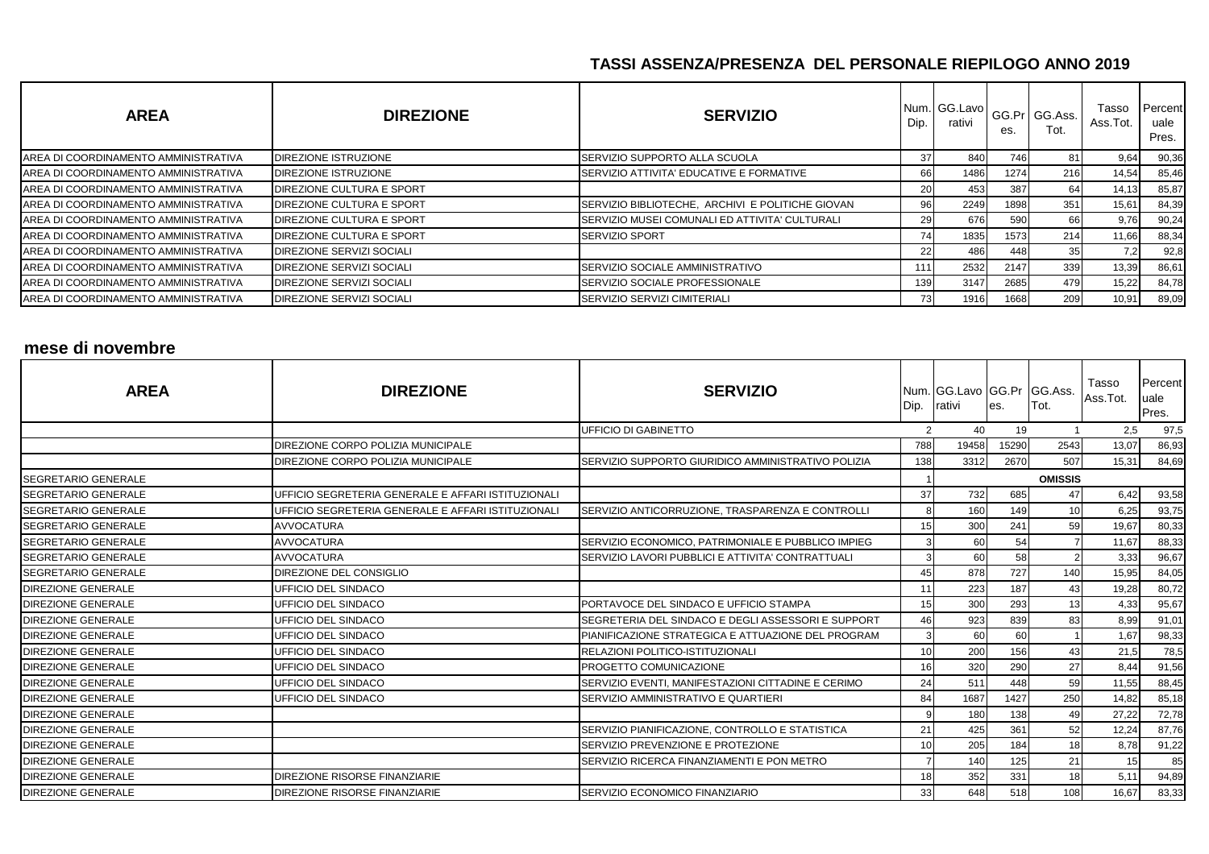| <b>AREA</b>                          | <b>DIREZIONE</b>                 | <b>SERVIZIO</b>                                  | Dip. | Num. GG.Lavo<br>rativi | es.  | GG.Pr GG.Ass.<br>Tot. | Tasso<br>Ass.Tot. | Percent<br>uale<br>Pres. |
|--------------------------------------|----------------------------------|--------------------------------------------------|------|------------------------|------|-----------------------|-------------------|--------------------------|
| AREA DI COORDINAMENTO AMMINISTRATIVA | <b>DIREZIONE ISTRUZIONE</b>      | ISERVIZIO SUPPORTO ALLA SCUOLA                   | 37   | 840                    | 746  | 81                    | 9,64              | 90,36                    |
| AREA DI COORDINAMENTO AMMINISTRATIVA | <b>DIREZIONE ISTRUZIONE</b>      | SERVIZIO ATTIVITA' EDUCATIVE E FORMATIVE         | 66   | 1486                   | 1274 | 216                   | 14,54             | 85,46                    |
| AREA DI COORDINAMENTO AMMINISTRATIVA | DIREZIONE CULTURA E SPORT        |                                                  | 20   | 453                    | 387  | 64                    | 14,13             | 85,87                    |
| AREA DI COORDINAMENTO AMMINISTRATIVA | DIREZIONE CULTURA E SPORT        | SERVIZIO BIBLIOTECHE, ARCHIVI E POLITICHE GIOVAN | 96I  | 2249                   | 1898 | 351                   | 15,61             | 84,39                    |
| AREA DI COORDINAMENTO AMMINISTRATIVA | DIREZIONE CULTURA E SPORT        | SERVIZIO MUSEI COMUNALI ED ATTIVITA' CULTURALI   | 29 I | 676                    | 590  | 66                    | 9,76              | 90,24                    |
| AREA DI COORDINAMENTO AMMINISTRATIVA | DIREZIONE CULTURA E SPORT        | <b>SERVIZIO SPORT</b>                            | 741  | 1835                   | 1573 | 214                   | 11,66             | 88,34                    |
| AREA DI COORDINAMENTO AMMINISTRATIVA | DIREZIONE SERVIZI SOCIALI        |                                                  | 22   | 486                    | 448  | 35                    | 7.2               | 92,8                     |
| AREA DI COORDINAMENTO AMMINISTRATIVA | <b>DIREZIONE SERVIZI SOCIALI</b> | SERVIZIO SOCIALE AMMINISTRATIVO                  | 111  | 2532                   | 2147 | 339                   | 13,39             | 86,61                    |
| AREA DI COORDINAMENTO AMMINISTRATIVA | <b>DIREZIONE SERVIZI SOCIALI</b> | <b>SERVIZIO SOCIALE PROFESSIONALE</b>            | 139  | 3147                   | 2685 | 479                   | 15,22             | 84,78                    |
| AREA DI COORDINAMENTO AMMINISTRATIVA | <b>DIREZIONE SERVIZI SOCIALI</b> | SERVIZIO SERVIZI CIMITERIALI                     | 731  | 1916                   | 1668 | 209                   | 10,91             | 89,09                    |

# **mese di novembre**

| <b>AREA</b>                | <b>DIREZIONE</b>                                   | <b>SERVIZIO</b>                                    | Dip.           | Num. GG.Lavo GG.Pr GG.Ass.<br>rativi | les.  | Tot.           | Tasso<br>Ass.Tot. | <b>Percent</b><br>uale<br>Pres. |
|----------------------------|----------------------------------------------------|----------------------------------------------------|----------------|--------------------------------------|-------|----------------|-------------------|---------------------------------|
|                            |                                                    | <b>UFFICIO DI GABINETTO</b>                        | $\overline{2}$ | 40                                   | 19    |                | 2,5               | 97,5                            |
|                            | <b>DIREZIONE CORPO POLIZIA MUNICIPALE</b>          |                                                    | 788            | 19458                                | 15290 | 2543           | 13,07             | 86,93                           |
|                            | <b>DIREZIONE CORPO POLIZIA MUNICIPALE</b>          | SERVIZIO SUPPORTO GIURIDICO AMMINISTRATIVO POLIZIA | 138            | 3312                                 | 2670  | 507            | 15,31             | 84,69                           |
| <b>SEGRETARIO GENERALE</b> |                                                    |                                                    |                |                                      |       | <b>OMISSIS</b> |                   |                                 |
| <b>SEGRETARIO GENERALE</b> | UFFICIO SEGRETERIA GENERALE E AFFARI ISTITUZIONALI |                                                    | 37             | 732                                  | 685   | 47             | 6,42              | 93,58                           |
| SEGRETARIO GENERALE        | UFFICIO SEGRETERIA GENERALE E AFFARI ISTITUZIONALI | SERVIZIO ANTICORRUZIONE, TRASPARENZA E CONTROLLI   | 8              | 160                                  | 149   | 10             | 6,25              | 93,75                           |
| <b>SEGRETARIO GENERALE</b> | <b>AVVOCATURA</b>                                  |                                                    | 15             | 300                                  | 241   | 59             | 19,67             | 80,33                           |
| SEGRETARIO GENERALE        | <b>AVVOCATURA</b>                                  | SERVIZIO ECONOMICO, PATRIMONIALE E PUBBLICO IMPIEG | 3              | 60                                   | 54    |                | 11,67             | 88,33                           |
| <b>SEGRETARIO GENERALE</b> | <b>AVVOCATURA</b>                                  | SERVIZIO LAVORI PUBBLICI E ATTIVITA' CONTRATTUALI  |                | 60                                   | 58    |                | 3,33              | 96,67                           |
| <b>SEGRETARIO GENERALE</b> | DIREZIONE DEL CONSIGLIO                            |                                                    | 45             | 878                                  | 727   | 140            | 15,95             | 84,05                           |
| <b>DIREZIONE GENERALE</b>  | UFFICIO DEL SINDACO                                |                                                    |                | 223                                  | 187   | 43             | 19,28             | 80,72                           |
| <b>DIREZIONE GENERALE</b>  | UFFICIO DEL SINDACO                                | PORTAVOCE DEL SINDACO E UFFICIO STAMPA             | 15             | 300                                  | 293   | 13             | 4,33              | 95,67                           |
| <b>DIREZIONE GENERALE</b>  | <b>UFFICIO DEL SINDACO</b>                         | SEGRETERIA DEL SINDACO E DEGLI ASSESSORI E SUPPORT | 46             | 923                                  | 839   | 83             | 8,99              | 91,01                           |
| <b>DIREZIONE GENERALE</b>  | UFFICIO DEL SINDACO                                | PIANIFICAZIONE STRATEGICA E ATTUAZIONE DEL PROGRAM | 3              | 60                                   | 60    |                | 1,67              | 98,33                           |
| <b>DIREZIONE GENERALE</b>  | UFFICIO DEL SINDACO                                | RELAZIONI POLITICO-ISTITUZIONALI                   | 10             | 200                                  | 156   | 43             | 21,5              | 78,5                            |
| <b>DIREZIONE GENERALE</b>  | UFFICIO DEL SINDACO                                | PROGETTO COMUNICAZIONE                             | 16             | 320                                  | 290   | 27             | 8,44              | 91,56                           |
| <b>DIREZIONE GENERALE</b>  | UFFICIO DEL SINDACO                                | SERVIZIO EVENTI, MANIFESTAZIONI CITTADINE E CERIMO | 24             | 511                                  | 448   | 59             | 11,55             | 88,45                           |
| <b>DIREZIONE GENERALE</b>  | <b>UFFICIO DEL SINDACO</b>                         | SERVIZIO AMMINISTRATIVO E QUARTIERI                | 84             | 1687                                 | 1427  | 250            | 14,82             | 85,18                           |
| DIREZIONE GENERALE         |                                                    |                                                    | q              | 180                                  | 138   | 49             | 27,22             | 72,78                           |
| <b>DIREZIONE GENERALE</b>  |                                                    | SERVIZIO PIANIFICAZIONE, CONTROLLO E STATISTICA    | 21             | 425                                  | 361   | 52             | 12,24             | 87,76                           |
| <b>DIREZIONE GENERALE</b>  |                                                    | SERVIZIO PREVENZIONE E PROTEZIONE                  | 10             | 205                                  | 184   | 18             | 8,78              | 91,22                           |
| <b>DIREZIONE GENERALE</b>  |                                                    | SERVIZIO RICERCA FINANZIAMENTI E PON METRO         |                | 140                                  | 125   | 21             | 15                | 85                              |
| <b>DIREZIONE GENERALE</b>  | <b>DIREZIONE RISORSE FINANZIARIE</b>               |                                                    | 18             | 352                                  | 331   | 18             | 5,11              | 94,89                           |
| <b>DIREZIONE GENERALE</b>  | <b>DIREZIONE RISORSE FINANZIARIE</b>               | SERVIZIO ECONOMICO FINANZIARIO                     | 33             | 648                                  | 518   | 108            | 16,67             | 83,33                           |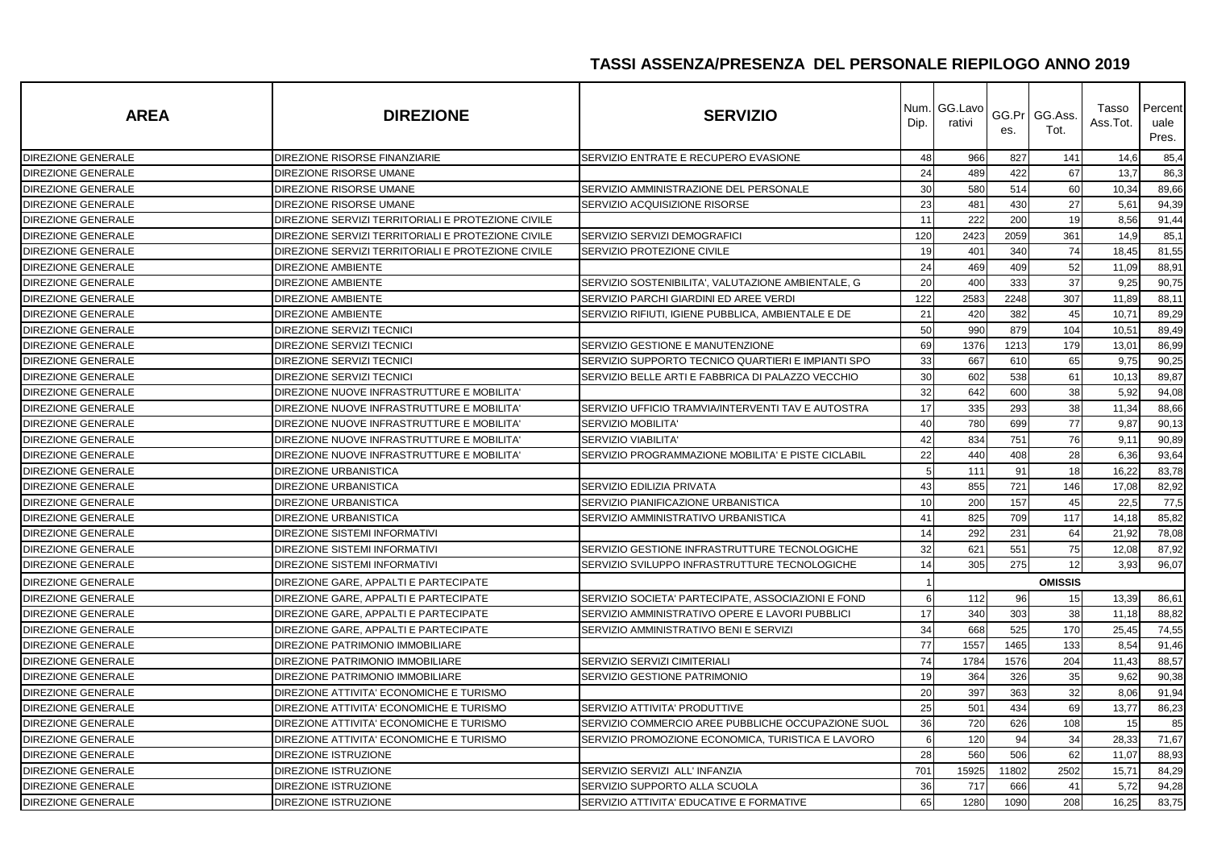| <b>AREA</b>               | <b>DIREZIONE</b>                                   | <b>SERVIZIO</b>                                    | Num.l<br>Dip. | GG.Lavo<br>rativi | es.   | GG.Pr   GG.Ass.<br>Tot. | Tasso<br>Ass.Tot. | Percent<br>uale<br>Pres. |
|---------------------------|----------------------------------------------------|----------------------------------------------------|---------------|-------------------|-------|-------------------------|-------------------|--------------------------|
| <b>DIREZIONE GENERALE</b> | DIREZIONE RISORSE FINANZIARIE                      | SERVIZIO ENTRATE E RECUPERO EVASIONE               | 48            | 966               | 827   | 141                     | 14,6              | 85,4                     |
| <b>DIREZIONE GENERALE</b> | DIREZIONE RISORSE UMANE                            |                                                    | 24            | 489               | 422   | 67                      | 13,7              | 86,3                     |
| DIREZIONE GENERALE        | DIREZIONE RISORSE UMANE                            | SERVIZIO AMMINISTRAZIONE DEL PERSONALE             | 30            | 580               | 514   | 60                      | 10,34             | 89,66                    |
| <b>DIREZIONE GENERALE</b> | DIREZIONE RISORSE UMANE                            | SERVIZIO ACQUISIZIONE RISORSE                      | 23            | 481               | 430   | 27                      | 5,61              | 94,39                    |
| DIREZIONE GENERALE        | DIREZIONE SERVIZI TERRITORIALI E PROTEZIONE CIVILE |                                                    | 11            | 222               | 200   | 19                      | 8,56              | 91,44                    |
| DIREZIONE GENERALE        | DIREZIONE SERVIZI TERRITORIALI E PROTEZIONE CIVILE | SERVIZIO SERVIZI DEMOGRAFICI                       | 120           | 2423              | 2059  | 361                     | 14,9              | 85,1                     |
| <b>DIREZIONE GENERALE</b> | DIREZIONE SERVIZI TERRITORIALI E PROTEZIONE CIVILE | <b>SERVIZIO PROTEZIONE CIVILE</b>                  | 19            | 401               | 340   | 74                      | 18,45             | 81,55                    |
| DIREZIONE GENERALE        | <b>DIREZIONE AMBIENTE</b>                          |                                                    | 24            | 469               | 409   | 52                      | 11,09             | 88,91                    |
| <b>DIREZIONE GENERALE</b> | <b>DIREZIONE AMBIENTE</b>                          | SERVIZIO SOSTENIBILITA', VALUTAZIONE AMBIENTALE, G | 20            | 400               | 333   | 37                      | 9,25              | 90,75                    |
| <b>DIREZIONE GENERALE</b> | <b>DIREZIONE AMBIENTE</b>                          | SERVIZIO PARCHI GIARDINI ED AREE VERDI             | 122           | 2583              | 2248  | 307                     | 11,89             | 88,11                    |
| DIREZIONE GENERALE        | <b>DIREZIONE AMBIENTE</b>                          | SERVIZIO RIFIUTI. IGIENE PUBBLICA. AMBIENTALE E DE | 21            | 420               | 382   | 45                      | 10,71             | 89,29                    |
| <b>DIREZIONE GENERALE</b> | DIREZIONE SERVIZI TECNICI                          |                                                    | 50            | 990               | 879   | 104                     | 10,51             | 89,49                    |
| <b>DIREZIONE GENERALE</b> | <b>DIREZIONE SERVIZI TECNICI</b>                   | SERVIZIO GESTIONE E MANUTENZIONE                   | 69            | 1376              | 1213  | 179                     | 13,01             | 86,99                    |
| DIREZIONE GENERALE        | <b>DIREZIONE SERVIZI TECNICI</b>                   | SERVIZIO SUPPORTO TECNICO QUARTIERI E IMPIANTI SPO | 33            | 667               | 610   | 65                      | 9,75              | 90,25                    |
| DIREZIONE GENERALE        | DIREZIONE SERVIZI TECNICI                          | SERVIZIO BELLE ARTI E FABBRICA DI PALAZZO VECCHIO  | 30            | 602               | 538   | 61                      | 10,13             | 89,87                    |
| DIREZIONE GENERALE        | DIREZIONE NUOVE INFRASTRUTTURE E MOBILITA'         |                                                    | 32            | 642               | 600   | 38                      | 5,92              | 94,08                    |
| <b>DIREZIONE GENERALE</b> | DIREZIONE NUOVE INFRASTRUTTURE E MOBILITA'         | SERVIZIO UFFICIO TRAMVIA/INTERVENTI TAV E AUTOSTRA | 17            | 335               | 293   | 38                      | 11,34             | 88,66                    |
| DIREZIONE GENERALE        | DIREZIONE NUOVE INFRASTRUTTURE E MOBILITA'         | SERVIZIO MOBILITA'                                 | 40            | 780               | 699   | 77                      | 9,87              | 90,13                    |
| DIREZIONE GENERALE        | DIREZIONE NUOVE INFRASTRUTTURE E MOBILITA'         | <b>SERVIZIO VIABILITA</b>                          | 42            | 834               | 751   | 76                      | 9,11              | 90,89                    |
| DIREZIONE GENERALE        | DIREZIONE NUOVE INFRASTRUTTURE E MOBILITA'         | SERVIZIO PROGRAMMAZIONE MOBILITA' E PISTE CICLABIL | 22            | 440               | 408   | 28                      | 6,36              | 93,64                    |
| DIREZIONE GENERALE        | <b>DIREZIONE URBANISTICA</b>                       |                                                    | 5             | 111               | 91    | 18                      | 16,22             | 83,78                    |
| DIREZIONE GENERALE        | <b>DIREZIONE URBANISTICA</b>                       | SERVIZIO EDILIZIA PRIVATA                          | 43            | 855               | 721   | 146                     | 17,08             | 82,92                    |
| DIREZIONE GENERALE        | DIREZIONE URBANISTICA                              | SERVIZIO PIANIFICAZIONE URBANISTICA                | 10            | 200               | 157   | 45                      | 22,5              | 77,5                     |
| DIREZIONE GENERALE        | <b>DIREZIONE URBANISTICA</b>                       | SERVIZIO AMMINISTRATIVO URBANISTICA                | 41            | 825               | 709   | 117                     | 14,18             | 85,82                    |
| <b>DIREZIONE GENERALE</b> | DIREZIONE SISTEMI INFORMATIVI                      |                                                    | 14            | 292               | 231   | 64                      | 21,92             | 78,08                    |
| DIREZIONE GENERALE        | <b>DIREZIONE SISTEMI INFORMATIVI</b>               | SERVIZIO GESTIONE INFRASTRUTTURE TECNOLOGICHE      | 32            | 621               | 551   | 75                      | 12,08             | 87,92                    |
| DIREZIONE GENERALE        | <b>DIREZIONE SISTEMI INFORMATIVI</b>               | SERVIZIO SVILUPPO INFRASTRUTTURE TECNOLOGICHE      | 14            | 305               | 275   | 12                      | 3,93              | 96,07                    |
| <b>DIREZIONE GENERALE</b> | DIREZIONE GARE, APPALTI E PARTECIPATE              |                                                    |               |                   |       | <b>OMISSIS</b>          |                   |                          |
| <b>DIREZIONE GENERALE</b> | DIREZIONE GARE, APPALTI E PARTECIPATE              | SERVIZIO SOCIETA' PARTECIPATE, ASSOCIAZIONI E FOND | 6             | 112               | 96    | 15                      | 13,39             | 86,61                    |
| DIREZIONE GENERALE        | DIREZIONE GARE, APPALTI E PARTECIPATE              | SERVIZIO AMMINISTRATIVO OPERE E LAVORI PUBBLICI    | 17            | 340               | 303   | 38                      | 11,18             | 88,82                    |
| <b>DIREZIONE GENERALE</b> | DIREZIONE GARE, APPALTI E PARTECIPATE              | SERVIZIO AMMINISTRATIVO BENI E SERVIZI             | 34            | 668               | 525   | 170                     | 25,45             | 74,55                    |
| DIREZIONE GENERALE        | <b>DIREZIONE PATRIMONIO IMMOBILIARE</b>            |                                                    | 77            | 1557              | 1465  | 133                     | 8,54              | 91,46                    |
| DIREZIONE GENERALE        | DIREZIONE PATRIMONIO IMMOBILIARE                   | SERVIZIO SERVIZI CIMITERIALI                       | 74            | 1784              | 1576  | 204                     | 11,43             | 88,57                    |
| DIREZIONE GENERALE        | DIREZIONE PATRIMONIO IMMOBILIARE                   | SERVIZIO GESTIONE PATRIMONIO                       | 19            | 364               | 326   | 35                      | 9,62              | 90,38                    |
| DIREZIONE GENERALE        | DIREZIONE ATTIVITA' ECONOMICHE E TURISMO           |                                                    | 20            | 397               | 363   | 32                      | 8,06              | 91,94                    |
| <b>DIREZIONE GENERALE</b> | DIREZIONE ATTIVITA' ECONOMICHE E TURISMO           | SERVIZIO ATTIVITA' PRODUTTIVE                      | 25            | 501               | 434   | 69                      | 13,77             | 86,23                    |
| DIREZIONE GENERALE        | DIREZIONE ATTIVITA' ECONOMICHE E TURISMO           | SERVIZIO COMMERCIO AREE PUBBLICHE OCCUPAZIONE SUOL | 36            | 720               | 626   | 108                     | 15                | 85                       |
| <b>DIREZIONE GENERALE</b> | DIREZIONE ATTIVITA' ECONOMICHE E TURISMO           | SERVIZIO PROMOZIONE ECONOMICA, TURISTICA E LAVORO  | 6             | 120               | 94    | 34                      | 28,33             | 71,67                    |
| <b>DIREZIONE GENERALE</b> | DIREZIONE ISTRUZIONE                               |                                                    | 28            | 560               | 506   | 62                      | 11,07             | 88,93                    |
| DIREZIONE GENERALE        | <b>DIREZIONE ISTRUZIONE</b>                        | SERVIZIO SERVIZI ALL' INFANZIA                     | 701           | 15925             | 11802 | 2502                    | 15,71             | 84,29                    |
| <b>DIREZIONE GENERALE</b> | DIREZIONE ISTRUZIONE                               | SERVIZIO SUPPORTO ALLA SCUOLA                      | 36            | 717               | 666   | 41                      | 5,72              | 94,28                    |
| <b>DIREZIONE GENERALE</b> | DIREZIONE ISTRUZIONE                               | SERVIZIO ATTIVITA' EDUCATIVE E FORMATIVE           | 65            | 1280              | 1090  | 208                     | 16,25             | 83,75                    |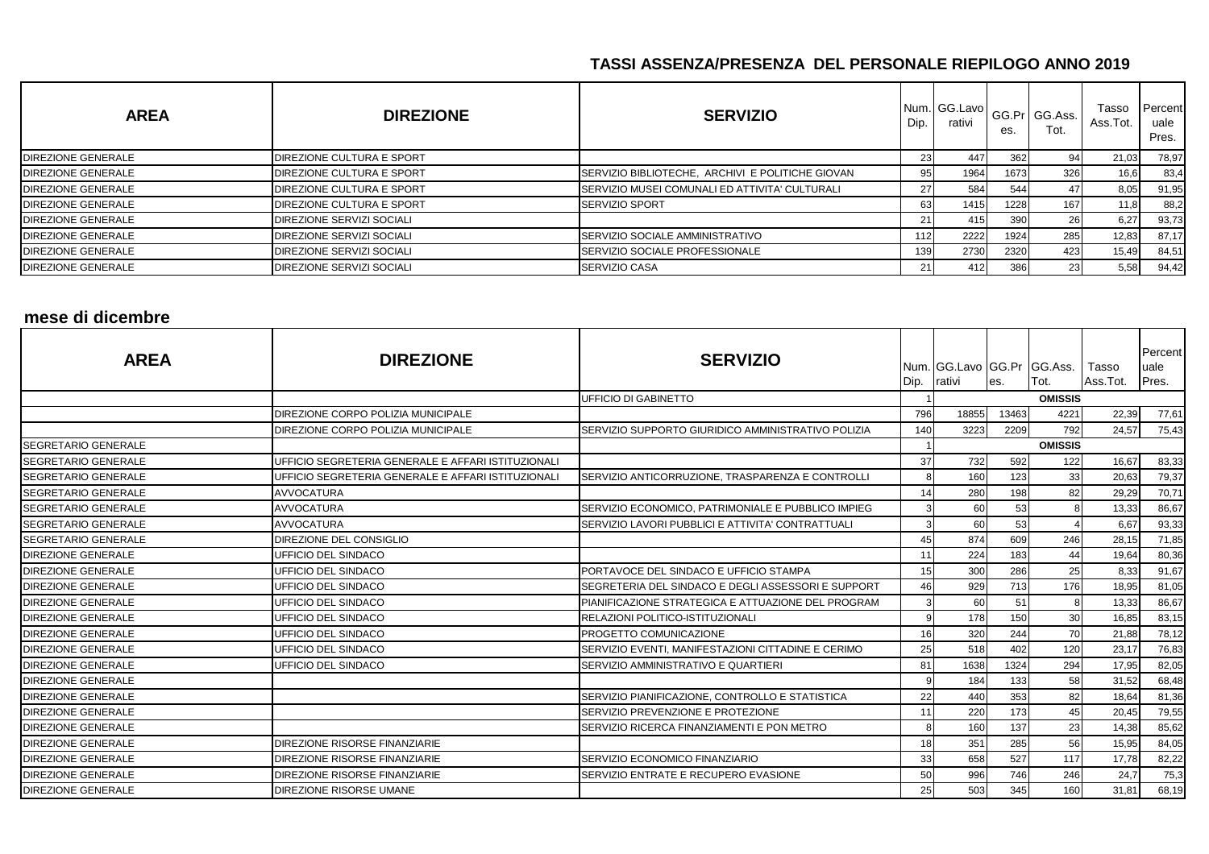| <b>AREA</b>               | <b>DIREZIONE</b>                 | <b>SERVIZIO</b>                                  | Dip. | Num. GG.Lavo<br>rativi | es.  | GG.Pr   GG.Ass.<br>Tot. | Tasso<br>Ass.Tot. | Percent<br>uale<br>Pres. |
|---------------------------|----------------------------------|--------------------------------------------------|------|------------------------|------|-------------------------|-------------------|--------------------------|
| <b>DIREZIONE GENERALE</b> | DIREZIONE CULTURA E SPORT        |                                                  | 23   | 447                    | 362  | 94 <sub>1</sub>         | 21,03             | 78,97                    |
| <b>DIREZIONE GENERALE</b> | DIREZIONE CULTURA E SPORT        | SERVIZIO BIBLIOTECHE, ARCHIVI E POLITICHE GIOVAN | 95   | 1964                   | 1673 | 326                     | 16,6              | 83,4                     |
| <b>DIREZIONE GENERALE</b> | <b>DIREZIONE CULTURA E SPORT</b> | SERVIZIO MUSEI COMUNALI ED ATTIVITA' CULTURALI   | 27   | 584                    | 544  |                         | 8,05              | 91,95                    |
| <b>DIREZIONE GENERALE</b> | <b>DIREZIONE CULTURA E SPORT</b> | <b>SERVIZIO SPORT</b>                            | 63   | 1415                   | 1228 | 167                     | 11,8              | 88,2                     |
| <b>DIREZIONE GENERALE</b> | DIREZIONE SERVIZI SOCIALI        |                                                  | 211  | 415                    | 390  | 26                      | 6,27              | 93,73                    |
| <b>DIREZIONE GENERALE</b> | DIREZIONE SERVIZI SOCIALI        | SERVIZIO SOCIALE AMMINISTRATIVO                  | 112  | 2222                   | 1924 | 285                     | 12,83             | 87,17                    |
| <b>DIREZIONE GENERALE</b> | DIREZIONE SERVIZI SOCIALI        | SERVIZIO SOCIALE PROFESSIONALE                   | 139  | 2730                   | 2320 | 423                     | 15,49             | 84,51                    |
| <b>DIREZIONE GENERALE</b> | DIREZIONE SERVIZI SOCIALI        | SERVIZIO CASA                                    | 211  | 412                    | 386  | 23 <sub>1</sub>         | 5,58              | 94,42                    |

# **mese di dicembre**

| <b>AREA</b>                | <b>DIREZIONE</b>                                   | <b>SERVIZIO</b>                                    | Dip. | Num. GG.Lavo GG.Pr GG.Ass.<br>rativi | es.   | Tot.           | Tasso<br>Ass.Tot. | Percent<br>uale<br>Pres. |
|----------------------------|----------------------------------------------------|----------------------------------------------------|------|--------------------------------------|-------|----------------|-------------------|--------------------------|
|                            |                                                    | <b>UFFICIO DI GABINETTO</b>                        |      |                                      |       | <b>OMISSIS</b> |                   |                          |
|                            | DIREZIONE CORPO POLIZIA MUNICIPALE                 |                                                    | 796  | 18855                                | 13463 | 4221           | 22,39             | 77,61                    |
|                            | DIREZIONE CORPO POLIZIA MUNICIPALE                 | SERVIZIO SUPPORTO GIURIDICO AMMINISTRATIVO POLIZIA | 140  | 3223                                 | 2209  | 792            | 24,57             | 75,43                    |
| <b>SEGRETARIO GENERALE</b> |                                                    |                                                    |      |                                      |       | <b>OMISSIS</b> |                   |                          |
| <b>SEGRETARIO GENERALE</b> | UFFICIO SEGRETERIA GENERALE E AFFARI ISTITUZIONALI |                                                    | 37   | 732                                  | 592   | 122            | 16,67             | 83,33                    |
| <b>SEGRETARIO GENERALE</b> | UFFICIO SEGRETERIA GENERALE E AFFARI ISTITUZIONALI | SERVIZIO ANTICORRUZIONE, TRASPARENZA E CONTROLLI   | 8    | 160                                  | 123   | 33             | 20,63             | 79,37                    |
| <b>SEGRETARIO GENERALE</b> | <b>AVVOCATURA</b>                                  |                                                    | 14   | 280                                  | 198   | 82             | 29,29             | 70,71                    |
| <b>SEGRETARIO GENERALE</b> | <b>AVVOCATURA</b>                                  | SERVIZIO ECONOMICO, PATRIMONIALE E PUBBLICO IMPIEG | 3    | 60                                   | 53    |                | 13,33             | 86,67                    |
| <b>SEGRETARIO GENERALE</b> | <b>AVVOCATURA</b>                                  | SERVIZIO LAVORI PUBBLICI E ATTIVITA' CONTRATTUALI  | 3    | 60                                   | 53    |                | 6,67              | 93,33                    |
| <b>SEGRETARIO GENERALE</b> | DIREZIONE DEL CONSIGLIO                            |                                                    | 45   | 874                                  | 609   | 246            | 28,15             | 71,85                    |
| <b>DIREZIONE GENERALE</b>  | UFFICIO DEL SINDACO                                |                                                    | 11   | 224                                  | 183   | 44             | 19,64             | 80,36                    |
| <b>DIREZIONE GENERALE</b>  | UFFICIO DEL SINDACO                                | PORTAVOCE DEL SINDACO E UFFICIO STAMPA             | 15   | 300                                  | 286   | 25             | 8,33              | 91,67                    |
| <b>DIREZIONE GENERALE</b>  | UFFICIO DEL SINDACO                                | SEGRETERIA DEL SINDACO E DEGLI ASSESSORI E SUPPORT | 46   | 929                                  | 713   | 176            | 18,95             | 81,05                    |
| <b>DIREZIONE GENERALE</b>  | UFFICIO DEL SINDACO                                | PIANIFICAZIONE STRATEGICA E ATTUAZIONE DEL PROGRAM | 3    | 60                                   | 51    |                | 13,33             | 86,67                    |
| <b>DIREZIONE GENERALE</b>  | UFFICIO DEL SINDACO                                | <b>RELAZIONI POLITICO-ISTITUZIONALI</b>            | 9    | 178                                  | 150   | 30             | 16,85             | 83,15                    |
| <b>DIREZIONE GENERALE</b>  | UFFICIO DEL SINDACO                                | PROGETTO COMUNICAZIONE                             | 16   | 320                                  | 244   | 70             | 21,88             | 78,12                    |
| <b>DIREZIONE GENERALE</b>  | UFFICIO DEL SINDACO                                | SERVIZIO EVENTI, MANIFESTAZIONI CITTADINE E CERIMO | 25   | 518                                  | 402   | 120            | 23,17             | 76,83                    |
| <b>DIREZIONE GENERALE</b>  | <b>UFFICIO DEL SINDACO</b>                         | SERVIZIO AMMINISTRATIVO E QUARTIERI                | 81   | 1638                                 | 1324  | 294            | 17,95             | 82,05                    |
| <b>DIREZIONE GENERALE</b>  |                                                    |                                                    | q    | 184                                  | 133   | 58             | 31,52             | 68,48                    |
| <b>DIREZIONE GENERALE</b>  |                                                    | SERVIZIO PIANIFICAZIONE, CONTROLLO E STATISTICA    | 22   | 440                                  | 353   | 82             | 18,64             | 81,36                    |
| <b>DIREZIONE GENERALE</b>  |                                                    | SERVIZIO PREVENZIONE E PROTEZIONE                  | 11   | 220                                  | 173   | 45             | 20,45             | 79,55                    |
| <b>DIREZIONE GENERALE</b>  |                                                    | SERVIZIO RICERCA FINANZIAMENTI E PON METRO         |      | 160                                  | 137   | 23             | 14,38             | 85,62                    |
| <b>DIREZIONE GENERALE</b>  | DIREZIONE RISORSE FINANZIARIE                      |                                                    | 18   | 351                                  | 285   | 56             | 15,95             | 84,05                    |
| <b>DIREZIONE GENERALE</b>  | DIREZIONE RISORSE FINANZIARIE                      | SERVIZIO ECONOMICO FINANZIARIO                     | 33   | 658                                  | 527   | 117            | 17,78             | 82,22                    |
| <b>DIREZIONE GENERALE</b>  | DIREZIONE RISORSE FINANZIARIE                      | SERVIZIO ENTRATE E RECUPERO EVASIONE               | 50   | 996                                  | 746   | 246            | 24,7              | 75,3                     |
| <b>DIREZIONE GENERALE</b>  | DIREZIONE RISORSE UMANE                            |                                                    | 25   | 503                                  | 345   | 160            | 31,81             | 68,19                    |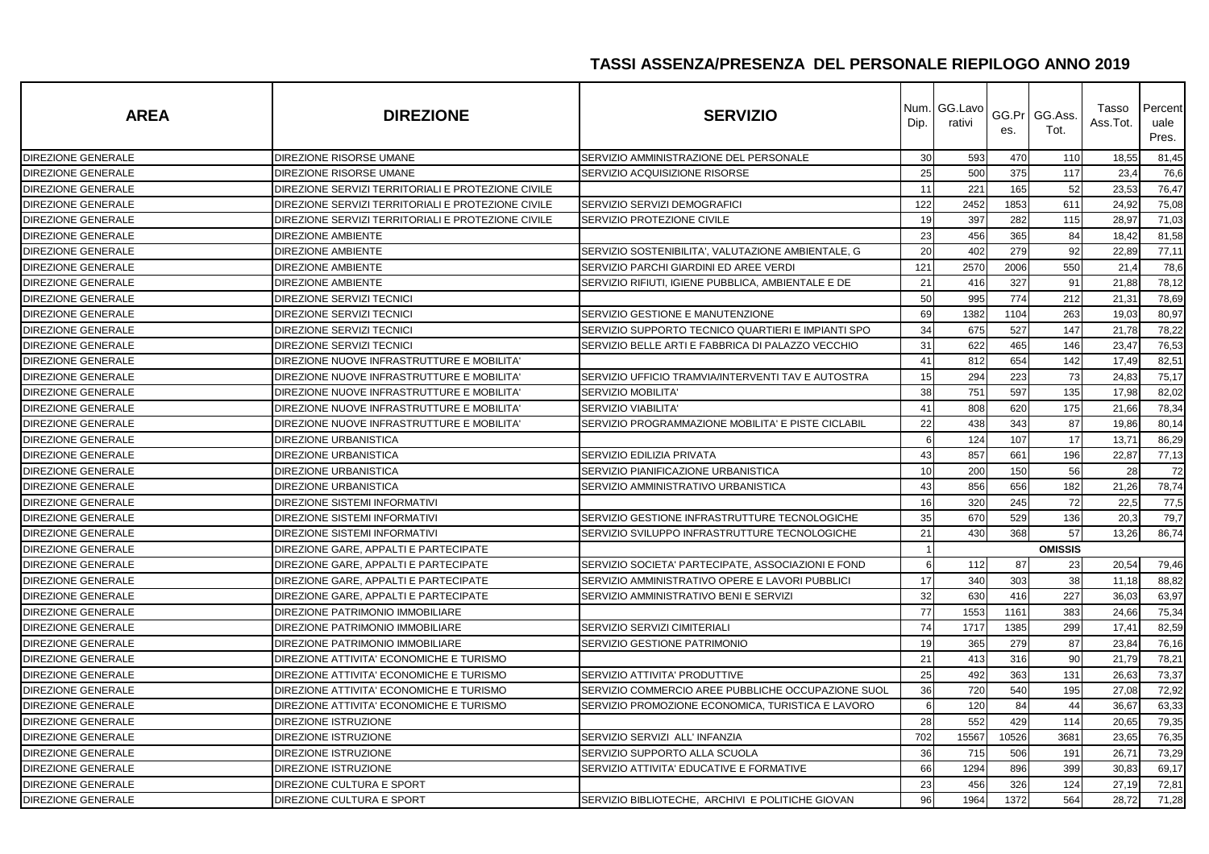| <b>AREA</b>               | <b>DIREZIONE</b>                                   | <b>SERVIZIO</b>                                    | Num.<br>Dip. | GG.Lavo<br>rativi | es.   | GG.Pr GG.Ass.<br>Tot. | Tasso<br>Ass.Tot. | Percent<br>uale<br>Pres. |
|---------------------------|----------------------------------------------------|----------------------------------------------------|--------------|-------------------|-------|-----------------------|-------------------|--------------------------|
| <b>DIREZIONE GENERALE</b> | DIREZIONE RISORSE UMANE                            | SERVIZIO AMMINISTRAZIONE DEL PERSONALE             | 30           | 593               | 470   | 110                   | 18,55             | 81,45                    |
| <b>DIREZIONE GENERALE</b> | DIREZIONE RISORSE UMANE                            | SERVIZIO ACQUISIZIONE RISORSE                      | 25           | 500               | 375   | 117                   | 23,4              | 76,6                     |
| <b>DIREZIONE GENERALE</b> | DIREZIONE SERVIZI TERRITORIALI E PROTEZIONE CIVILE |                                                    | 11           | 221               | 165   | 52                    | 23,53             | 76,47                    |
| <b>DIREZIONE GENERALE</b> | DIREZIONE SERVIZI TERRITORIALI E PROTEZIONE CIVILE | SERVIZIO SERVIZI DEMOGRAFICI                       | 122          | 2452              | 1853  | 611                   | 24,92             | 75,08                    |
| DIREZIONE GENERALE        | DIREZIONE SERVIZI TERRITORIALI E PROTEZIONE CIVILE | SERVIZIO PROTEZIONE CIVILE                         | 19           | 397               | 282   | 115                   | 28,97             | 71,03                    |
| DIREZIONE GENERALE        | <b>DIREZIONE AMBIENTE</b>                          |                                                    | 23           | 456               | 365   | 84                    | 18,42             | 81,58                    |
| <b>DIREZIONE GENERALE</b> | <b>DIREZIONE AMBIENTE</b>                          | SERVIZIO SOSTENIBILITA', VALUTAZIONE AMBIENTALE, G | 20           | 402               | 279   | 92                    | 22,89             | 77,11                    |
| DIREZIONE GENERALE        | <b>DIREZIONE AMBIENTE</b>                          | SERVIZIO PARCHI GIARDINI ED AREE VERDI             | 121          | 2570              | 2006  | 550                   | 21,4              | 78,6                     |
| <b>DIREZIONE GENERALE</b> | <b>DIREZIONE AMBIENTE</b>                          | SERVIZIO RIFIUTI. IGIENE PUBBLICA. AMBIENTALE E DE | 21           | 416               | 327   | 91                    | 21,88             | 78,12                    |
| DIREZIONE GENERALE        | DIREZIONE SERVIZI TECNICI                          |                                                    | 50           | 995               | 774   | 212                   | 21,31             | 78,69                    |
| DIREZIONE GENERALE        | <b>DIREZIONE SERVIZI TECNICI</b>                   | SERVIZIO GESTIONE E MANUTENZIONE                   | 69           | 1382              | 1104  | 263                   | 19,03             | 80,97                    |
| DIREZIONE GENERALE        | DIREZIONE SERVIZI TECNICI                          | SERVIZIO SUPPORTO TECNICO QUARTIERI E IMPIANTI SPO | 34           | 675               | 527   | 147                   | 21,78             | 78,22                    |
| <b>DIREZIONE GENERALE</b> | DIREZIONE SERVIZI TECNICI                          | SERVIZIO BELLE ARTI E FABBRICA DI PALAZZO VECCHIO  | 31           | 622               | 465   | 146                   | 23,47             | 76,53                    |
| DIREZIONE GENERALE        | DIREZIONE NUOVE INFRASTRUTTURE E MOBILITA'         |                                                    | 41           | 812               | 654   | 142                   | 17,49             | 82,51                    |
| DIREZIONE GENERALE        | DIREZIONE NUOVE INFRASTRUTTURE E MOBILITA'         | SERVIZIO UFFICIO TRAMVIA/INTERVENTI TAV E AUTOSTRA | 15           | 294               | 223   | 73                    | 24,83             | 75,17                    |
| DIREZIONE GENERALE        | DIREZIONE NUOVE INFRASTRUTTURE E MOBILITA'         | SERVIZIO MOBILITA                                  | 38           | 751               | 597   | 135                   | 17,98             | 82,02                    |
| <b>DIREZIONE GENERALE</b> | DIREZIONE NUOVE INFRASTRUTTURE E MOBILITA'         | <b>SERVIZIO VIABILITA'</b>                         | 41           | 808               | 620   | 175                   | 21,66             | 78,34                    |
| <b>DIREZIONE GENERALE</b> | DIREZIONE NUOVE INFRASTRUTTURE E MOBILITA'         | SERVIZIO PROGRAMMAZIONE MOBILITA' E PISTE CICLABIL | 22           | 438               | 343   | 87                    | 19,86             | 80,14                    |
| DIREZIONE GENERALE        | <b>DIREZIONE URBANISTICA</b>                       |                                                    | 6            | 124               | 107   | 17                    | 13,71             | 86,29                    |
| <b>DIREZIONE GENERALE</b> | <b>DIREZIONE URBANISTICA</b>                       | SERVIZIO EDILIZIA PRIVATA                          | 43           | 857               | 661   | 196                   | 22,87             | 77,13                    |
| DIREZIONE GENERALE        | <b>DIREZIONE URBANISTICA</b>                       | SERVIZIO PIANIFICAZIONE URBANISTICA                | 10           | 200               | 150   | 56                    | 28                | 72                       |
| <b>DIREZIONE GENERALE</b> | <b>DIREZIONE URBANISTICA</b>                       | SERVIZIO AMMINISTRATIVO URBANISTICA                | 43           | 856               | 656   | 182                   | 21,26             | 78,74                    |
| DIREZIONE GENERALE        | DIREZIONE SISTEMI INFORMATIVI                      |                                                    | 16           | 320               | 245   | 72                    | 22,5              | 77,5                     |
| DIREZIONE GENERALE        | <b>DIREZIONE SISTEMI INFORMATIVI</b>               | SERVIZIO GESTIONE INFRASTRUTTURE TECNOLOGICHE      | 35           | 670               | 529   | 136                   | 20.3              | 79,7                     |
| DIREZIONE GENERALE        | <b>DIREZIONE SISTEMI INFORMATIVI</b>               | SERVIZIO SVILUPPO INFRASTRUTTURE TECNOLOGICHE      | 21           | 430               | 368   | 57                    | 13,26             | 86,74                    |
| <b>DIREZIONE GENERALE</b> | DIREZIONE GARE, APPALTI E PARTECIPATE              |                                                    | $\mathbf 1$  |                   |       | <b>OMISSIS</b>        |                   |                          |
| <b>DIREZIONE GENERALE</b> | DIREZIONE GARE. APPALTI E PARTECIPATE              | SERVIZIO SOCIETA' PARTECIPATE. ASSOCIAZIONI E FOND | 6            | 112               | 87    | 23                    | 20,54             | 79,46                    |
| <b>DIREZIONE GENERALE</b> | DIREZIONE GARE, APPALTI E PARTECIPATE              | SERVIZIO AMMINISTRATIVO OPERE E LAVORI PUBBLICI    | 17           | 340               | 303   | 38                    | 11,18             | 88,82                    |
| DIREZIONE GENERALE        | DIREZIONE GARE, APPALTI E PARTECIPATE              | SERVIZIO AMMINISTRATIVO BENI E SERVIZI             | 32           | 630               | 416   | 227                   | 36,03             | 63,97                    |
| DIREZIONE GENERALE        | DIREZIONE PATRIMONIO IMMOBILIARE                   |                                                    | 77           | 1553              | 1161  | 383                   | 24,66             | 75,34                    |
| DIREZIONE GENERALE        | DIREZIONE PATRIMONIO IMMOBILIARE                   | SERVIZIO SERVIZI CIMITERIALI                       | 74           | 1717              | 1385  | 299                   | 17,41             | 82,59                    |
| <b>DIREZIONE GENERALE</b> | DIREZIONE PATRIMONIO IMMOBILIARE                   | SERVIZIO GESTIONE PATRIMONIO                       | 19           | 365               | 279   | 87                    | 23,84             | 76,16                    |
| DIREZIONE GENERALE        | DIREZIONE ATTIVITA' ECONOMICHE E TURISMO           |                                                    | 21           | 413               | 316   | 90                    | 21,79             | 78,21                    |
| DIREZIONE GENERALE        | DIREZIONE ATTIVITA' ECONOMICHE E TURISMO           | SERVIZIO ATTIVITA' PRODUTTIVE                      | 25           | 492               | 363   | 131                   | 26,63             | 73,37                    |
| DIREZIONE GENERALE        | DIREZIONE ATTIVITA' ECONOMICHE E TURISMO           | SERVIZIO COMMERCIO AREE PUBBLICHE OCCUPAZIONE SUOL | 36           | 720               | 540   | 195                   | 27,08             | 72,92                    |
| <b>DIREZIONE GENERALE</b> | DIREZIONE ATTIVITA' ECONOMICHE E TURISMO           | SERVIZIO PROMOZIONE ECONOMICA, TURISTICA E LAVORO  | 6            | 120               | 84    | 44                    | 36,67             | 63,33                    |
| <b>DIREZIONE GENERALE</b> | <b>DIREZIONE ISTRUZIONE</b>                        |                                                    | 28           | 552               | 429   | 114                   | 20,65             | 79,35                    |
| DIREZIONE GENERALE        | DIREZIONE ISTRUZIONE                               | SERVIZIO SERVIZI ALL' INFANZIA                     | 702          | 15567             | 10526 | 3681                  | 23,65             | 76,35                    |
| <b>DIREZIONE GENERALE</b> | <b>DIREZIONE ISTRUZIONE</b>                        | SERVIZIO SUPPORTO ALLA SCUOLA                      | 36           | 715               | 506   | 191                   | 26,71             | 73,29                    |
| DIREZIONE GENERALE        | <b>DIREZIONE ISTRUZIONE</b>                        | SERVIZIO ATTIVITA' EDUCATIVE E FORMATIVE           | 66           | 1294              | 896   | 399                   | 30,83             | 69,17                    |
| <b>DIREZIONE GENERALE</b> | DIREZIONE CULTURA E SPORT                          |                                                    | 23           | 456               | 326   | 124                   | 27,19             | 72,81                    |
| DIREZIONE GENERALE        | DIREZIONE CULTURA E SPORT                          | SERVIZIO BIBLIOTECHE, ARCHIVI E POLITICHE GIOVAN   | 96           | 1964              | 1372  | 564                   | 28,72             | 71,28                    |